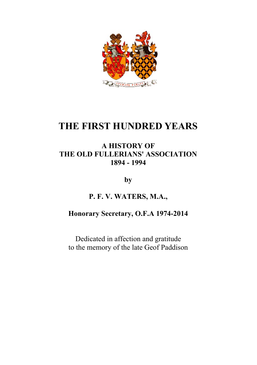

# **THE FIRST HUNDRED YEARS**

## **A HISTORY OF THE OLD FULLERIANS' ASSOCIATION 1894 - 1994**

**by**

# **P. F. V. WATERS, M.A.,**

## **Honorary Secretary, O.F.A 1974-2014**

Dedicated in affection and gratitude to the memory of the late Geof Paddison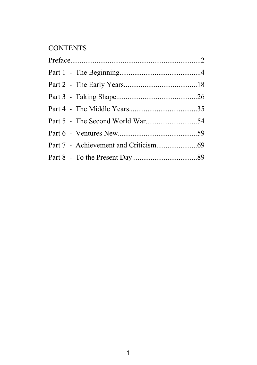# **CONTENTS**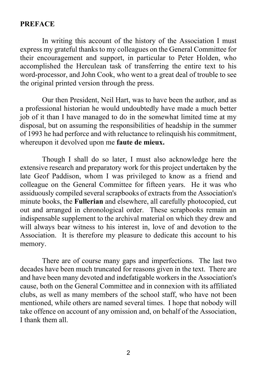#### **PREFACE**

In writing this account of the history of the Association I must express my grateful thanks to my colleagues on the General Committee for their encouragement and support, in particular to Peter Holden, who accomplished the Herculean task of transferring the entire text to his word-processor, and John Cook, who went to a great deal of trouble to see the original printed version through the press.

Our then President, Neil Hart, was to have been the author, and as a professional historian he would undoubtedly have made a much better job of it than I have managed to do in the somewhat limited time at my disposal, but on assuming the responsibilities of headship in the summer of 1993 he had perforce and with reluctance to relinquish his commitment, whereupon it devolved upon me **faute de mieux.**

Though I shall do so later, I must also acknowledge here the extensive research and preparatory work for this project undertaken by the late Geof Paddison, whom I was privileged to know as a friend and colleague on the General Committee for fifteen years. He it was who assiduously compiled several scrapbooks of extracts from the Association's minute books, the **Fullerian** and elsewhere, all carefully photocopied, cut out and arranged in chronological order. These scrapbooks remain an indispensable supplement to the archival material on which they drew and will always bear witness to his interest in, love of and devotion to the Association. It is therefore my pleasure to dedicate this account to his memory.

There are of course many gaps and imperfections. The last two decades have been much truncated for reasons given in the text. There are and have been many devoted and indefatigable workers in the Association's cause, both on the General Committee and in connexion with its affiliated clubs, as well as many members of the school staff, who have not been mentioned, while others are named several times. I hope that nobody will take offence on account of any omission and, on behalf of the Association, I thank them all.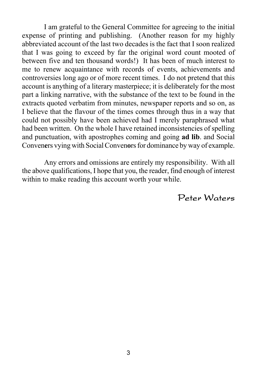I am grateful to the General Committee for agreeing to the initial expense of printing and publishing. (Another reason for my highly abbreviated account of the last two decades is the fact that I soon realized that I was going to exceed by far the original word count mooted of between five and ten thousand words!) It has been of much interest to me to renew acquaintance with records of events, achievements and controversies long ago or of more recent times. I do not pretend that this account is anything of a literary masterpiece; it is deliberately for the most part a linking narrative, with the substance of the text to be found in the extracts quoted verbatim from minutes, newspaper reports and so on, as I believe that the flavour of the times comes through thus in a way that could not possibly have been achieved had I merely paraphrased what had been written. On the whole I have retained inconsistencies of spelling and punctuation, with apostrophes coming and going **ad lib**. and Social Conven**e**rs vying with Social Conven**o**rs for dominance by way of example.

Any errors and omissions are entirely my responsibility. With all the above qualifications, I hope that you, the reader, find enough of interest within to make reading this account worth your while.

Peter Waters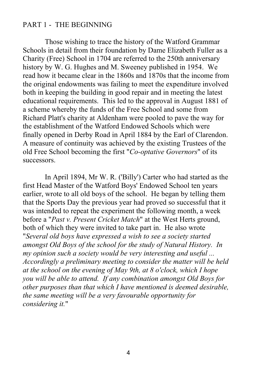#### PART 1 - THE BEGINNING

Those wishing to trace the history of the Watford Grammar Schools in detail from their foundation by Dame Elizabeth Fuller as a Charity (Free) School in 1704 are referred to the 250th anniversary history by W. G. Hughes and M. Sweeney published in 1954. We read how it became clear in the 1860s and 1870s that the income from the original endowments was failing to meet the expenditure involved both in keeping the building in good repair and in meeting the latest educational requirements. This led to the approval in August 1881 of a scheme whereby the funds of the Free School and some from Richard Platt's charity at Aldenham were pooled to pave the way for the establishment of the Watford Endowed Schools which were finally opened in Derby Road in April 1884 by the Earl of Clarendon. A measure of continuity was achieved by the existing Trustees of the old Free School becoming the first "*Co-optative Governors*" of its successors.

In April 1894, Mr W. R. ('Billy') Carter who had started as the first Head Master of the Watford Boys' Endowed School ten years earlier, wrote to all old boys of the school. He began by telling them that the Sports Day the previous year had proved so successful that it was intended to repeat the experiment the following month, a week before a "*Past v. Present Cricket Match*" at the West Herts ground, both of which they were invited to take part in. He also wrote "*Several old boys have expressed a wish to see a society started amongst Old Boys of the school for the study of Natural History. In my opinion such a society would be very interesting and useful ... Accordingly a preliminary meeting to consider the matter will be held at the school on the evening of May 9th, at 8 o'clock, which I hope you will be able to attend. If any combination amongst Old Boys for other purposes than that which I have mentioned is deemed desirable, the same meeting will be a very favourable opportunity for considering it.*"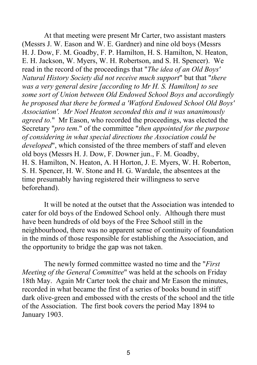At that meeting were present Mr Carter, two assistant masters (Messrs J. W. Eason and W. E. Gardner) and nine old boys (Messrs H. J. Dow, F. M. Goadby, F. P. Hamilton, H. S. Hamilton, N. Heaton, E. H. Jackson, W. Myers, W. H. Robertson, and S. H. Spencer). We read in the record of the proceedings that "*The idea of an Old Boys' Natural History Society did not receive much support*" but that "*there was a very general desire [according to Mr H. S. Hamilton] to see some sort of Union between Old Endowed School Boys and accordingly he proposed that there be formed a 'Watford Endowed School Old Boys' Association'. Mr Noel Heaton seconded this and it was unanimously agreed to.*" Mr Eason, who recorded the proceedings, was elected the Secretary "*pro tem*." of the committee "*then appointed for the purpose of considering in what special directions the Association could be developed*", which consisted of the three members of staff and eleven old boys (Messrs H. J. Dow, F. Downer jun., F. M. Goadby, H. S. Hamilton, N. Heaton, A. H Horton, J. E. Myers, W. H. Roberton, S. H. Spencer, H. W. Stone and H. G. Wardale, the absentees at the time presumably having registered their willingness to serve beforehand).

It will be noted at the outset that the Association was intended to cater for old boys of the Endowed School only. Although there must have been hundreds of old boys of the Free School still in the neighbourhood, there was no apparent sense of continuity of foundation in the minds of those responsible for establishing the Association, and the opportunity to bridge the gap was not taken.

The newly formed committee wasted no time and the "*First Meeting of the General Committee*" was held at the schools on Friday 18th May. Again Mr Carter took the chair and Mr Eason the minutes, recorded in what became the first of a series of books bound in stiff dark olive-green and embossed with the crests of the school and the title of the Association. The first book covers the period May 1894 to January 1903.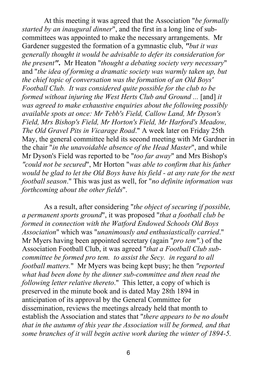At this meeting it was agreed that the Association "*be formally started by an inaugural dinner*", and the first in a long line of subcommittees was appointed to make the necessary arrangements. Mr Gardener suggested the formation of a gymnastic club, *"but it was generally thought it would be advisable to defer its consideration for the present"***.** Mr Heaton "*thought a debating society very necessary*" and "*the idea of forming a dramatic society was warmly taken up, but the chief topic of conversation was the formation of an Old Boys' Football Club. It was considered quite possible for the club to be formed without injuring the West Herts Club and Ground ...* [and] *it was agreed to make exhaustive enquiries about the following possibly available spots at once: Mr Tebb's Field, Callow Land, Mr Dyson's Field, Mrs Bishop's Field, Mr Horton's Field, Mr Harford's Meadow, The Old Gravel Pits in Vicarage Road*." A week later on Friday 25th May, the general committee held its second meeting with Mr Gardner in the chair "*in the unavoidable absence of the Head Master*", and while Mr Dyson's Field was reported to be "*too far away*" and Mrs Bishop's *"could not be secured*", Mr Horton "*was able to confirm that his father would be glad to let the Old Boys have his field - at any rate for the next football season*." This was just as well, for "*no definite information was forthcoming about the other fields*".

As a result, after considering "*the object of securing if possible, a permanent sports ground*", it was proposed "*that a football club be formed in connection with the Watford Endowed Schools Old Boys Association*" which was "*unanimously and enthusiastically carried*." Mr Myers having been appointed secretary (again "*pro tem"*.) of the Association Football Club, it was agreed "*that a Football Club subcommittee be formed pro tem. to assist the Secy. in regard to all football matters.*" Mr Myers was being kept busy; he then *"reported what had been done by the dinner sub-committee and then read the following letter relative thereto*." This letter, a copy of which is preserved in the minute book and is dated May 28th 1894 in anticipation of its approval by the General Committee for dissemination, reviews the meetings already held that month to establish the Association and states that "*there appears to be no doubt that in the autumn of this year the Association will be formed, and that some branches of it will begin active work during the winter of 1894-5.*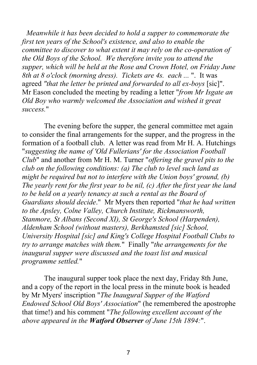*Meanwhile it has been decided to hold a supper to commemorate the first ten years of the School's existence, and also to enable the committee to discover to what extent it may rely on the co-operation of the Old Boys of the School. We therefore invite you to attend the supper, which will be held at the Rose and Crown Hotel, on Friday June 8th at 8 o'clock (morning dress). Tickets are 4s. each ...* ". It was agreed *"that the letter be printed and forwarded to all ex-boys* [sic]". Mr Eason concluded the meeting by reading a letter "*from Mr Isgate an Old Boy who warmly welcomed the Association and wished it great success.*"

The evening before the supper, the general committee met again to consider the final arrangements for the supper, and the progress in the formation of a football club. A letter was read from Mr H. A. Hutchings "*suggesting the name of 'Old Fullerians' for the Association Football Club*" and another from Mr H. M. Turner "*offering the gravel pits to the club on the following conditions: (a) The club to level such land as might be required but not to interfere with the Union boys' ground, (b) The yearly rent for the first year to be nil, (c) After the first year the land to be held on a yearly tenancy at such a rental as the Board of Guardians should decide*." Mr Myers then reported "*that he had written to the Apsley, Colne Valley, Church Institute, Rickmansworth, Stanmore, St Albans (Second XI), St George's School (Harpenden), Aldenham School (without masters), Berkhamsted [sic] School, University Hospital [sic] and King's College Hospital Football Clubs to try to arrange matches with them.*" Finally "*the arrangements for the inaugural supper were discussed and the toast list and musical programme settled.*"

The inaugural supper took place the next day, Friday 8th June, and a copy of the report in the local press in the minute book is headed by Mr Myers' inscription "*The Inaugural Supper of the Watford Endowed School Old Boys' Association*" (he remembered the apostrophe that time!) and his comment "*The following excellent account of the above appeared in the Watford Observer of June 15th 1894:*".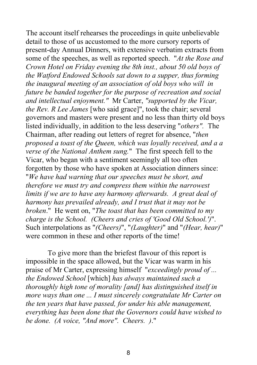The account itself rehearses the proceedings in quite unbelievable detail to those of us accustomed to the more cursory reports of present-day Annual Dinners, with extensive verbatim extracts from some of the speeches, as well as reported speech. "*At the Rose and Crown Hotel on Friday evening the 8th inst., about 50 old boys of the Watford Endowed Schools sat down to a supper, thus forming the inaugural meeting of an association of old boys who will in future be banded together for the purpose of recreation and social and intellectual enjoyment."* Mr Carter, *"supported by the Vicar, the Rev. R Lee James* [who said grace]", took the chair; several governors and masters were present and no less than thirty old boys listed individually, in addition to the less deserving "*others".* The Chairman, after reading out letters of regret for absence, "*then proposed a toast of the Queen, which was loyally received, and a a verse of the National Anthem sung.*" The first speech fell to the Vicar, who began with a sentiment seemingly all too often forgotten by those who have spoken at Association dinners since: "*We have had warning that our speeches must be short, and therefore we must try and compress them within the narrowest limits if we are to have any harmony afterwards. A great deal of harmony has prevailed already, and I trust that it may not be broken*." He went on, "*The toast that has been committed to my charge is the School. (Cheers and cries of 'Good Old School.')*". Such interpolations as "*(Cheers)*", "*(Laughter)*" and "*(Hear, hear)*" were common in these and other reports of the time!

To give more than the briefest flavour of this report is impossible in the space allowed, but the Vicar was warm in his praise of Mr Carter, expressing himself "*exceedingly proud of ... the Endowed School* [which] *has always maintained such a thoroughly high tone of morality [and] has distinguished itself in more ways than one ... I must sincerely congratulate Mr Carter on the ten years that have passed, for under his able management, everything has been done that the Governors could have wished to be done. (A voice, "And more". Cheers. )*."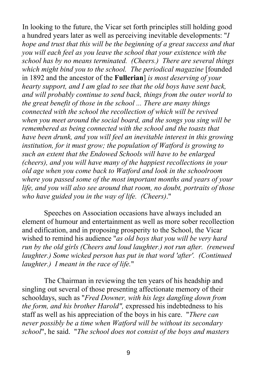In looking to the future, the Vicar set forth principles still holding good a hundred years later as well as perceiving inevitable developments: "*I hope and trust that this will be the beginning of a great success and that you will each feel as you leave the school that your existence with the school has by no means terminated. (Cheers.) There are several things which might bind you to the school. The periodical magazine* [founded in 1892 and the ancestor of the **Fullerian**] *is most deserving of your hearty support, and I am glad to see that the old boys have sent back, and will probably continue to send back, things from the outer world to the great benefit of those in the school ... There are many things connected with the school the recollection of which will be revived when you meet around the social board, and the songs you sing will be remembered as being connected with the school and the toasts that have been drunk, and you will feel an inevitable interest in this growing institution, for it must grow; the population of Watford is growing to such an extent that the Endowed Schools will have to be enlarged (cheers), and you will have many of the happiest recollections in your old age when you come back to Watford and look in the schoolroom where you passed some of the most important months and years of your life, and you will also see around that room, no doubt, portraits of those who have guided you in the way of life. (Cheers)*."

Speeches on Association occasions have always included an element of humour and entertainment as well as more sober recollection and edification, and in proposing prosperity to the School, the Vicar wished to remind his audience "*as old boys that you will be very hard run by the old girls (Cheers and loud laughter.) not run after. (renewed laughter.) Some wicked person has put in that word 'after'. (Continued laughter.) I meant in the race of life.*"

The Chairman in reviewing the ten years of his headship and singling out several of those presenting affectionate memory of their schooldays, such as "*Fred Downer, with his legs dangling down from the form, and his brother Harold",* expressed his indebtedness to his staff as well as his appreciation of the boys in his care. "*There can never possibly be a time when Watford will be without its secondary school*", he said. "*The school does not consist of the boys and masters*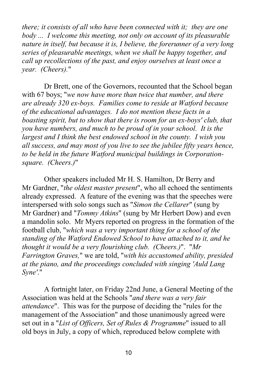*there; it consists of all who have been connected with it; they are one body ... I welcome this meeting, not only on account of its pleasurable nature in itself, but because it is, I believe, the forerunner of a very long series of pleasurable meetings, when we shall be happy together, and call up recollections of the past, and enjoy ourselves at least once a year. (Cheers).*"

Dr Brett, one of the Governors, recounted that the School began with 67 boys; "*we now have more than twice that number, and there are already 320 ex-boys. Families come to reside at Watford because of the educational advantages. I do not mention these facts in a boasting spirit, but to show that there is room for an ex-boys' club, that you have numbers, and much to be proud of in your school. It is the largest and I think the best endowed school in the county. I wish you all success, and may most of you live to see the jubilee fifty years hence, to be held in the future Watford municipal buildings in Corporationsquare. (Cheers.)*"

Other speakers included Mr H. S. Hamilton, Dr Berry and Mr Gardner, "*the oldest master present*", who all echoed the sentiments already expressed. A feature of the evening was that the speeches were interspersed with solo songs such as "*Simon the Cellarer*" (sung by Mr Gardner) and "*Tommy Atkins*" (sung by Mr Herbert Dow) and even a mandolin solo. Mr Myers reported on progress in the formation of the football club, "*which was a very important thing for a school of the standing of the Watford Endowed School to have attached to it, and he thought it would be a very flourishing club. (Cheers.)*". "*Mr Farrington Graves,*" we are told, "*with his accustomed ability, presided at the piano, and the proceedings concluded with singing 'Auld Lang Syne'*."

A fortnight later, on Friday 22nd June, a General Meeting of the Association was held at the Schools "*and there was a very fair attendance*". This was for the purpose of deciding the "rules for the management of the Association" and those unanimously agreed were set out in a "*List of Officers, Set of Rules & Programme*" issued to all old boys in July, a copy of which, reproduced below complete with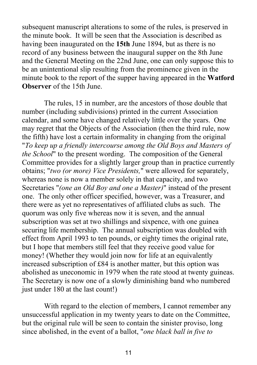subsequent manuscript alterations to some of the rules, is preserved in the minute book. It will be seen that the Association is described as having been inaugurated on the **15th** June 1894, but as there is no record of any business between the inaugural supper on the 8th June and the General Meeting on the 22nd June, one can only suppose this to be an unintentional slip resulting from the prominence given in the minute book to the report of the supper having appeared in the **Watford Observer** of the 15th June.

The rules, 15 in number, are the ancestors of those double that number (including subdivisions) printed in the current Association calendar, and some have changed relatively little over the years. One may regret that the Objects of the Association (then the third rule, now the fifth) have lost a certain informality in changing from the original "*To keep up a friendly intercourse among the Old Boys and Masters of the School*" to the present wording. The composition of the General Committee provides for a slightly larger group than in practice currently obtains; "*two (or more) Vice Presidents,*" were allowed for separately, whereas none is now a member solely in that capacity, and two Secretaries "*(one an Old Boy and one a Master)*" instead of the present one. The only other officer specified, however, was a Treasurer, and there were as yet no representatives of affiliated clubs as such. The quorum was only five whereas now it is seven, and the annual subscription was set at two shillings and sixpence, with one guinea securing life membership. The annual subscription was doubled with effect from April 1993 to ten pounds, or eighty times the original rate, but I hope that members still feel that they receive good value for money! (Whether they would join now for life at an equivalently increased subscription of £84 is another matter, but this option was abolished as uneconomic in 1979 when the rate stood at twenty guineas. The Secretary is now one of a slowly diminishing band who numbered just under 180 at the last count!)

With regard to the election of members, I cannot remember any unsuccessful application in my twenty years to date on the Committee, but the original rule will be seen to contain the sinister proviso, long since abolished, in the event of a ballot, "*one black ball in five to*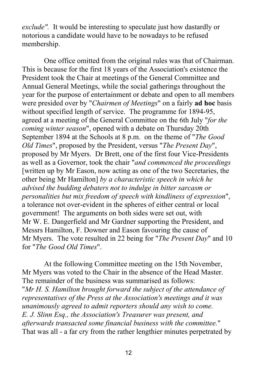*exclude".* It would be interesting to speculate just how dastardly or notorious a candidate would have to be nowadays to be refused membership.

One office omitted from the original rules was that of Chairman. This is because for the first 18 years of the Association's existence the President took the Chair at meetings of the General Committee and Annual General Meetings, while the social gatherings throughout the year for the purpose of entertainment or debate and open to all members were presided over by "*Chairmen of Meetings*" on a fairly **ad hoc** basis without specified length of service. The programme for 1894-95, agreed at a meeting of the General Committee on the 6th July "*for the coming winter season*", opened with a debate on Thursday 20th September 1894 at the Schools at 8 p.m. on the theme of "*The Good Old Times*", proposed by the President, versus "*The Present Day*", proposed by Mr Myers. Dr Brett, one of the first four Vice-Presidents as well as a Governor, took the chair "*and commenced the proceedings* [written up by Mr Eason, now acting as one of the two Secretaries, the other being Mr Hamilton] *by a characteristic speech in which he advised the budding debaters not to indulge in bitter sarcasm or personalities but mix freedom of speech with kindliness of expression*", a tolerance not over-evident in the spheres of either central or local government! The arguments on both sides were set out, with Mr W. E. Dangerfield and Mr Gardner supporting the President, and Messrs Hamilton, F. Downer and Eason favouring the cause of Mr Myers. The vote resulted in 22 being for "*The Present Day*" and 10 for "*The Good Old Times*".

At the following Committee meeting on the 15th November, Mr Myers was voted to the Chair in the absence of the Head Master. The remainder of the business was summarised as follows: "*Mr H. S. Hamilton brought forward the subject of the attendance of representatives of the Press at the Association's meetings and it was unanimously agreed to admit reporters should any wish to come. E. J. Slinn Esq., the Association's Treasurer was present, and afterwards transacted some financial business with the committee.*" That was all - a far cry from the rather lengthier minutes perpetrated by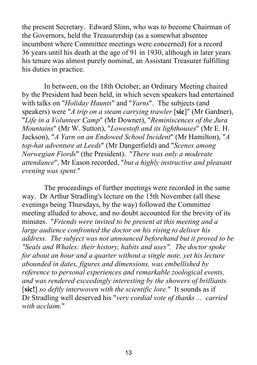the present Secretary. Edward Slinn, who was to become Chairman of the Governors, held the Treasurership (as a somewhat absentee incumbent where Committee meetings were concerned) for a record 36 years until his death at the age of 91 in 1930, although in later years his tenure was almost purely nominal, an Assistant Treasurer fulfilling his duties in practice.

In between, on the 18th October, an Ordinary Meeting chaired by the President had been held, in which seven speakers had entertained with talks on "*Holiday Haunts*" and "*Yarns*". The subjects (and speakers) were "*A trip on a steam carrying trawler* [**sic**]" (Mr Gardner), "*Life in a Volunteer Camp*" (Mr Downer), "*Reminiscences of the Jura Mountains*" (Mr W. Sutton), "*Lowestoft and its lighthouses*" (Mr E. H. Jackson), "*A Yarn on an Endowed School Incident*" (Mr Hamilton), "*A top-hat adventure at Leeds*" (Mr Dangerfield) and "*Scenes among Norwegian Fiords*" (the President). "*There was only a moderate attendance*", Mr Eason recorded, "*but a highly instructive and pleasant evening was spent.*"

The proceedings of further meetings were recorded in the same way. Dr Arthur Stradling's lecture on the 15th November (all these evenings being Thursdays, by the way) followed the Committee meeting alluded to above, and no doubt accounted for the brevity of its minutes. "*Friends were invited to be present at this meeting and a large audience confronted the doctor on his rising to deliver his address. The subject was not announced beforehand but it proved to be "Seals and Whales: their history, habits and uses". The doctor spoke for about an hour and a quarter without a single note, yet his lecture abounded in dates, figures and dimensions, was embellished by reference to personal experiences and remarkable zoological events, and was rendered exceedingly interesting by the showers of brilliants* [**sic!**] *so deftly interwoven with the scientific lore.*" It sounds as if Dr Stradling well deserved his "*very cordial vote of thanks ... carried with acclaim.*"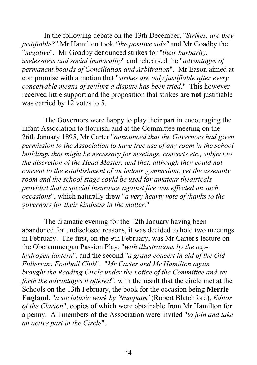In the following debate on the 13th December, "*Strikes, are they justifiable?*" Mr Hamilton took *"the positive side"* and Mr Goadby the "*negative*". Mr Goadby denounced strikes for "*their barbarity, uselessness and social immorality*" and rehearsed the "*advantages of permanent boards of Conciliation and Arbitration*". Mr Eason aimed at compromise with a motion that "*strikes are only justifiable after every conceivable means of settling a dispute has been tried.*" This however received little support and the proposition that strikes are **not** justifiable was carried by 12 votes to 5.

The Governors were happy to play their part in encouraging the infant Association to flourish, and at the Committee meeting on the 26th January 1895, Mr Carter "*announced that the Governors had given permission to the Association to have free use of any room in the school buildings that might be necessary for meetings, concerts etc., subject to the discretion of the Head Master, and that, although they could not consent to the establishment of an indoor gymnasium, yet the assembly room and the school stage could be used for amateur theatricals provided that a special insurance against fire was effected on such occasions*", which naturally drew "*a very hearty vote of thanks to the governors for their kindness in the matter.*"

The dramatic evening for the 12th January having been abandoned for undisclosed reasons, it was decided to hold two meetings in February. The first, on the 9th February, was Mr Carter's lecture on the Oberammergau Passion Play, "*with illustrations by the oxyhydrogen lantern*", and the second "*a grand concert in aid of the Old Fullerians Football Club*". "*Mr Carter and Mr Hamilton again brought the Reading Circle under the notice of the Committee and set forth the advantages it offered*", with the result that the circle met at the Schools on the 13th February, the book for the occasion being **Merrie England**, "*a socialistic work by 'Nunquam'* (Robert Blatchford), *Editor of the Clarion*", copies of which were obtainable from Mr Hamilton for a penny. All members of the Association were invited "*to join and take an active part in the Circle*".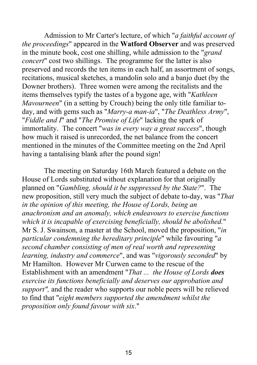Admission to Mr Carter's lecture, of which "*a faithful account of the proceedings*" appeared in the **Watford Observer** and was preserved in the minute book, cost one shilling, while admission to the "*grand concert*" cost two shillings. The programme for the latter is also preserved and records the ten items in each half, an assortment of songs, recitations, musical sketches, a mandolin solo and a banjo duet (by the Downer brothers). Three women were among the recitalists and the items themselves typify the tastes of a bygone age, with "*Kathleen Mavourneen*" (in a setting by Crouch) being the only title familiar today, and with gems such as "*Marry-a man-ia*", "*The Deathless Army*", "*Fiddle and I*" and "*The Promise of Life*" lacking the spark of immortality. The concert "*was in every way a great success*", though how much it raised is unrecorded, the net balance from the concert mentioned in the minutes of the Committee meeting on the 2nd April having a tantalising blank after the pound sign!

The meeting on Saturday 16th March featured a debate on the House of Lords substituted without explanation for that originally planned on "*Gambling, should it be suppressed by the State?*". The new proposition, still very much the subject of debate to-day, was "*That in the opinion of this meeting, the House of Lords, being an anachronism and an anomaly, which endeavours to exercise functions which it is incapable of exercising beneficially, should be abolished.*" Mr S. J. Swainson, a master at the School, moved the proposition, "*in particular condemning the hereditary principle*" while favouring "*a second chamber consisting of men of real worth and representing learning, industry and commerce*", and was "*vigorously seconded*" by Mr Hamilton. However Mr Curwen came to the rescue of the Establishment with an amendment "*That ... the House of Lords does exercise its functions beneficially and deserves our approbation and support",* and the reader who supports our noble peers will be relieved to find that "*eight members supported the amendment whilst the proposition only found favour with six*."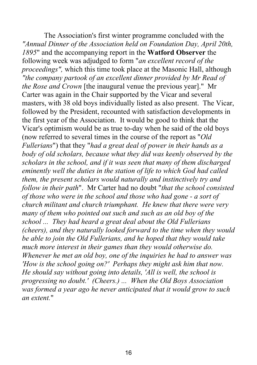The Association's first winter programme concluded with the *"Annual Dinner of the Association held on Foundation Day, April 20th, 1895*" and the accompanying report in the **Watford Observer** the following week was adjudged to form "*an excellent record of the proceedings",* which this time took place at the Masonic Hall, although *"the company partook of an excellent dinner provided by Mr Read of the Rose and Crown* [the inaugural venue the previous year]." Mr Carter was again in the Chair supported by the Vicar and several masters, with 38 old boys individually listed as also present. The Vicar, followed by the President, recounted with satisfaction developments in the first year of the Association. It would be good to think that the Vicar's optimism would be as true to-day when he said of the old boys (now referred to several times in the course of the report as "*Old Fullerians*") that they "*had a great deal of power in their hands as a body of old scholars, because what they did was keenly observed by the scholars in the school, and if it was seen that many of them discharged eminently well the duties in the station of life to which God had called them, the present scholars would naturally and instinctively try and follow in their path*". Mr Carter had no doubt "*that the school consisted of those who were in the school and those who had gone - a sort of church militant and church triumphant. He knew that there were very many of them who pointed out such and such as an old boy of the school ... They had heard a great deal about the Old Fullerians (cheers), and they naturally looked forward to the time when they would be able to join the Old Fullerians, and he hoped that they would take much more interest in their games than they would otherwise do. Whenever he met an old boy, one of the inquiries he had to answer was 'How is the school going on?' Perhaps they might ask him that now. He should say without going into details, 'All is well, the school is progressing no doubt.' (Cheers.) ... When the Old Boys Association was formed a year ago he never anticipated that it would grow to such an extent.*"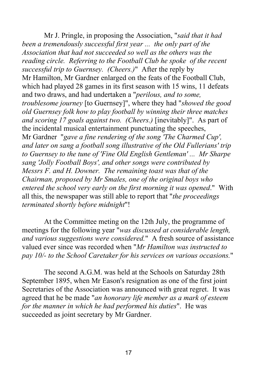Mr J. Pringle, in proposing the Association, "*said that it had been a tremendously successful first year ... the only part of the Association that had not succeeded so well as the others was the reading circle. Referring to the Football Club he spoke of the recent successful trip to Guernsey. (Cheers.)*" After the reply by Mr Hamilton, Mr Gardner enlarged on the feats of the Football Club, which had played 28 games in its first season with 15 wins, 11 defeats and two draws, and had undertaken a "*perilous, and to some, troublesome journey* [to Guernsey]", where they had "*showed the good old Guernsey folk how to play football by winning their three matches and scoring 17 goals against two. (Cheers.)* [inevitably]". As part of the incidental musical entertainment punctuating the speeches, Mr Gardner "*gave a fine rendering of the song 'The Charmed Cup', and later on sang a football song illustrative of the Old Fullerians' trip to Guernsey to the tune of 'Fine Old English Gentleman' ... Mr Sharpe sang 'Jolly Football Boys', and other songs were contributed by Messrs F. and H. Downer. The remaining toast was that of the Chairman, proposed by Mr Smales, one of the original boys who entered the school very early on the first morning it was opened*." With all this, the newspaper was still able to report that "*the proceedings terminated shortly before midnight*"!

At the Committee meting on the 12th July, the programme of meetings for the following year "*was discussed at considerable length, and various suggestions were considered.*" A fresh source of assistance valued ever since was recorded when "*Mr Hamilton was instructed to pay 10/- to the School Caretaker for his services on various occasions.*"

The second A.G.M. was held at the Schools on Saturday 28th September 1895, when Mr Eason's resignation as one of the first joint Secretaries of the Association was announced with great regret. It was agreed that he be made "*an honorary life member as a mark of esteem for the manner in which he had performed his duties*". He was succeeded as joint secretary by Mr Gardner.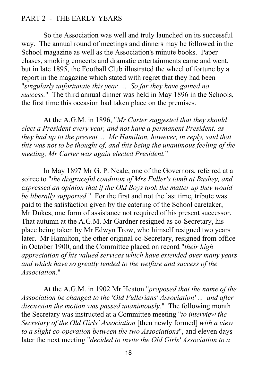### PART 2 - THE EARLY YEARS

So the Association was well and truly launched on its successful way. The annual round of meetings and dinners may be followed in the School magazine as well as the Association's minute books. Paper chases, smoking concerts and dramatic entertainments came and went, but in late 1895, the Football Club illustrated the wheel of fortune by a report in the magazine which stated with regret that they had been "*singularly unfortunate this year ... So far they have gained no success.*" The third annual dinner was held in May 1896 in the Schools, the first time this occasion had taken place on the premises.

At the A.G.M. in 1896, "*Mr Carter suggested that they should elect a President every year, and not have a permanent President, as they had up to the present ... Mr Hamilton, however, in reply, said that this was not to be thought of, and this being the unanimous feeling of the meeting, Mr Carter was again elected President.*"

In May 1897 Mr G. P. Neale, one of the Governors, referred at a soiree to "*the disgraceful condition of Mrs Fuller's tomb at Bushey, and expressed an opinion that if the Old Boys took the matter up they would be liberally supported.*" For the first and not the last time, tribute was paid to the satisfaction given by the catering of the School caretaker, Mr Dukes, one form of assistance not required of his present successor. That autumn at the A.G.M. Mr Gardner resigned as co-Secretary, his place being taken by Mr Edwyn Trow, who himself resigned two years later. Mr Hamilton, the other original co-Secretary, resigned from office in October 1900, and the Committee placed on record "*their high appreciation of his valued services which have extended over many years and which have so greatly tended to the welfare and success of the Association.*"

At the A.G.M. in 1902 Mr Heaton "*proposed that the name of the Association be changed to the 'Old Fullerians' Association' ... and after discussion the motion was passed unanimously.*" The following month the Secretary was instructed at a Committee meeting "*to interview the Secretary of the Old Girls' Association* [then newly formed] *with a view to a slight co-operation between the two Associations*", and eleven days later the next meeting "*decided to invite the Old Girls' Association to a*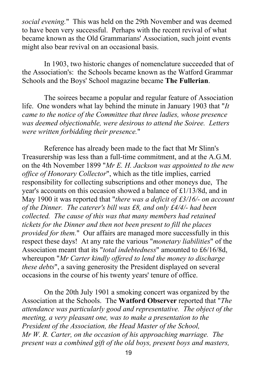*social evening.*" This was held on the 29th November and was deemed to have been very successful. Perhaps with the recent revival of what became known as the Old Grammarians' Association, such joint events might also bear revival on an occasional basis.

In 1903, two historic changes of nomenclature succeeded that of the Association's: the Schools became known as the Watford Grammar Schools and the Boys' School magazine became **The Fullerian**.

The soirees became a popular and regular feature of Association life. One wonders what lay behind the minute in January 1903 that "*It came to the notice of the Committee that three ladies, whose presence was deemed objectionable, were desirous to attend the Soiree. Letters were written forbidding their presence.*"

Reference has already been made to the fact that Mr Slinn's Treasurership was less than a full-time commitment, and at the A.G.M. on the 4th November 1899 "*Mr E. H. Jackson was appointed to the new office of Honorary Collector*", which as the title implies, carried responsibility for collecting subscriptions and other moneys due, The year's accounts on this occasion showed a balance of £1/13/8d, and in May 1900 it was reported that "*there was a deficit of £3/16/- on account of the Dinner. The caterer's bill was £8, and only £4/4/- had been collected. The cause of this was that many members had retained tickets for the Dinner and then not been present to fill the places provided for them.*" Our affairs are managed more successfully in this respect these days! At any rate the various "*monetary liabilities*" of the Association meant that its "*total indebtedness*" amounted to £6/16/8d, whereupon "*Mr Carter kindly offered to lend the money to discharge these debts*", a saving generosity the President displayed on several occasions in the course of his twenty years' tenure of office.

On the 20th July 1901 a smoking concert was organized by the Association at the Schools. The **Watford Observer** reported that "*The attendance was particularly good and representative. The object of the meeting, a very pleasant one, was to make a presentation to the President of the Association, the Head Master of the School, Mr W. R. Carter, on the occasion of his approaching marriage. The present was a combined gift of the old boys, present boys and masters,*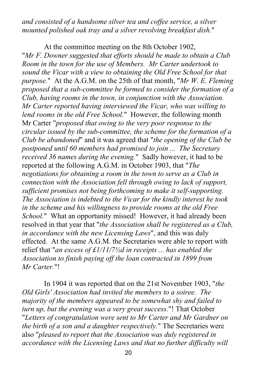*and consisted of a handsome silver tea and coffee service, a silver mounted polished oak tray and a silver revolving breakfast dish.*"

At the committee meeting on the 8th October 1902, "*Mr F. Downer suggested that efforts should be made to obtain a Club Room in the town for the use of Members. Mr Carter undertook to sound the Vicar with a view to obtaining the Old Free School for that purpose.*" At the A.G.M. on the 25th of that month, "*Mr W. E. Fleming proposed that a sub-committee be formed to consider the formation of a Club, having rooms in the town, in conjunction with the Association. Mr Carter reported having interviewed the Vicar, who was willing to lend rooms in the old Free School.*" However, the following month Mr Carter "*proposed that owing to the very poor response to the circular issued by the sub-committee, the scheme for the formation of a Club be abandoned*" and it was agreed that "*the opening of the Club be postponed until 60 members had promised to join ... The Secretary received 36 names during the evening.*" Sadly however, it had to be reported at the following A.G.M. in October 1903, that "*The negotiations for obtaining a room in the town to serve as a Club in connection with the Association fell through owing to lack of support, sufficient promises not being forthcoming to make it self-supporting. The Association is indebted to the Vicar for the kindly interest he took in the scheme and his willingness to provide rooms at the old Free School.*" What an opportunity missed! However, it had already been resolved in that year that "*the Association shall be registered as a Club, in accordance with the new Licensing Laws*", and this was duly effected. At the same A.G.M. the Secretaries were able to report with relief that "*an excess of £1/11/7½d in receipts ... has enabled the Association to finish paying off the loan contracted in 1899 from Mr Carter.*"!

In 1904 it was reported that on the 21st November 1903, "*the Old Girls' Association had invited the members to a soiree. The majority of the members appeared to be somewhat shy and failed to turn up, but the evening was a very great success.*"! That October "*Letters of congratulation were sent to Mr Carter and Mr Gardner on the birth of a son and a daughter respectively.*" The Secretaries were also "*pleased to report that the Association was duly registered in accordance with the Licensing Laws and that no further difficulty will*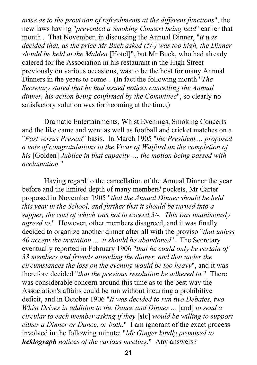*arise as to the provision of refreshments at the different functions*", the new laws having "*prevented a Smoking Concert being held*" earlier that month . That November, in discussing the Annual Dinner, "*it was decided that, as the price Mr Buck asked (5/-) was too high, the Dinner should be held at the Malden* [Hotel]", but Mr Buck, who had already catered for the Association in his restaurant in the High Street previously on various occasions, was to be the host for many Annual Dinners in the years to come . (In fact the following month "*The Secretary stated that he had issued notices cancelling the Annual dinner, his action being confirmed by the Committee*", so clearly no satisfactory solution was forthcoming at the time.)

Dramatic Entertainments, Whist Evenings, Smoking Concerts and the like came and went as well as football and cricket matches on a "*Past versus Present*" basis. In March 1905 "*the President ... proposed a vote of congratulations to the Vicar of Watford on the completion of his* [Golden] *Jubilee in that capacity ..., the motion being passed with acclamation.*"

Having regard to the cancellation of the Annual Dinner the year before and the limited depth of many members' pockets, Mr Carter proposed in November 1905 "*that the Annual Dinner should be held this year in the School, and further that it should be turned into a supper, the cost of which was not to exceed 3/-. This was unanimously agreed to.*" However, other members disagreed, and it was finally decided to organize another dinner after all with the proviso "*that unless 40 accept the invitation ... it should be abandoned*". The Secretary eventually reported in February 1906 "*that he could only be certain of 33 members and friends attending the dinner, and that under the circumstances the loss on the evening would be too heavy*", and it was therefore decided "*that the previous resolution be adhered to.*" There was considerable concern around this time as to the best way the Association's affairs could be run without incurring a prohibitive deficit, and in October 1906 "*It was decided to run two Debates, two Whist Drives in addition to the Dance and Dinner ...* [and] *to send a circular to each member asking if they* [**sic**] *would be willing to support either a Dinner or Dance, or both.*" I am ignorant of the exact process involved in the following minute: "*Mr Ginger kindly promised to heklograph notices of the various meeting.*" Any answers?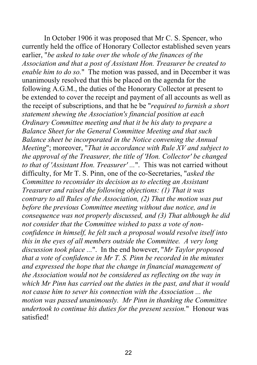In October 1906 it was proposed that Mr C. S. Spencer, who currently held the office of Honorary Collector established seven years earlier, "*be asked to take over the whole of the finances of the Association and that a post of Assistant Hon. Treasurer be created to enable him to do so.*" The motion was passed, and in December it was unanimously resolved that this be placed on the agenda for the following A.G.M., the duties of the Honorary Collector at present to be extended to cover the receipt and payment of all accounts as well as the receipt of subscriptions, and that he be "*required to furnish a short statement shewing the Association's financial position at each Ordinary Committee meeting and that it be his duty to prepare a Balance Sheet for the General Committee Meeting and that such Balance sheet be incorporated in the Notice convening the Annual Meeting*"; moreover, "*That in accordance with Rule XV and subject to the approval of the Treasurer, the title of 'Hon. Collector' be changed to that of 'Assistant Hon. Treasurer' ...*". This was not carried without difficulty, for Mr T. S. Pinn, one of the co-Secretaries, "*asked the Committee to reconsider its decision as to electing an Assistant Treasurer and raised the following objections: (1) That it was contrary to all Rules of the Association, (2) That the motion was put before the previous Committee meeting without due notice, and in consequence was not properly discussed, and (3) That although he did not consider that the Committee wished to pass a vote of nonconfidence in himself, he felt such a proposal would resolve itself into this in the eyes of all members outside the Committee. A very long discussion took place ...*". In the end however, "*Mr Taylor proposed that a vote of confidence in Mr T. S. Pinn be recorded in the minutes and expressed the hope that the change in financial management of the Association would not be considered as reflecting on the way in which Mr Pinn has carried out the duties in the past, and that it would not cause him to sever his connection with the Association ... the motion was passed unanimously. Mr Pinn in thanking the Committee undertook to continue his duties for the present session.*" Honour was satisfied!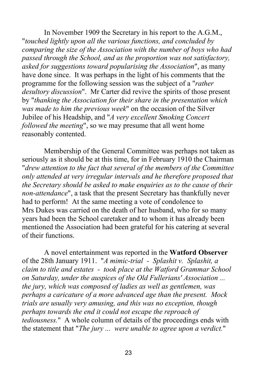In November 1909 the Secretary in his report to the A.G.M., "*touched lightly upon all the various functions, and concluded by comparing the size of the Association with the number of boys who had passed through the School, and as the proportion was not satisfactory, asked for suggestions toward popularising the Association*", as many have done since. It was perhaps in the light of his comments that the programme for the following session was the subject of a "*rather desultory discussion*". Mr Carter did revive the spirits of those present by "*thanking the Association for their share in the presentation which was made to him the previous week*" on the occasion of the Silver Jubilee of his Headship, and "*A very excellent Smoking Concert followed the meeting*", so we may presume that all went home reasonably contented.

Membership of the General Committee was perhaps not taken as seriously as it should be at this time, for in February 1910 the Chairman "*drew attention to the fact that several of the members of the Committee only attended at very irregular intervals and he therefore proposed that the Secretary should be asked to make enquiries as to the cause of their non-attendance*", a task that the present Secretary has thankfully never had to perform! At the same meeting a vote of condolence to Mrs Dukes was carried on the death of her husband, who for so many years had been the School caretaker and to whom it has already been mentioned the Association had been grateful for his catering at several of their functions.

A novel entertainment was reported in the **Watford Observer** of the 28th January 1911. "*A mimic-trial - Splashit v. Splashit, a claim to title and estates - took place at the Watford Grammar School on Saturday, under the auspices of the Old Fullerians' Association ... the jury, which was composed of ladies as well as gentlemen, was perhaps a caricature of a more advanced age than the present. Mock trials are usually very amusing, and this was no exception, though perhaps towards the end it could not escape the reproach of tediousness.*" A whole column of details of the proceedings ends with the statement that "*The jury ... were unable to agree upon a verdict.*"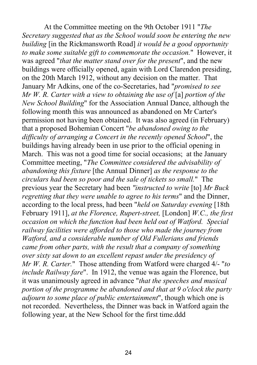At the Committee meeting on the 9th October 1911 "*The Secretary suggested that as the School would soon be entering the new building* [in the Rickmansworth Road] *it would be a good opportunity to make some suitable gift to commemorate the occasion.*" However, it was agreed "*that the matter stand over for the present*", and the new buildings were officially opened, again with Lord Clarendon presiding, on the 20th March 1912, without any decision on the matter. That January Mr Adkins, one of the co-Secretaries, had "*promised to see Mr W. R. Carter with a view to obtaining the use of* [a] *portion of the New School Building*" for the Association Annual Dance, although the following month this was announced as abandoned on Mr Carter's permission not having been obtained. It was also agreed (in February) that a proposed Bohemian Concert "*be abandoned owing to the difficulty of arranging a Concert in the recently opened School*", the buildings having already been in use prior to the official opening in March. This was not a good time for social occasions; at the January Committee meeting, "*The Committee considered the advisability of abandoning this fixture* [the Annual Dinner] *as the response to the circulars had been so poor and the sale of tickets so small.*" The previous year the Secretary had been *"instructed to write* [to] *Mr Buck regretting that they were unable to agree to his terms*" and the Dinner, according to the local press, had been "*held on Saturday evening* [18th February 1911], *at the Florence, Rupert-street,* [London] *W.C., the first occasion on which the function had been held out of Watford. Special railway facilities were afforded to those who made the journey from Watford, and a considerable number of Old Fullerians and friends came from other parts, with the result that a company of something over sixty sat down to an excellent repast under the presidency of Mr W. R. Carter.*" Those attending from Watford were charged 4/- "*to include Railway fare*". In 1912, the venue was again the Florence, but it was unanimously agreed in advance "*that the speeches and musical portion of the programme be abandoned and that at 9 o'clock the party adjourn to some place of public entertainment*", though which one is not recorded. Nevertheless, the Dinner was back in Watford again the following year, at the New School for the first time.ddd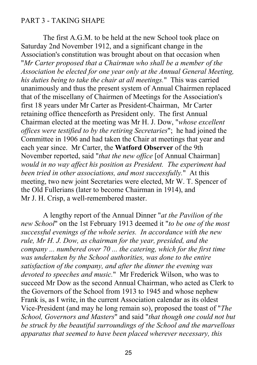### PART 3 - TAKING SHAPE

The first A.G.M. to be held at the new School took place on Saturday 2nd November 1912, and a significant change in the Association's constitution was brought about on that occasion when "*Mr Carter proposed that a Chairman who shall be a member of the Association be elected for one year only at the Annual General Meeting, his duties being to take the chair at all meetings.*" This was carried unanimously and thus the present system of Annual Chairmen replaced that of the miscellany of Chairmen of Meetings for the Association's first 18 years under Mr Carter as President-Chairman, Mr Carter retaining office thenceforth as President only. The first Annual Chairman elected at the meeting was Mr H. J. Dow, "*whose excellent offices were testified to by the retiring Secretaries*"; he had joined the Committee in 1906 and had taken the Chair at meetings that year and each year since. Mr Carter, the **Watford Observer** of the 9th November reported, said "*that the new office* [of Annual Chairman] *would in no way affect his position as President. The experiment had been tried in other associations, and most successfully.*" At this meeting, two new joint Secretaries were elected, Mr W. T. Spencer of the Old Fullerians (later to become Chairman in 1914), and Mr J. H. Crisp, a well-remembered master.

A lengthy report of the Annual Dinner "*at the Pavilion of the new School*" on the 1st February 1913 deemed it "*to be one of the most successful evenings of the whole series. In accordance with the new rule, Mr H. J. Dow, as chairman for the year, presided, and the company ... numbered over 70 ... the catering, which for the first time was undertaken by the School authorities, was done to the entire satisfaction of the company, and after the dinner the evening was devoted to speeches and music.*" Mr Frederick Wilson, who was to succeed Mr Dow as the second Annual Chairman, who acted as Clerk to the Governors of the School from 1913 to 1945 and whose nephew Frank is, as I write, in the current Association calendar as its oldest Vice-President (and may he long remain so), proposed the toast of "*The School, Governors and Masters*" and said "*that though one could not but be struck by the beautiful surroundings of the School and the marvellous apparatus that seemed to have been placed wherever necessary, this*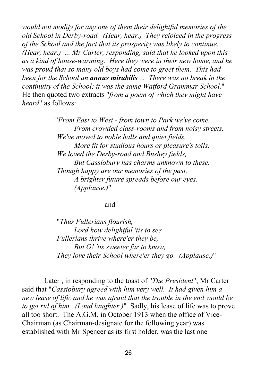*would not modify for any one of them their delightful memories of the old School in Derby-road. (Hear, hear.) They rejoiced in the progress of the School and the fact that its prosperity was likely to continue. (Hear, hear.) ... Mr Carter, responding, said that he looked upon this as a kind of house-warming. Here they were in their new home, and he was proud that so many old boys had come to greet them. This had been for the School an annus mirabilis ... There was no break in the continuity of the School; it was the same Watford Grammar School.*" He then quoted two extracts "*from a poem of which they might have heard*" as follows:

> "*From East to West - from town to Park we've come, From crowded class-rooms and from noisy streets, We've moved to noble halls and quiet fields, More fit for studious hours or pleasure's toils. We loved the Derby-road and Bushey fields, But Cassiobury has charms unknown to these. Though happy are our memories of the past, A brighter future spreads before our eyes. (Applause.)*"

#### and

"*Thus Fullerians flourish, Lord how delightful 'tis to see Fullerians thrive where'er they be, But O! 'tis sweeter far to know, They love their School where'er they go. (Applause.)*"

Later , in responding to the toast of "*The President*", Mr Carter said that "*Cassiobury agreed with him very well. It had given him a new lease of life, and he was afraid that the trouble in the end would be to get rid of him. (Loud laughter.)*" Sadly, his lease of life was to prove all too short. The A.G.M. in October 1913 when the office of Vice-Chairman (as Chairman-designate for the following year) was established with Mr Spencer as its first holder, was the last one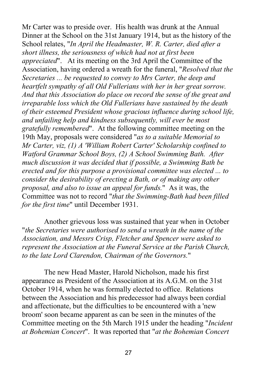Mr Carter was to preside over. His health was drunk at the Annual Dinner at the School on the 31st January 1914, but as the history of the School relates, "*In April the Headmaster, W. R. Carter, died after a short illness, the seriousness of which had not at first been appreciated*". At its meeting on the 3rd April the Committee of the Association, having ordered a wreath for the funeral, "*Resolved that the Secretaries ... be requested to convey to Mrs Carter, the deep and heartfelt sympathy of all Old Fullerians with her in her great sorrow. And that this Association do place on record the sense of the great and irreparable loss which the Old Fullerians have sustained by the death of their esteemed President whose gracious influence during school life, and unfailing help and kindness subsequently, will ever be most gratefully remembered*". At the following committee meeting on the 19th May, proposals were considered "*as to a suitable Memorial to Mr Carter, viz, (1) A 'William Robert Carter' Scholarship confined to Watford Grammar School Boys, (2) A School Swimming Bath. After much discussion it was decided that if possible, a Swimming Bath be erected and for this purpose a provisional committee was elected ... to consider the desirability of erecting a Bath, or of making any other proposal, and also to issue an appeal for funds.*" As it was, the Committee was not to record "*that the Swimming-Bath had been filled for the first time*" until December 1931.

Another grievous loss was sustained that year when in October "*the Secretaries were authorised to send a wreath in the name of the Association, and Messrs Crisp, Fletcher and Spencer were asked to represent the Association at the Funeral Service at the Parish Church, to the late Lord Clarendon, Chairman of the Governors.*"

The new Head Master, Harold Nicholson, made his first appearance as President of the Association at its A.G.M. on the 31st October 1914, when he was formally elected to office. Relations between the Association and his predecessor had always been cordial and affectionate, but the difficulties to be encountered with a 'new broom' soon became apparent as can be seen in the minutes of the Committee meeting on the 5th March 1915 under the heading "*Incident at Bohemian Concert*". It was reported that "*at the Bohemian Concert*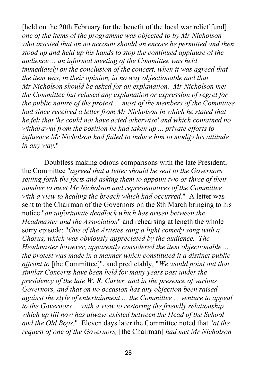[held on the 20th February for the benefit of the local war relief fund] *one of the items of the programme was objected to by Mr Nicholson who insisted that on no account should an encore be permitted and then stood up and held up his hands to stop the continued applause of the audience ... an informal meeting of the Committee was held immediately on the conclusion of the concert, when it was agreed that the item was, in their opinion, in no way objectionable and that Mr Nicholson should be asked for an explanation. Mr Nicholson met the Committee but refused any explanation or expression of regret for the public nature of the protest ... most of the members of the Committee had since received a letter from Mr Nicholson in which he stated that he felt that 'he could not have acted otherwise' and which contained no withdrawal from the position he had taken up ... private efforts to influence Mr Nicholson had failed to induce him to modify his attitude in any way.*"

Doubtless making odious comparisons with the late President, the Committee "*agreed that a letter should be sent to the Governors setting forth the facts and asking them to appoint two or three of their number to meet Mr Nicholson and representatives of the Committee with a view to healing the breach which had occurred.*" A letter was sent to the Chairman of the Governors on the 8th March bringing to his notice "*an unfortunate deadlock which has arisen between the Headmaster and the Association*" and rehearsing at length the whole sorry episode: "*One of the Artistes sang a light comedy song with a Chorus, which was obviously appreciated by the audience. The Headmaster however, apparently considered the item objectionable ... the protest was made in a manner which constituted it a distinct public affront to* [the Committee]", and predictably, "*We would point out that similar Concerts have been held for many years past under the presidency of the late W. R. Carter, and in the presence of various Governors, and that on no occasion has any objection been raised against the style of entertainment ... the Committee ... venture to appeal to the Governors ... with a view to restoring the friendly relationship which up till now has always existed between the Head of the School and the Old Boys.*" Eleven days later the Committee noted that "*at the request of one of the Governors,* [the Chairman] *had met Mr Nicholson*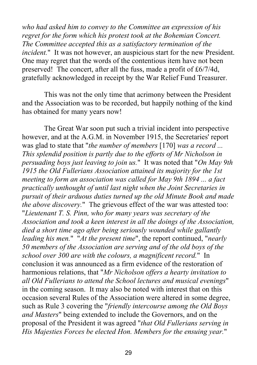*who had asked him to convey to the Committee an expression of his regret for the form which his protest took at the Bohemian Concert. The Committee accepted this as a satisfactory termination of the incident.*" It was not however, an auspicious start for the new President. One may regret that the words of the contentious item have not been preserved! The concert, after all the fuss, made a profit of £6/7/4d, gratefully acknowledged in receipt by the War Relief Fund Treasurer.

This was not the only time that acrimony between the President and the Association was to be recorded, but happily nothing of the kind has obtained for many years now!

The Great War soon put such a trivial incident into perspective however, and at the A.G.M. in November 1915, the Secretaries' report was glad to state that "*the number of members* [170] *was a record ... This splendid position is partly due to the efforts of Mr Nicholson in persuading boys just leaving to join us.*" It was noted that "*On May 9th 1915 the Old Fullerians Association attained its majority for the 1st meeting to form an association was called for May 9th 1894 ... a fact practically unthought of until last night when the Joint Secretaries in pursuit of their arduous duties turned up the old Minute Book and made the above discovery.*" The grievous effect of the war was attested too: "*Lieutenant T. S. Pinn, who for many years was secretary of the Association and took a keen interest in all the doings of the Association, died a short time ago after being seriously wounded while gallantly leading his men.*" "*At the present time*", the report continued, "*nearly 50 members of the Association are serving and of the old boys of the school over 300 are with the colours, a magnificent record.*" In conclusion it was announced as a firm evidence of the restoration of harmonious relations, that "*Mr Nicholson offers a hearty invitation to all Old Fullerians to attend the School lectures and musical evenings*" in the coming season. It may also be noted with interest that on this occasion several Rules of the Association were altered in some degree, such as Rule 3 covering the "*friendly intercourse among the Old Boys and Masters*" being extended to include the Governors, and on the proposal of the President it was agreed "*that Old Fullerians serving in His Majesties Forces be elected Hon. Members for the ensuing year.*"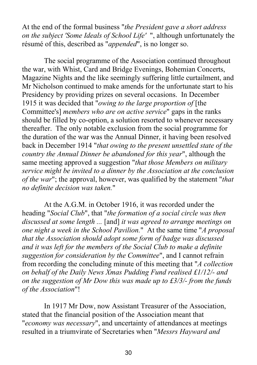At the end of the formal business "*the President gave a short address on the subject 'Some Ideals of School Life'* ", although unfortunately the résumé of this, described as "*appended*", is no longer so.

The social programme of the Association continued throughout the war, with Whist, Card and Bridge Evenings, Bohemian Concerts, Magazine Nights and the like seemingly suffering little curtailment, and Mr Nicholson continued to make amends for the unfortunate start to his Presidency by providing prizes on several occasions. In December 1915 it was decided that "*owing to the large proportion of* [the Committee's] *members who are on active service*" gaps in the ranks should be filled by co-option, a solution resorted to whenever necessary thereafter. The only notable exclusion from the social programme for the duration of the war was the Annual Dinner, it having been resolved back in December 1914 "*that owing to the present unsettled state of the country the Annual Dinner be abandoned for this year*", although the same meeting approved a suggestion "*that those Members on military service might be invited to a dinner by the Association at the conclusion of the war*"; the approval, however, was qualified by the statement "*that no definite decision was taken.*"

At the A.G.M. in October 1916, it was recorded under the heading "*Social Club*", that "*the formation of a social circle was then discussed at some length ...* [and] *it was agreed to arrange meetings on one night a week in the School Pavilion.*" At the same time "*A proposal that the Association should adopt some form of badge was discussed and it was left for the members of the Social Club to make a definite suggestion for consideration by the Committee*", and I cannot refrain from recording the concluding minute of this meeting that "*A collection on behalf of the Daily News Xmas Pudding Fund realised £1/12/- and on the suggestion of Mr Dow this was made up to £3/3/- from the funds of the Association*"!

In 1917 Mr Dow, now Assistant Treasurer of the Association, stated that the financial position of the Association meant that "*economy was necessary*", and uncertainty of attendances at meetings resulted in a triumvirate of Secretaries when "*Messrs Hayward and*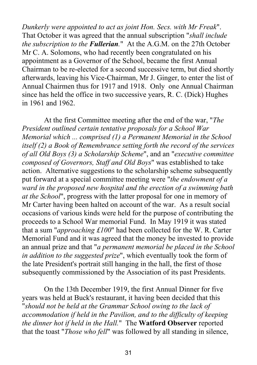*Dunkerly were appointed to act as joint Hon. Secs. with Mr Freak*". That October it was agreed that the annual subscription "*shall include the subscription to the Fullerian.*" At the A.G.M. on the 27th October Mr C. A. Solomons, who had recently been congratulated on his appointment as a Governor of the School, became the first Annual Chairman to be re-elected for a second successive term, but died shortly afterwards, leaving his Vice-Chairman, Mr J. Ginger, to enter the list of Annual Chairmen thus for 1917 and 1918. Only one Annual Chairman since has held the office in two successive years, R. C. (Dick) Hughes in 1961 and 1962.

At the first Committee meeting after the end of the war, "*The President outlined certain tentative proposals for a School War Memorial which ... comprised (1) a Permanent Memorial in the School itself (2) a Book of Remembrance setting forth the record of the services of all Old Boys (3) a Scholarship Scheme*", and an "*executive committee composed of Governors, Staff and Old Boys*" was established to take action. Alternative suggestions to the scholarship scheme subsequently put forward at a special committee meeting were "*the endowment of a ward in the proposed new hospital and the erection of a swimming bath at the School*", progress with the latter proposal for one in memory of Mr Carter having been halted on account of the war. As a result social occasions of various kinds were held for the purpose of contributing the proceeds to a School War memorial Fund. In May 1919 it was stated that a sum "*approaching £100*" had been collected for the W. R. Carter Memorial Fund and it was agreed that the money be invested to provide an annual prize and that "*a permanent memorial be placed in the School in addition to the suggested prize*", which eventually took the form of the late President's portrait still hanging in the hall, the first of those subsequently commissioned by the Association of its past Presidents.

On the 13th December 1919, the first Annual Dinner for five years was held at Buck's restaurant, it having been decided that this "*should not be held at the Grammar School owing to the lack of accommodation if held in the Pavilion, and to the difficulty of keeping the dinner hot if held in the Hall.*" The **Watford Observer** reported that the toast "*Those who fell*" was followed by all standing in silence,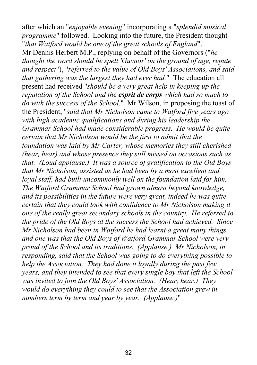after which an "*enjoyable evening*" incorporating a "*splendid musical programme*" followed. Looking into the future, the President thought "*that Watford would be one of the great schools of England*". Mr Dennis Herbert M.P., replying on behalf of the Governors ("*he thought the word should be spelt 'Guvnor' on the ground of age, repute and respect*"), "*referred to the value of Old Boys' Associations, and said that gathering was the largest they had ever had.*" The education all present had received "*should be a very great help in keeping up the reputation of the School and the esprit de corps which had so much to do with the success of the School.*" Mr Wilson, in proposing the toast of the President, "*said that Mr Nicholson came to Watford five years ago with high academic qualifications and during his leadership the Grammar School had made considerable progress. He would be quite certain that Mr Nicholson would be the first to admit that the foundation was laid by Mr Carter, whose memories they still cherished (hear, hear) and whose presence they still missed on occasions such as that. (Loud applause.) It was a source of gratification to the Old Boys that Mr Nicholson, assisted as he had been by a most excellent and loyal staff, had built uncommonly well on the foundation laid for him. The Watford Grammar School had grown almost beyond knowledge, and its possibilities in the future were very great, indeed he was quite certain that they could look with confidence to Mr Nicholson making it one of the really great secondary schools in the country. He referred to the pride of the Old Boys at the success the School had achieved. Since Mr Nicholson had been in Watford he had learnt a great many things, and one was that the Old Boys of Watford Grammar School were very proud of the School and its traditions. (Applause.) Mr Nicholson, in responding, said that the School was going to do everything possible to help the Association. They had done it loyally during the past few years, and they intended to see that every single boy that left the School was invited to join the Old Boys' Association. (Hear, hear.) They would do everything they could to see that the Association grew in numbers term by term and year by year. (Applause.)*"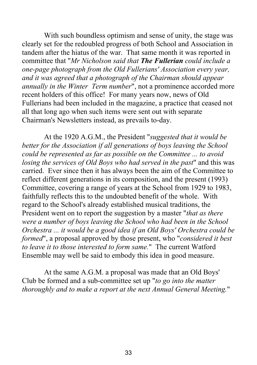With such boundless optimism and sense of unity, the stage was clearly set for the redoubled progress of both School and Association in tandem after the hiatus of the war. That same month it was reported in committee that "*Mr Nicholson said that The Fullerian could include a one-page photograph from the Old Fullerians' Association every year, and it was agreed that a photograph of the Chairman should appear annually in the Winter Term number*", not a prominence accorded more recent holders of this office! For many years now, news of Old Fullerians had been included in the magazine, a practice that ceased not all that long ago when such items were sent out with separate Chairman's Newsletters instead, as prevails to-day.

At the 1920 A.G.M., the President "*suggested that it would be better for the Association if all generations of boys leaving the School could be represented as far as possible on the Committee ... to avoid losing the services of Old Boys who had served in the past*" and this was carried. Ever since then it has always been the aim of the Committee to reflect different generations in its composition, and the present (1993) Committee, covering a range of years at the School from 1929 to 1983, faithfully reflects this to the undoubted benefit of the whole. With regard to the School's already established musical traditions, the President went on to report the suggestion by a master "*that as there were a number of boys leaving the School who had been in the School Orchestra ... it would be a good idea if an Old Boys' Orchestra could be formed*", a proposal approved by those present, who "*considered it best to leave it to those interested to form same.*" The current Watford Ensemble may well be said to embody this idea in good measure.

At the same A.G.M. a proposal was made that an Old Boys' Club be formed and a sub-committee set up "*to go into the matter thoroughly and to make a report at the next Annual General Meeting.*"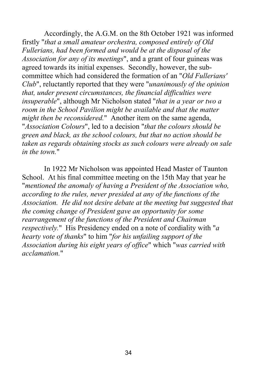Accordingly, the A.G.M. on the 8th October 1921 was informed firstly "*that a small amateur orchestra, composed entirely of Old Fullerians, had been formed and would be at the disposal of the Association for any of its meetings*", and a grant of four guineas was agreed towards its initial expenses. Secondly, however, the subcommittee which had considered the formation of an "*Old Fullerians' Club*", reluctantly reported that they were "*unanimously of the opinion that, under present circumstances, the financial difficulties were insuperable*", although Mr Nicholson stated "*that in a year or two a room in the School Pavilion might be available and that the matter might then be reconsidered.*" Another item on the same agenda, "*Association Colours*", led to a decision "*that the colours should be green and black, as the school colours, but that no action should be taken as regards obtaining stocks as such colours were already on sale in the town.*"

In 1922 Mr Nicholson was appointed Head Master of Taunton School. At his final committee meeting on the 15th May that year he "*mentioned the anomaly of having a President of the Association who, according to the rules, never presided at any of the functions of the Association. He did not desire debate at the meeting but suggested that the coming change of President gave an opportunity for some rearrangement of the functions of the President and Chairman respectively.*" His Presidency ended on a note of cordiality with "*a hearty vote of thanks*" to him "*for his unfailing support of the Association during his eight years of office*" which "*was carried with acclamation.*"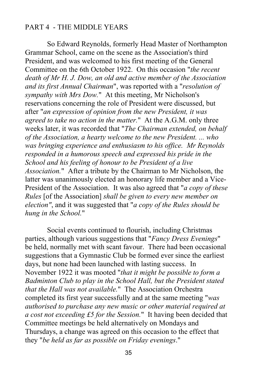### PART 4 - THE MIDDLE YEARS

So Edward Reynolds, formerly Head Master of Northampton Grammar School, came on the scene as the Association's third President, and was welcomed to his first meeting of the General Committee on the 6th October 1922. On this occasion "*the recent death of Mr H. J. Dow, an old and active member of the Association and its first Annual Chairman*", was reported with a "*resolution of sympathy with Mrs Dow.*" At this meeting, Mr Nicholson's reservations concerning the role of President were discussed, but after "*an expression of opinion from the new President, it was agreed to take no action in the matter.*" At the A.G.M. only three weeks later, it was recorded that "*The Chairman extended, on behalf of the Association, a hearty welcome to the new President. ... who was bringing experience and enthusiasm to his office. Mr Reynolds responded in a humorous speech and expressed his pride in the School and his feeling of honour to be President of a live Association.*" After a tribute by the Chairman to Mr Nicholson, the latter was unanimously elected an honorary life member and a Vice-President of the Association. It was also agreed that "*a copy of these Rules* [of the Association] *shall be given to every new member on election"*, and it was suggested that "*a copy of the Rules should be hung in the School.*"

Social events continued to flourish, including Christmas parties, although various suggestions that "*Fancy Dress Evenings*" be held, normally met with scant favour. There had been occasional suggestions that a Gymnastic Club be formed ever since the earliest days, but none had been launched with lasting success. In November 1922 it was mooted "*that it might be possible to form a Badminton Club to play in the School Hall, but the President stated that the Hall was not available.*" The Association Orchestra completed its first year successfully and at the same meeting "*was authorised to purchase any new music or other material required at a cost not exceeding £5 for the Session.*" It having been decided that Committee meetings be held alternatively on Mondays and Thursdays, a change was agreed on this occasion to the effect that they "*be held as far as possible on Friday evenings*."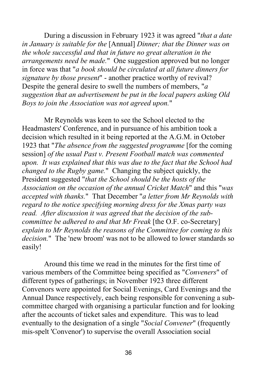During a discussion in February 1923 it was agreed "*that a date in January is suitable for the* [Annual] *Dinner; that the Dinner was on the whole successful and that in future no great alteration in the arrangements need be made.*" One suggestion approved but no longer in force was that "*a book should be circulated at all future dinners for signature by those present*" - another practice worthy of revival? Despite the general desire to swell the numbers of members, "*a suggestion that an advertisement be put in the local papers asking Old Boys to join the Association was not agreed upon.*"

Mr Reynolds was keen to see the School elected to the Headmasters' Conference, and in pursuance of his ambition took a decision which resulted in it being reported at the A.G.M. in October 1923 that "*The absence from the suggested programme* [for the coming session] *of the usual Past v. Present Football match was commented upon. It was explained that this was due to the fact that the School had changed to the Rugby game.*" Changing the subject quickly, the President suggested "*that the School should be the hosts of the Association on the occasion of the annual Cricket Match*" and this "*was accepted with thanks.*" That December "*a letter from Mr Reynolds with regard to the notice specifying morning dress for the Xmas party was read. After discussion it was agreed that the decision of the subcommittee be adhered to and that Mr Freak* [the O.F. co-Secretary] *explain to Mr Reynolds the reasons of the Committee for coming to this decision.*" The 'new broom' was not to be allowed to lower standards so easily!

Around this time we read in the minutes for the first time of various members of the Committee being specified as "*Conveners*" of different types of gatherings; in November 1923 three different Convenors were appointed for Social Evenings, Card Evenings and the Annual Dance respectively, each being responsible for convening a subcommittee charged with organising a particular function and for looking after the accounts of ticket sales and expenditure. This was to lead eventually to the designation of a single "*Social Convener*" (frequently mis-spelt 'Convenor') to supervise the overall Association social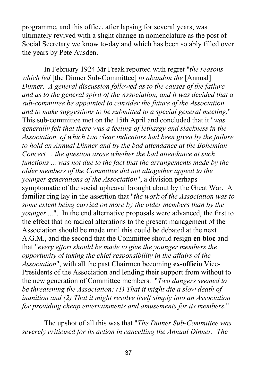programme, and this office, after lapsing for several years, was ultimately revived with a slight change in nomenclature as the post of Social Secretary we know to-day and which has been so ably filled over the years by Pete Ausden.

In February 1924 Mr Freak reported with regret "*the reasons which led* [the Dinner Sub-Committee] *to abandon the* [Annual] *Dinner. A general discussion followed as to the causes of the failure and as to the general spirit of the Association, and it was decided that a sub-committee be appointed to consider the future of the Association and to make suggestions to be submitted to a special general meeting.*" This sub-committee met on the 15th April and concluded that it "*was generally felt that there was a feeling of lethargy and slackness in the Association, of which two clear indicators had been given by the failure to hold an Annual Dinner and by the bad attendance at the Bohemian Concert ... the question arose whether the bad attendance at such functions ... was not due to the fact that the arrangements made by the older members of the Committee did not altogether appeal to the younger generations of the Association*", a division perhaps symptomatic of the social upheaval brought about by the Great War. A familiar ring lay in the assertion that "*the work of the Association was to some extent being carried on more by the older members than by the younger* ...". In the end alternative proposals were advanced, the first to the effect that no radical alterations to the present management of the Association should be made until this could be debated at the next A.G.M., and the second that the Committee should resign **en bloc** and that "*every effort should be made to give the younger members the opportunity of taking the chief responsibility in the affairs of the Association*", with all the past Chairmen becoming **ex-officio** Vice-Presidents of the Association and lending their support from without to the new generation of Committee members. "*Two dangers seemed to be threatening the Association: (1) That it might die a slow death of inanition and (2) That it might resolve itself simply into an Association for providing cheap entertainments and amusements for its members.*"

The upshot of all this was that "*The Dinner Sub-Committee was severely criticised for its action in cancelling the Annual Dinner. The*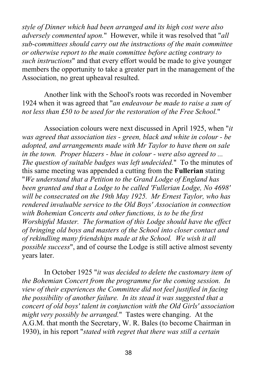*style of Dinner which had been arranged and its high cost were also adversely commented upon.*" However, while it was resolved that "*all sub-committees should carry out the instructions of the main committee or otherwise report to the main committee before acting contrary to such instructions*" and that every effort would be made to give younger members the opportunity to take a greater part in the management of the Association, no great upheaval resulted.

Another link with the School's roots was recorded in November 1924 when it was agreed that "*an endeavour be made to raise a sum of not less than £50 to be used for the restoration of the Free School.*"

Association colours were next discussed in April 1925, when "*it was agreed that association ties - green, black and white in colour - be adopted, and arrangements made with Mr Taylor to have them on sale in the town. Proper blazers - blue in colour - were also agreed to ... The question of suitable badges was left undecided.*" To the minutes of this same meeting was appended a cutting from the **Fullerian** stating "*We understand that a Petition to the Grand Lodge of England has been granted and that a Lodge to be called 'Fullerian Lodge, No 4698' will be consecrated on the 19th May 1925. Mr Ernest Taylor, who has rendered invaluable service to the Old Boys' Association in connection with Bohemian Concerts and other functions, is to be the first Worshipful Master. The formation of this Lodge should have the effect of bringing old boys and masters of the School into closer contact and of rekindling many friendships made at the School. We wish it all possible success*", and of course the Lodge is still active almost seventy years later.

In October 1925 "*it was decided to delete the customary item of the Bohemian Concert from the programme for the coming session. In view of their experiences the Committee did not feel justified in facing the possibility of another failure. In its stead it was suggested that a concert of old boys' talent in conjunction with the Old Girls' association might very possibly be arranged.*" Tastes were changing. At the A.G.M. that month the Secretary, W. R. Bales (to become Chairman in 1930), in his report "*stated with regret that there was still a certain*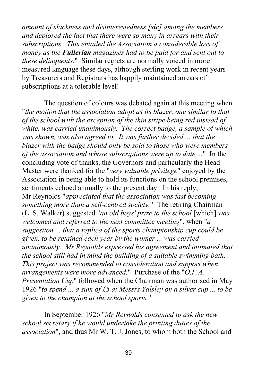*amount of slackness and disinterestedness [sic] among the members and deplored the fact that there were so many in arrears with their subscriptions. This entailed the Association a considerable loss of money as the Fullerian magazines had to be paid for and sent out to these delinquents.*" Similar regrets are normally voiced in more measured language these days, although sterling work in recent years by Treasurers and Registrars has happily maintained arrears of subscriptions at a tolerable level!

The question of colours was debated again at this meeting when "*the motion that the association adopt as its blazer, one similar to that of the school with the exception of the thin stripe being red instead of white, was carried unanimously. The correct badge, a sample of which was shown, was also agreed to. It was further decided ... that the blazer with the badge should only be sold to those who were members of the association and whose subscriptions were up to date ...*" In the concluding vote of thanks, the Governors and particularly the Head Master were thanked for the "*very valuable privilege*" enjoyed by the Association in being able to hold its functions on the school premises, sentiments echoed annually to the present day. In his reply, Mr Reynolds "*appreciated that the association was fast becoming something more than a self-centred society.*" The retiring Chairman (L. S. Walker) suggested "*an old boys' prize to the school* [which] *was welcomed and referred to the next committee meeting*", when "*a suggestion ... that a replica of the sports championship cup could be given, to be retained each year by the winner ... was carried unanimously. Mr Reynolds expressed his agreement and intimated that the school still had in mind the building of a suitable swimming bath. This project was recommended to consideration and support when arrangements were more advanced.*" Purchase of the "*O.F.A. Presentation Cup*" followed when the Chairman was authorised in May 1926 "*to spend ... a sum of £5 at Messrs Yalsley on a silver cup ... to be given to the champion at the school sports.*"

In September 1926 "*Mr Reynolds consented to ask the new school secretary if he would undertake the printing duties of the association*", and thus Mr W. T. J. Jones, to whom both the School and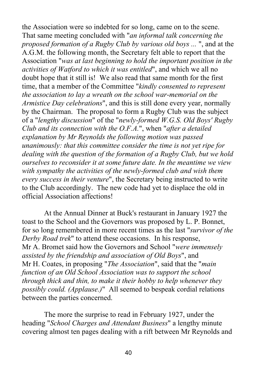the Association were so indebted for so long, came on to the scene. That same meeting concluded with "*an informal talk concerning the proposed formation of a Rugby Club by various old boys ...* ", and at the A.G.M. the following month, the Secretary felt able to report that the Association "*was at last beginning to hold the important position in the activities of Watford to which it was entitled*", and which we all no doubt hope that it still is! We also read that same month for the first time, that a member of the Committee "*kindly consented to represent the association to lay a wreath on the school war-memorial on the Armistice Day celebrations*", and this is still done every year, normally by the Chairman. The proposal to form a Rugby Club was the subject of a "*lengthy discussion*" of the "*newly-formed W.G.S. Old Boys' Rugby Club and its connection with the O.F.A.*", when "*after a detailed explanation by Mr Reynolds the following motion was passed unanimously: that this committee consider the time is not yet ripe for dealing with the question of the formation of a Rugby Club, but we hold ourselves to reconsider it at some future date. In the meantime we view with sympathy the activities of the newly-formed club and wish them every success in their venture*", the Secretary being instructed to write to the Club accordingly. The new code had yet to displace the old in official Association affections!

At the Annual Dinner at Buck's restaurant in January 1927 the toast to the School and the Governors was proposed by L. P. Bonnet, for so long remembered in more recent times as the last "*survivor of the Derby Road trek*" to attend these occasions. In his response, Mr A. Bromet said how the Governors and School "*were immensely assisted by the friendship and association of Old Boys*", and Mr H. Coates, in proposing "*The Association*", said that the "*main function of an Old School Association was to support the school through thick and thin, to make it their hobby to help whenever they possibly could. (Applause.)*" All seemed to bespeak cordial relations between the parties concerned.

The more the surprise to read in February 1927, under the heading "*School Charges and Attendant Business*" a lengthy minute covering almost ten pages dealing with a rift between Mr Reynolds and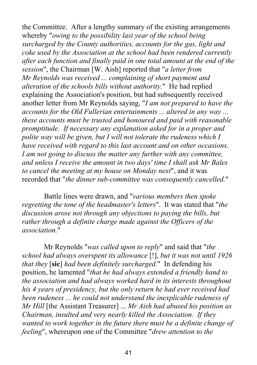the Committee. After a lengthy summary of the existing arrangements whereby "*owing to the possibility last year of the school being surcharged by the County authorities, accounts for the gas, light and coke used by the Association at the school had been rendered currently after each function and finally paid in one total amount at the end of the session*", the Chairman [W. Aish] reported that "*a letter from Mr Reynolds was received ... complaining of short payment and alteration of the schools bills without authority.*" He had replied explaining the Association's position, but had subsequently received another letter from Mr Reynolds saying, "*I am not prepared to have the accounts for the Old Fullerian entertainments ... altered in any way ... these accounts must be trusted and honoured and paid with reasonable promptitude. If necessary any explanation asked for in a proper and polite way will be given, but I will not tolerate the rudeness which I have received with regard to this last account and on other occasions. I am not going to discuss the matter any further with any committee, and unless I receive the amount in two days' time I shall ask Mr Bales to cancel the meeting at my house on Monday next*", and it was recorded that "*the dinner sub-committee was consequently cancelled.*"

Battle lines were drawn, and "*various members then spoke regretting the tone of the headmaster's letters*". It was stated that "*the discussion arose not through any objections to paying the bills, but rather through a definite charge made against the Officers of the association.*"

Mr Reynolds "*was called upon to reply*" and said that "*the school had always overspent its allowance* [!], *but it was not until 1926 that they* [**sic**] *had been definitely surcharged.*" In defending his position, he lamented "*that he had always extended a friendly hand to the association and had always worked hard in its interests throughout his 4 years of presidency, but the only return he had ever received had been rudeness ... he could not understand the inexplicable rudeness of Mr Hill* [the Assistant Treasurer] ... *Mr Aish had abused his position as Chairman, insulted and very nearly killed the Association. If they wanted to work together in the future there must be a definite change of feeling*", whereupon one of the Committee "*drew attention to the*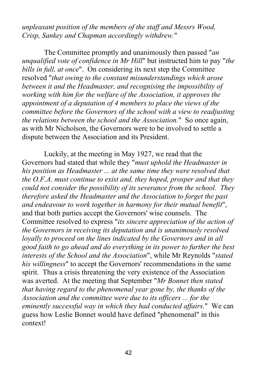*unpleasant position of the members of the staff and Messrs Wood, Crisp, Sankey and Chapman accordingly withdrew.*"

The Committee promptly and unanimously then passed "*an unqualified vote of confidence in Mr Hill*" but instructed him to pay "*the bills in full, at once*". On considering its next step the Committee resolved "*that owing to the constant misunderstandings which arose between it and the Headmaster, and recognising the impossibility of working with him for the welfare of the Association, it approves the appointment of a deputation of 4 members to place the views of the committee before the Governors of the school with a view to readjusting the relations between the school and the Association.*" So once again, as with Mr Nicholson, the Governors were to be involved to settle a dispute between the Association and its President.

Luckily, at the meeting in May 1927, we read that the Governors had stated that while they "*must uphold the Headmaster in his position as Headmaster ... at the same time they were resolved that the O.F.A. must continue to exist and, they hoped, prosper and that they could not consider the possibility of its severance from the school. They therefore asked the Headmaster and the Association to forget the past and endeavour to work together in harmony for their mutual benefit*", and that both parties accept the Governors' wise counsels. The Committee resolved to express "*its sincere appreciation of the action of the Governors in receiving its deputation and is unanimously resolved loyally to proceed on the lines indicated by the Governors and in all good faith to go ahead and do everything in its power to further the best interests of the School and the Association*", while Mr Reynolds "*stated his willingness*" to accept the Governors' recommendations in the same spirit. Thus a crisis threatening the very existence of the Association was averted. At the meeting that September "*Mr Bonnet then stated that having regard to the phenomenal year gone by, the thanks of the Association and the committee were due to its officers ... for the eminently successful way in which they had conducted affairs.*" We can guess how Leslie Bonnet would have defined "phenomenal" in this context!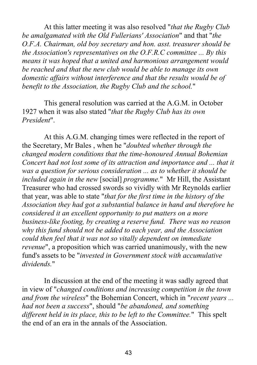At this latter meeting it was also resolved "*that the Rugby Club be amalgamated with the Old Fullerians' Association*" and that "*the O.F.A. Chairman, old boy secretary and hon. asst. treasurer should be the Association's representatives on the O.F.R.C committee ... By this means it was hoped that a united and harmonious arrangement would be reached and that the new club would be able to manage its own domestic affairs without interference and that the results would be of benefit to the Association, the Rugby Club and the school.*"

This general resolution was carried at the A.G.M. in October 1927 when it was also stated "*that the Rugby Club has its own President*".

At this A.G.M. changing times were reflected in the report of the Secretary, Mr Bales , when he "*doubted whether through the changed modern conditions that the time-honoured Annual Bohemian Concert had not lost some of its attraction and importance and ... that it was a question for serious consideration ... as to whether it should be included again in the new* [social] *programme.*" Mr Hill, the Assistant Treasurer who had crossed swords so vividly with Mr Reynolds earlier that year, was able to state "*that for the first time in the history of the Association they had got a substantial balance in hand and therefore he considered it an excellent opportunity to put matters on a more business-like footing, by creating a reserve fund. There was no reason why this fund should not be added to each year, and the Association could then feel that it was not so vitally dependent on immediate revenue*", a proposition which was carried unanimously, with the new fund's assets to be "*invested in Government stock with accumulative dividends.*"

In discussion at the end of the meeting it was sadly agreed that in view of "*changed conditions and increasing competition in the town and from the wireless*" the Bohemian Concert, which in "*recent years ... had not been a success*", should "*be abandoned, and something different held in its place, this to be left to the Committee.*" This spelt the end of an era in the annals of the Association.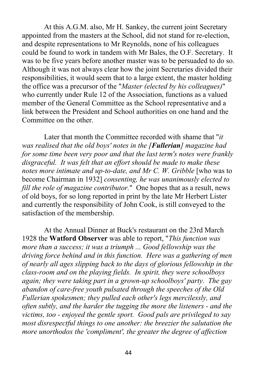At this A.G.M. also, Mr H. Sankey, the current joint Secretary appointed from the masters at the School, did not stand for re-election, and despite representations to Mr Reynolds, none of his colleagues could be found to work in tandem with Mr Bales, the O.F. Secretary. It was to be five years before another master was to be persuaded to do so. Although it was not always clear how the joint Secretaries divided their responsibilities, it would seem that to a large extent, the master holding the office was a precursor of the "*Master (elected by his colleagues)*" who currently under Rule 12 of the Association, functions as a valued member of the General Committee as the School representative and a link between the President and School authorities on one hand and the Committee on the other.

Later that month the Committee recorded with shame that "*it was realised that the old boys' notes in the [Fullerian] magazine had for some time been very poor and that the last term's notes were frankly disgraceful. It was felt that an effort should be made to make these notes more intimate and up-to-date, and Mr C. W. Gribble* [who was to become Chairman in 1932] *consenting, he was unanimously elected to fill the role of magazine contributor.*" One hopes that as a result, news of old boys, for so long reported in print by the late Mr Herbert Lister and currently the responsibility of John Cook, is still conveyed to the satisfaction of the membership.

At the Annual Dinner at Buck's restaurant on the 23rd March 1928 the **Watford Observer** was able to report, "*This function was more than a success; it was a triumph ... Good fellowship was the driving force behind and in this function. Here was a gathering of men of nearly all ages slipping back to the days of glorious fellowship in the class-room and on the playing fields. In spirit, they were schoolboys again; they were taking part in a grown-up schoolboys' party. The gay abandon of care-free youth pulsated through the speeches of the Old Fullerian spokesmen; they pulled each other's legs mercilessly, and often subtly, and the harder the tugging the more the listeners - and the victims, too - enjoyed the gentle sport. Good pals are privileged to say most disrespectful things to one another: the breezier the salutation the more unorthodox the 'compliment', the greater the degree of affection*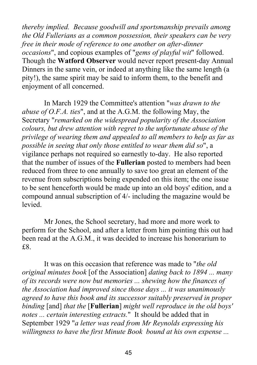*thereby implied. Because goodwill and sportsmanship prevails among the Old Fullerians as a common possession, their speakers can be very free in their mode of reference to one another on after-dinner occasions*", and copious examples of "*gems of playful wit*" followed. Though the **Watford Observer** would never report present-day Annual Dinners in the same vein, or indeed at anything like the same length (a pity!), the same spirit may be said to inform them, to the benefit and enjoyment of all concerned.

In March 1929 the Committee's attention "*was drawn to the abuse of O.F.A. ties*", and at the A.G.M. the following May, the Secretary "*remarked on the widespread popularity of the Association colours, but drew attention with regret to the unfortunate abuse of the privilege of wearing them and appealed to all members to help as far as possible in seeing that only those entitled to wear them did so*", a vigilance perhaps not required so earnestly to-day. He also reported that the number of issues of the **Fullerian** posted to members had been reduced from three to one annually to save too great an element of the revenue from subscriptions being expended on this item; the one issue to be sent henceforth would be made up into an old boys' edition, and a compound annual subscription of 4/- including the magazine would be levied.

Mr Jones, the School secretary, had more and more work to perform for the School, and after a letter from him pointing this out had been read at the A.G.M., it was decided to increase his honorarium to £8.

It was on this occasion that reference was made to "*the old original minutes book* [of the Association] *dating back to 1894 ... many of its records were now but memories ... shewing how the finances of the Association had improved since those days ... it was unanimously agreed to have this book and its successor suitably preserved in proper binding* [and] *that the* [**Fullerian**] *might well reproduce in the old boys' notes ... certain interesting extracts.*" It should be added that in September 1929 "*a letter was read from Mr Reynolds expressing his willingness to have the first Minute Book bound at his own expense ...*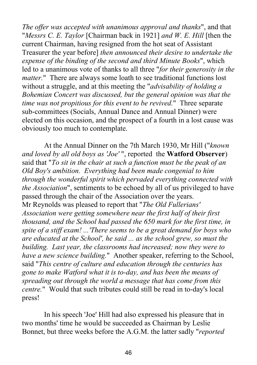*The offer was accepted with unanimous approval and thanks*", and that "*Messrs C. E. Taylor* [Chairman back in 1921] *and W. E. Hill* [then the current Chairman, having resigned from the hot seat of Assistant Treasurer the year before] *then announced their desire to undertake the expense of the binding of the second and third Minute Books*", which led to a unanimous vote of thanks to all three "*for their generosity in the matter.*" There are always some loath to see traditional functions lost without a struggle, and at this meeting the "*advisability of holding a Bohemian Concert was discussed, but the general opinion was that the time was not propitious for this event to be revived.*" Three separate sub-committees (Socials, Annual Dance and Annual Dinner) were elected on this occasion, and the prospect of a fourth in a lost cause was obviously too much to contemplate.

At the Annual Dinner on the 7th March 1930, Mr Hill ("*known and loved by all old boys as 'Joe'* ", reported the **Watford Observer**) said that "*To sit in the chair at such a function must be the peak of an Old Boy's ambition. Everything had been made congenial to him through the wonderful spirit which pervaded everything connected with the Association*", sentiments to be echoed by all of us privileged to have passed through the chair of the Association over the years. Mr Reynolds was pleased to report that "*The Old Fullerians' Association were getting somewhere near the first half of their first thousand, and the School had passed the 650 mark for the first time, in spite of a stiff exam! ...'There seems to be a great demand for boys who are educated at the School', he said ... as the school grew, so must the building. Last year, the classrooms had increased; now they were to have a new science building.*" Another speaker, referring to the School, said "*This centre of culture and education through the centuries has gone to make Watford what it is to-day, and has been the means of spreading out through the world a message that has come from this centre.*" Would that such tributes could still be read in to-day's local press!

In his speech 'Joe' Hill had also expressed his pleasure that in two months' time he would be succeeded as Chairman by Leslie Bonnet, but three weeks before the A.G.M. the latter sadly "*reported*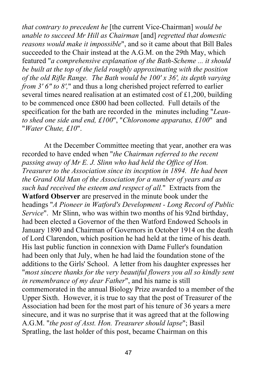*that contrary to precedent he* [the current Vice-Chairman] *would be unable to succeed Mr Hill as Chairman* [and] *regretted that domestic reasons would make it impossible*", and so it came about that Bill Bales succeeded to the Chair instead at the A.G.M. on the 29th May, which featured "*a comprehensive explanation of the Bath-Scheme ... it should be built at the top of the field roughly approximating with the position of the old Rifle Range. The Bath would be 100' x 36', its depth varying from 3' 6" to 8'*," and thus a long cherished project referred to earlier several times neared realisation at an estimated cost of £1,200, building to be commenced once £800 had been collected. Full details of the specification for the bath are recorded in the minutes including "*Leanto shed one side and end, £100*", "*Chloronome apparatus, £100*" and "*Water Chute, £10*".

At the December Committee meeting that year, another era was recorded to have ended when "*the Chairman referred to the recent passing away of Mr E. J. Slinn who had held the Office of Hon. Treasurer to the Association since its inception in 1894. He had been the Grand Old Man of the Association for a number of years and as such had received the esteem and respect of all.*" Extracts from the **Watford Observer** are preserved in the minute book under the headings "*A Pioneer in Watford's Development - Long Record of Public Service*". Mr Slinn, who was within two months of his 92nd birthday, had been elected a Governor of the then Watford Endowed Schools in January 1890 and Chairman of Governors in October 1914 on the death of Lord Clarendon, which position he had held at the time of his death. His last public function in connexion with Dame Fuller's foundation had been only that July, when he had laid the foundation stone of the additions to the Girls' School. A letter from his daughter expresses her "*most sincere thanks for the very beautiful flowers you all so kindly sent in remembrance of my dear Father*", and his name is still commemorated in the annual Biology Prize awarded to a member of the Upper Sixth. However, it is true to say that the post of Treasurer of the Association had been for the most part of his tenure of 36 years a mere sinecure, and it was no surprise that it was agreed that at the following A.G.M. "*the post of Asst. Hon. Treasurer should lapse*"; Basil Spratling, the last holder of this post, became Chairman on this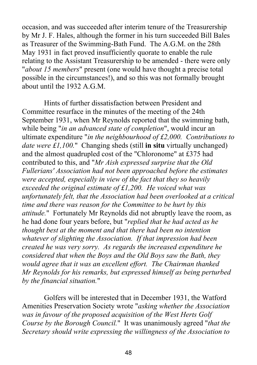occasion, and was succeeded after interim tenure of the Treasurership by Mr J. F. Hales, although the former in his turn succeeded Bill Bales as Treasurer of the Swimming-Bath Fund. The A.G.M. on the 28th May 1931 in fact proved insufficiently quorate to enable the rule relating to the Assistant Treasurership to be amended - there were only "*about 15 members*" present (one would have thought a precise total possible in the circumstances!), and so this was not formally brought about until the 1932 A.G.M.

Hints of further dissatisfaction between President and Committee resurface in the minutes of the meeting of the 24th September 1931, when Mr Reynolds reported that the swimming bath, while being "*in an advanced state of completion*", would incur an ultimate expenditure "*in the neighbourhood of £2,000. Contributions to date were £1,100.*" Changing sheds (still **in situ** virtually unchanged) and the almost quadrupled cost of the "Chloronome" at £375 had contributed to this, and "*Mr Aish expressed surprise that the Old Fullerians' Association had not been approached before the estimates were accepted, especially in view of the fact that they so heavily exceeded the original estimate of £1,200. He voiced what was unfortunately felt, that the Association had been overlooked at a critical time and there was reason for the Committee to be hurt by this attitude.*" Fortunately Mr Reynolds did not abruptly leave the room, as he had done four years before, but "*replied that he had acted as he thought best at the moment and that there had been no intention whatever of slighting the Association. If that impression had been created he was very sorry. As regards the increased expenditure he considered that when the Boys and the Old Boys saw the Bath, they would agree that it was an excellent effort. The Chairman thanked Mr Reynolds for his remarks, but expressed himself as being perturbed by the financial situation.*"

Golfers will be interested that in December 1931, the Watford Amenities Preservation Society wrote "*asking whether the Association was in favour of the proposed acquisition of the West Herts Golf Course by the Borough Council.*" It was unanimously agreed "*that the Secretary should write expressing the willingness of the Association to*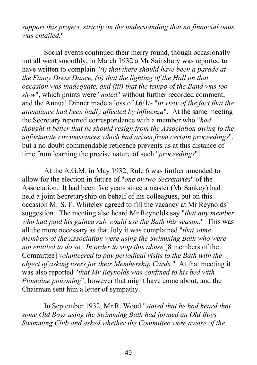*support this project, strictly on the understanding that no financial onus was entailed.*"

Social events continued their merry round, though occasionally not all went smoothly; in March 1932 a Mr Sainsbury was reported to have written to complain "*(i) that there should have been a parade at the Fancy Dress Dance, (ii) that the lighting of the Hall on that occasion was inadequate, and (iii) that the tempo of the Band was too slow*", which points were "*noted*" without further recorded comment, and the Annual Dinner made a loss of £6/1/- "*in view of the fact that the attendance had been badly affected by influenza*". At the same meeting the Secretary reported correspondence with a member who "*had thought it better that he should resign from the Association owing to the unfortunate circumstances which had arisen from certain proceedings*", but a no doubt commendable reticence prevents us at this distance of time from learning the precise nature of such "*proceedings*"!

At the A.G.M. in May 1932, Rule 6 was further amended to allow for the election in future of "*one or two Secretaries*" of the Association. It had been five years since a master (Mr Sankey) had held a joint Secretaryship on behalf of his colleagues, but on this occasion Mr S. F. Whiteley agreed to fill the vacancy at Mr Reynolds' suggestion. The meeting also heard Mr Reynolds say "*that any member who had paid his guinea sub. could use the Bath this season.*" This was all the more necessary as that July it was complained "*that some members of the Association were using the Swimming Bath who were not entitled to do so. In order to stop this abuse* [8 members of the Committee] *volunteered to pay periodical visits to the Bath with the object of asking users for their Membership Cards.*" At that meeting it was also reported "*that Mr Reynolds was confined to his bed with Ptomaine poisoning*", however that might have come about, and the Chairman sent him a letter of sympathy.

In September 1932, Mr R. Wood "*stated that he had heard that some Old Boys using the Swimming Bath had formed an Old Boys Swimming Club and asked whether the Committee were aware of the*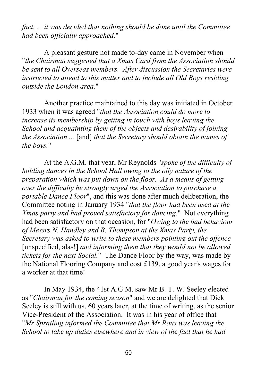*fact. ... it was decided that nothing should be done until the Committee had been officially approached.*"

A pleasant gesture not made to-day came in November when "*the Chairman suggested that a Xmas Card from the Association should be sent to all Overseas members. After discussion the Secretaries were instructed to attend to this matter and to include all Old Boys residing outside the London area.*"

Another practice maintained to this day was initiated in October 1933 when it was agreed "*that the Association could do more to increase its membership by getting in touch with boys leaving the School and acquainting them of the objects and desirability of joining the Association ...* [and] *that the Secretary should obtain the names of the boys.*"

At the A.G.M. that year, Mr Reynolds "*spoke of the difficulty of holding dances in the School Hall owing to the oily nature of the preparation which was put down on the floor. As a means of getting over the difficulty he strongly urged the Association to purchase a portable Dance Floor*", and this was done after much deliberation, the Committee noting in January 1934 "*that the floor had been used at the Xmas party and had proved satisfactory for dancing.*" Not everything had been satisfactory on that occasion, for "*Owing to the bad behaviour of Messrs N. Handley and B. Thompson at the Xmas Party, the Secretary was asked to write to these members pointing out the offence* [unspecified, alas!] *and informing them that they would not be allowed tickets for the next Social.*" The Dance Floor by the way, was made by the National Flooring Company and cost £139, a good year's wages for a worker at that time!

In May 1934, the 41st A.G.M. saw Mr B. T. W. Seeley elected as "*Chairman for the coming season*" and we are delighted that Dick Seeley is still with us, 60 years later, at the time of writing, as the senior Vice-President of the Association. It was in his year of office that "*Mr Spratling informed the Committee that Mr Rous was leaving the School to take up duties elsewhere and in view of the fact that he had*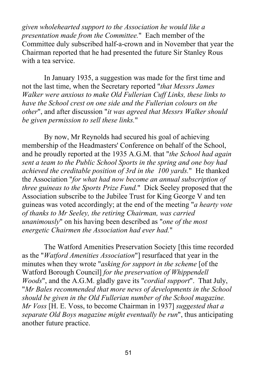*given wholehearted support to the Association he would like a presentation made from the Committee.*" Each member of the Committee duly subscribed half-a-crown and in November that year the Chairman reported that he had presented the future Sir Stanley Rous with a tea service.

In January 1935, a suggestion was made for the first time and not the last time, when the Secretary reported "*that Messrs James Walker were anxious to make Old Fullerian Cuff Links, these links to have the School crest on one side and the Fullerian colours on the other*", and after discussion "*it was agreed that Messrs Walker should be given permission to sell these links.*"

By now, Mr Reynolds had secured his goal of achieving membership of the Headmasters' Conference on behalf of the School, and he proudly reported at the 1935 A.G.M. that "*the School had again sent a team to the Public School Sports in the spring and one boy had achieved the creditable position of 3rd in the 100 yards.*" He thanked the Association "*for what had now become an annual subscription of three guineas to the Sports Prize Fund.*" Dick Seeley proposed that the Association subscribe to the Jubilee Trust for King George V and ten guineas was voted accordingly; at the end of the meeting "*a hearty vote of thanks to Mr Seeley, the retiring Chairman, was carried unanimously*" on his having been described as "*one of the most energetic Chairmen the Association had ever had.*"

The Watford Amenities Preservation Society [this time recorded as the "*Watford Amenities Association*"] resurfaced that year in the minutes when they wrote "*asking for support in the scheme* [of the Watford Borough Council] *for the preservation of Whippendell Woods*", and the A.G.M. gladly gave its "*cordial support*". That July, "*Mr Bales recommended that more news of developments in the School should be given in the Old Fullerian number of the School magazine. Mr Voss* [H. E. Voss, to become Chairman in 1937] *suggested that a separate Old Boys magazine might eventually be run*", thus anticipating another future practice.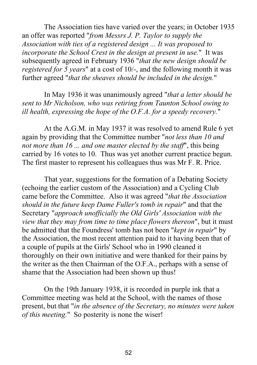The Association ties have varied over the years; in October 1935 an offer was reported "*from Messrs J. P. Taylor to supply the Association with ties of a registered design ... It was proposed to incorporate the School Crest in the design at present in use.*" It was subsequently agreed in February 1936 "*that the new design should be registered for 5 years*" at a cost of 10/-, and the following month it was further agreed "*that the sheaves should be included in the design.*"

In May 1936 it was unanimously agreed "*that a letter should be sent to Mr Nicholson, who was retiring from Taunton School owing to ill health, expressing the hope of the O.F.A. for a speedy recovery.*"

At the A.G.M. in May 1937 it was resolved to amend Rule 6 yet again by providing that the Committee number "*not less than 10 and not more than 16 ... and one master elected by the staff*", this being carried by 16 votes to 10. Thus was yet another current practice begun. The first master to represent his colleagues thus was Mr F. R. Price.

That year, suggestions for the formation of a Debating Society (echoing the earlier custom of the Association) and a Cycling Club came before the Committee. Also it was agreed "*that the Association should in the future keep Dame Fuller's tomb in repair*" and that the Secretary "*approach unofficially the Old Girls' Association with the view that they may from time to time place flowers thereon*", but it must be admitted that the Foundress' tomb has not been "*kept in repair*" by the Association, the most recent attention paid to it having been that of a couple of pupils at the Girls' School who in 1990 cleaned it thoroughly on their own initiative and were thanked for their pains by the writer as the then Chairman of the O.F.A., perhaps with a sense of shame that the Association had been shown up thus!

On the 19th January 1938, it is recorded in purple ink that a Committee meeting was held at the School, with the names of those present, but that "*in the absence of the Secretary, no minutes were taken of this meeting.*" So posterity is none the wiser!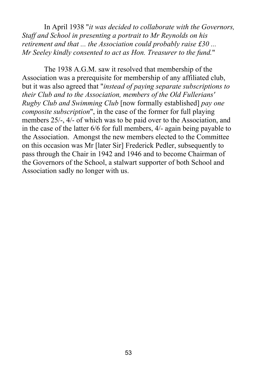In April 1938 "*it was decided to collaborate with the Governors, Staff and School in presenting a portrait to Mr Reynolds on his retirement and that ... the Association could probably raise £30 ... Mr Seeley kindly consented to act as Hon. Treasurer to the fund.*"

The 1938 A.G.M. saw it resolved that membership of the Association was a prerequisite for membership of any affiliated club, but it was also agreed that "*instead of paying separate subscriptions to their Club and to the Association, members of the Old Fullerians' Rugby Club and Swimming Club* [now formally established] *pay one composite subscription*", in the case of the former for full playing members 25/-, 4/- of which was to be paid over to the Association, and in the case of the latter 6/6 for full members, 4/- again being payable to the Association. Amongst the new members elected to the Committee on this occasion was Mr [later Sir] Frederick Pedler, subsequently to pass through the Chair in 1942 and 1946 and to become Chairman of the Governors of the School, a stalwart supporter of both School and Association sadly no longer with us.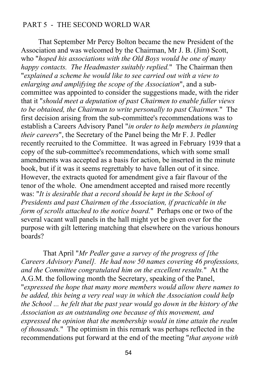## PART 5 - THE SECOND WORLD WAR

That September Mr Percy Bolton became the new President of the Association and was welcomed by the Chairman, Mr J. B. (Jim) Scott, who "*hoped his associations with the Old Boys would be one of many happy contacts. The Headmaster suitably replied.*" The Chairman then "*explained a scheme he would like to see carried out with a view to enlarging and amplifying the scope of the Association*", and a subcommittee was appointed to consider the suggestions made, with the rider that it "*should meet a deputation of past Chairmen to enable fuller views to be obtained, the Chairman to write personally to past Chairmen.*" The first decision arising from the sub-committee's recommendations was to establish a Careers Advisory Panel "*in order to help members in planning their careers*", the Secretary of the Panel being the Mr F. J. Pedler recently recruited to the Committee. It was agreed in February 1939 that a copy of the sub‑committee's recommendations, which with some small amendments was accepted as a basis for action, be inserted in the minute book, but if it was it seems regrettably to have fallen out of it since. However, the extracts quoted for amendment give a fair flavour of the tenor of the whole. One amendment accepted and raised more recently was: "*It is desirable that a record should be kept in the School of Presidents and past Chairmen of the Association, if practicable in the form of scrolls attached to the notice board.*" Perhaps one or two of the several vacant wall panels in the hall might yet be given over for the purpose with gilt lettering matching that elsewhere on the various honours boards?

That April "*Mr Pedler gave a survey of the progress of [the Careers Advisory Panel]. He had now 50 names covering 46 professions, and the Committee congratulated him on the excellent results.*" At the A.G.M. the following month the Secretary, speaking of the Panel, "*expressed the hope that many more members would allow there names to be added, this being a very real way in which the Association could help the School ... he felt that the past year would go down in the history of the Association as an outstanding one because of this movement, and expressed the opinion that the membership would in time attain the realm of thousands.*" The optimism in this remark was perhaps reflected in the recommendations put forward at the end of the meeting "*that anyone with*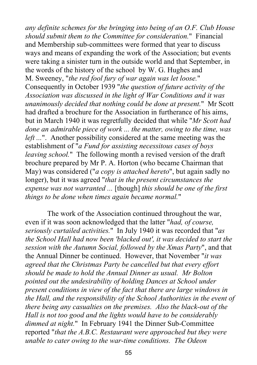*any definite schemes for the bringing into being of an O.F. Club House should submit them to the Committee for consideration.*" Financial and Membership sub-committees were formed that year to discuss ways and means of expanding the work of the Association; but events were taking a sinister turn in the outside world and that September, in the words of the history of the school by W. G. Hughes and M. Sweeney, "*the red fool fury of war again was let loose.*" Consequently in October 1939 "*the question of future activity of the Association was discussed in the light of War Conditions and it was unanimously decided that nothing could be done at present.*" Mr Scott had drafted a brochure for the Association in furtherance of his aims, but in March 1940 it was regretfully decided that while "*Mr Scott had done an admirable piece of work ... the matter, owing to the time, was left ...*". Another possibility considered at the same meeting was the establishment of "*a Fund for assisting necessitous cases of boys leaving school.*" The following month a revised version of the draft brochure prepared by Mr P. A. Horton (who became Chairman that May) was considered ("*a copy is attached hereto*", but again sadly no longer), but it was agreed "*that in the present circumstances the expense was not warranted ...* [though] *this should be one of the first things to be done when times again became normal.*"

The work of the Association continued throughout the war, even if it was soon acknowledged that the latter "*had, of course, seriously curtailed activities.*" In July 1940 it was recorded that "*as the School Hall had now been 'blacked out', it was decided to start the session with the Autumn Social, followed by the Xmas Party*", and that the Annual Dinner be continued. However, that November "*it was agreed that the Christmas Party be cancelled but that every effort should be made to hold the Annual Dinner as usual. Mr Bolton pointed out the undesirability of holding Dances at School under present conditions in view of the fact that there are large windows in the Hall, and the responsibility of the School Authorities in the event of there being any casualties on the premises. Also the black-out of the Hall is not too good and the lights would have to be considerably dimmed at night.*" In February 1941 the Dinner Sub‑Committee reported "*that the A.B.C. Restaurant were approached but they were unable to cater owing to the war-time conditions. The Odeon*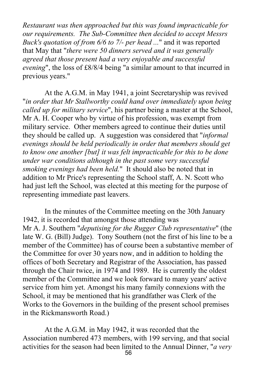*Restaurant was then approached but this was found impracticable for our requirements. The Sub-Committee then decided to accept Messrs Buck's quotation of from 6/6 to 7/- per head ...*" and it was reported that May that "*there were 50 dinners served and it was generally agreed that those present had a very enjoyable and successful evening*", the loss of £8/8/4 being "a similar amount to that incurred in previous years."

At the A.G.M. in May 1941, a joint Secretaryship was revived "*in order that Mr Stallworthy could hand over immediately upon being called up for military service*", his partner being a master at the School, Mr A. H. Cooper who by virtue of his profession, was exempt from military service. Other members agreed to continue their duties until they should be called up. A suggestion was considered that "*informal evenings should be held periodically in order that members should get to know one another [but] it was felt impracticable for this to be done under war conditions although in the past some very successful smoking evenings had been held.*" It should also be noted that in addition to Mr Price's representing the School staff, A. N. Scott who had just left the School, was elected at this meeting for the purpose of representing immediate past leavers.

In the minutes of the Committee meeting on the 30th January 1942, it is recorded that amongst those attending was Mr A. J. Southern "*deputising for the Rugger Club representative*" (the late W. G. (Bill) Judge). Tony Southern (not the first of his line to be a member of the Committee) has of course been a substantive member of the Committee for over 30 years now, and in addition to holding the offices of both Secretary and Registrar of the Association, has passed through the Chair twice, in 1974 and 1989. He is currently the oldest member of the Committee and we look forward to many years' active service from him yet. Amongst his many family connexions with the School, it may be mentioned that his grandfather was Clerk of the Works to the Governors in the building of the present school premises in the Rickmansworth Road.)

At the A.G.M. in May 1942, it was recorded that the Association numbered 473 members, with 199 serving, and that social activities for the season had been limited to the Annual Dinner, "*a very*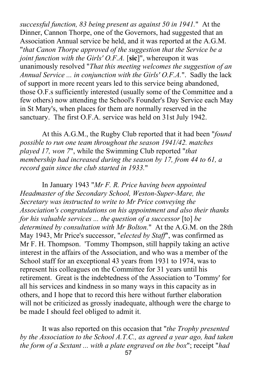*successful function, 83 being present as against 50 in 1941.*" At the Dinner, Cannon Thorpe, one of the Governors, had suggested that an Association Annual service be held, and it was reported at the A.G.M. "*that Canon Thorpe approved of the suggestion that the Service be a joint function with the Girls' O.F.A.* [**sic**]", whereupon it was unanimously resolved "*That this meeting welcomes the suggestion of an Annual Service ... in conjunction with the Girls' O.F.A.*". Sadly the lack of support in more recent years led to this service being abandoned, those O.F.s sufficiently interested (usually some of the Committee and a few others) now attending the School's Founder's Day Service each May in St Mary's, when places for them are normally reserved in the sanctuary. The first O.F.A. service was held on 31st July 1942.

At this A.G.M., the Rugby Club reported that it had been "*found possible to run one team throughout the season 1941/42. matches played 17, won 7*", while the Swimming Club reported "*that membership had increased during the season by 17, from 44 to 61, a record gain since the club started in 1933.*"

In January 1943 "*Mr F. R. Price having been appointed Headmaster of the Secondary School, Weston-Super-Mare, the Secretary was instructed to write to Mr Price conveying the Association's congratulations on his appointment and also their thanks for his valuable services ... the question of a successor* [to] *be determined by consultation with Mr Bolton.*" At the A.G.M. on the 28th May 1943, Mr Price's successor, "*elected by Staff*", was confirmed as Mr F. H. Thompson. 'Tommy Thompson, still happily taking an active interest in the affairs of the Association, and who was a member of the School staff for an exceptional 43 years from 1931 to 1974, was to represent his colleagues on the Committee for 31 years until his retirement. Great is the indebtedness of the Association to 'Tommy' for all his services and kindness in so many ways in this capacity as in others, and I hope that to record this here without further elaboration will not be criticized as grossly inadequate, although were the charge to be made I should feel obliged to admit it.

It was also reported on this occasion that "*the Trophy presented by the Association to the School A.T.C., as agreed a year ago, had taken the form of a Sextant ... with a plate engraved on the box*"; receipt "*had*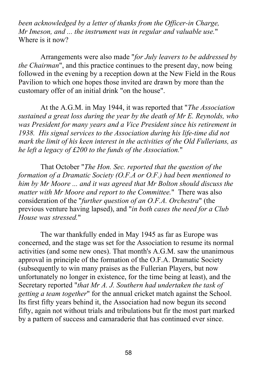*been acknowledged by a letter of thanks from the Officer-in Charge, Mr Imeson, and ... the instrument was in regular and valuable use.*" Where is it now?

Arrangements were also made "*for July leavers to be addressed by the Chairman*", and this practice continues to the present day, now being followed in the evening by a reception down at the New Field in the Rous Pavilion to which one hopes those invited are drawn by more than the customary offer of an initial drink "on the house".

At the A.G.M. in May 1944, it was reported that "*The Association sustained a great loss during the year by the death of Mr E. Reynolds, who was President for many years and a Vice President since his retirement in 1938. His signal services to the Association during his life-time did not mark the limit of his keen interest in the activities of the Old Fullerians, as he left a legacy of £200 to the funds of the Association.*"

That October "*The Hon. Sec. reported that the question of the formation of a Dramatic Society (O.F.A or O.F.) had been mentioned to him by Mr Moore ... and it was agreed that Mr Bolton should discuss the matter with Mr Moore and report to the Committee.*" There was also consideration of the "*further question of an O.F.A. Orchestra*" (the previous venture having lapsed), and "*in both cases the need for a Club House was stressed.*"

The war thankfully ended in May 1945 as far as Europe was concerned, and the stage was set for the Association to resume its normal activities (and some new ones). That month's A.G.M. saw the unanimous approval in principle of the formation of the O.F.A. Dramatic Society (subsequently to win many praises as the Fullerian Players, but now unfortunately no longer in existence, for the time being at least), and the Secretary reported "*that Mr A. J. Southern had undertaken the task of getting a team together*" for the annual cricket match against the School. Its first fifty years behind it, the Association had now begun its second fifty, again not without trials and tribulations but fir the most part marked by a pattern of success and camaraderie that has continued ever since.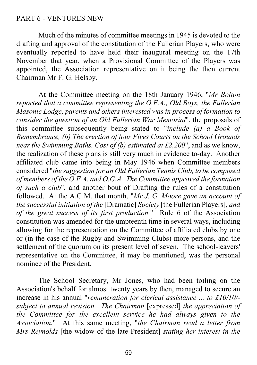## PART 6 - VENTURES NEW

Much of the minutes of committee meetings in 1945 is devoted to the drafting and approval of the constitution of the Fullerian Players, who were eventually reported to have held their inaugural meeting on the 17th November that year, when a Provisional Committee of the Players was appointed, the Association representative on it being the then current Chairman Mr F. G. Helsby.

At the Committee meeting on the 18th January 1946, "*Mr Bolton reported that a committee representing the O.F.A., Old Boys, the Fullerian Masonic Lodge, parents and others interested was in process of formation to consider the question of an Old Fullerian War Memorial*", the proposals of this committee subsequently being stated to "*include (a) a Book of Remembrance, (b) The erection of four Fives Courts on the School Grounds near the Swimming Baths. Cost of (b) estimated at £2,200*", and as we know, the realization of these plans is still very much in evidence to-day. Another affiliated club came into being in May 1946 when Committee members considered "*the suggestion for an Old Fullerian Tennis Club, to be composed of members of the O.F.A. and O.G.A. The Committee approved the formation of such a club*", and another bout of Drafting the rules of a constitution followed. At the A.G.M. that month, "*Mr J. G. Moore gave an account of the successful initiation of the* [Dramatic] *Society* [the Fullerian Players], *and of the great success of its first production.*" Rule 6 of the Association constitution was amended for the umpteenth time in several ways, including allowing for the representation on the Committee of affiliated clubs by one or (in the case of the Rugby and Swimming Clubs) more persons, and the settlement of the quorum on its present level of seven. The school-leavers' representative on the Committee, it may be mentioned, was the personal nominee of the President.

The School Secretary, Mr Jones, who had been toiling on the Association's behalf for almost twenty years by then, managed to secure an increase in his annual "*remuneration for clerical assistance ... to £10/10/ subject to annual revision. The Chairman* [expressed] *the appreciation of the Committee for the excellent service he had always given to the Association.*" At this same meeting, "*the Chairman read a letter from Mrs Reynolds* [the widow of the late President] *stating her interest in the*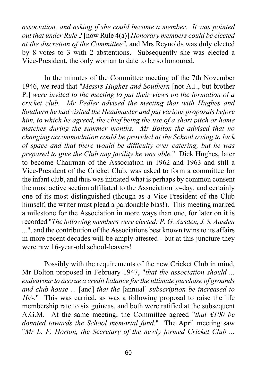*association, and asking if she could become a member. It was pointed out that under Rule 2* [now Rule 4(a)] *Honorary members could be elected at the discretion of the Committee"*, and Mrs Reynolds was duly elected by 8 votes to 3 with 2 abstentions. Subsequently she was elected a Vice-President, the only woman to date to be so honoured.

In the minutes of the Committee meeting of the 7th November 1946, we read that "*Messrs Hughes and Southern* [not A.J., but brother P.] *were invited to the meeting to put their views on the formation of a cricket club. Mr Pedler advised the meeting that with Hughes and Southern he had visited the Headmaster and put various proposals before him, to which he agreed, the chief being the use of a short pitch or home matches during the summer months. Mr Bolton the advised that no changing accommodation could be provided at the School owing to lack of space and that there would be difficulty over catering, but he was prepared to give the Club any facility he was able.*" Dick Hughes, later to become Chairman of the Association in 1962 and 1963 and still a Vice-President of the Cricket Club, was asked to form a committee for the infant club, and thus was initiated what is perhaps by common consent the most active section affiliated to the Association to-day, and certainly one of its most distinguished (though as a Vice President of the Club himself, the writer must plead a pardonable bias!). This meeting marked a milestone for the Association in more ways than one, for later on it is recorded "*The following members were elected: P. G. Ausden, J. S. Ausden ...*", and the contribution of the Associations best known twins to its affairs in more recent decades will be amply attested - but at this juncture they were raw 16-year-old school-leavers!

Possibly with the requirements of the new Cricket Club in mind, Mr Bolton proposed in February 1947, "*that the association should ... endeavour to accrue a credit balance for the ultimate purchase of grounds and club house ...* [and] *that the* [annual] *subscription be increased to 10/-.*" This was carried, as was a following proposal to raise the life membership rate to six guineas, and both were ratified at the subsequent A.G.M. At the same meeting, the Committee agreed "*that £100 be donated towards the School memorial fund.*" The April meeting saw "*Mr L. F. Horton, the Secretary of the newly formed Cricket Club ...*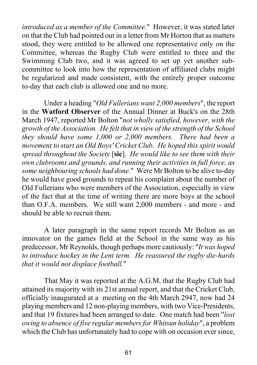*introduced as a member of the Committee.*" However, it was stated later on that the Club had pointed out in a letter from Mr Horton that as matters stood, they were entitled to be allowed one representative only on the Committee, whereas the Rugby Club were entitled to three and the Swimming Club two, and it was agreed to set up yet another subcommittee to look into how the representation of affiliated clubs might be regularized and made consistent, with the entirely proper outcome to-day that each club is allowed one and no more.

Under a heading "*Old Fullerians want 2,000 members*", the report in the **Watford Observer** of the Annual Dinner at Buck's on the 28th March 1947, reported Mr Bolton "*not wholly satisfied, however, with the growth of the Association. He felt that in view of the strength of the School they should have some 1,000 or 2,000 members. There had been a movement to start an Old Boys' Cricket Club. He hoped this spirit would spread throughout the Society* [**sic**]. *He would like to see them with their own clubrooms and grounds, and running their activities in full force, as some neighbouring schools had done.*" Were Mr Bolton to be alive to-day he would have good grounds to repeat his complaint about the number of Old Fullerians who were members of the Association, especially in view of the fact that at the time of writing there are more boys at the school than O.F.A. members. We still want 2,000 members - and more - and should be able to recruit them.

A later paragraph in the same report records Mr Bolton as an innovator on the games field at the School in the same way as his predecessor, Mr Reynolds, though perhaps more cautiously: "*It was hoped to introduce hockey in the Lent term. He reassured the rugby die-hards that it would not displace football.*"

That May it was reported at the A.G.M. that the Rugby Club had attained its majority with its 21st annual report, and that the Cricket Club, officially inaugurated at a meeting on the 4th March 2947, now had 24 playing members and 12 non-playing members, with two Vice-Presidents, and that 19 fixtures had been arranged to date. One match had been "*lost owing to absence of five regular members for Whitsun holiday*", a problem which the Club has unfortunately had to cope with on occasion ever since,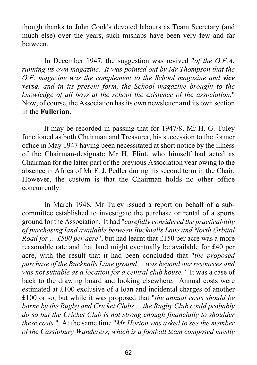though thanks to John Cook's devoted labours as Team Secretary (and much else) over the years, such mishaps have been very few and far between.

In December 1947, the suggestion was revived "*of the O.F.A. running its own magazine. It was pointed out by Mr Thompson that the O.F. magazine was the complement to the School magazine and vice versa, and in its present form, the School magazine brought to the knowledge of all boys at the school the existence of the association.*" Now, of course, the Association has its own newsletter **and** its own section in the **Fullerian**.

It may be recorded in passing that for 1947/8, Mr H. G. Tuley functioned as both Chairman and Treasurer, his succession to the former office in May 1947 having been necessitated at short notice by the illness of the Chairman-designate Mr H. Flint, who himself had acted as Chairman for the latter part of the previous Association year owing to the absence in Africa of Mr F. J. Pedler during his second term in the Chair. However, the custom is that the Chairman holds no other office concurrently.

In March 1948, Mr Tuley issued a report on behalf of a subcommittee established to investigate the purchase or rental of a sports ground for the Association. It had "*carefully considered the practicability of purchasing land available between Bucknalls Lane and North Orbital Road for ... £500 per acre*", but had learnt that £150 per acre was a more reasonable rate and that land might eventually be available for £40 per acre, with the result that it had been concluded that "*the proposed purchase of the Bucknalls Lane ground ... was beyond our resources and was not suitable as a location for a central club house.*" It was a case of back to the drawing board and looking elsewhere. Annual costs were estimated at £100 exclusive of a loan and incidental charges of another £100 or so, but while it was proposed that "*the annual costs should be borne by the Rugby and Cricket Clubs ... the Rugby Club could probably do so but the Cricket Club is not strong enough financially to shoulder these costs.*" At the same time "*Mr Horton was asked to see the member of the Cassiobury Wanderers, which is a football team composed mostly*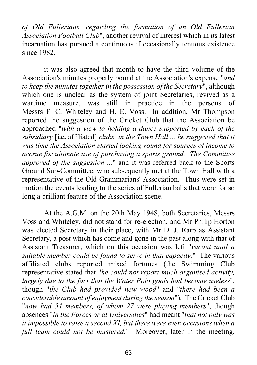*of Old Fullerians, regarding the formation of an Old Fullerian Association Football Club*", another revival of interest which in its latest incarnation has pursued a continuous if occasionally tenuous existence since 1982.

it was also agreed that month to have the third volume of the Association's minutes properly bound at the Association's expense "*and to keep the minutes together in the possession of the Secretary*", although which one is unclear as the system of joint Secretaries, revived as a wartime measure, was still in practice in the persons of Messrs F. C. Whiteley and H. E. Voss. In addition, Mr Thompson reported the suggestion of the Cricket Club that the Association be approached "*with a view to holding a dance supported by each of the subsidiary* [**i.e.** affiliated] *clubs, in the Town Hall ... he suggested that it was time the Association started looking round for sources of income to accrue for ultimate use of purchasing a sports ground. The Committee approved of the suggestion ...*" and it was referred back to the Sports Ground Sub-Committee, who subsequently met at the Town Hall with a representative of the Old Grammarians' Association. Thus were set in motion the events leading to the series of Fullerian balls that were for so long a brilliant feature of the Association scene.

At the A.G.M. on the 20th May 1948, both Secretaries, Messrs Voss and Whiteley, did not stand for re-election, and Mr Philip Horton was elected Secretary in their place, with Mr D. J. Rarp as Assistant Secretary, a post which has come and gone in the past along with that of Assistant Treasurer, which on this occasion was left "*vacant until a suitable member could be found to serve in that capacity.*" The various affiliated clubs reported mixed fortunes (the Swimming Club representative stated that "*he could not report much organised activity, largely due to the fact that the Water Polo goals had become useless*", though "*the Club had provided new wood*" and "*there had been a considerable amount of enjoyment during the season*"). The Cricket Club "*now had 54 members, of whom 27 were playing members*", though absences "*in the Forces or at Universities*" had meant "*that not only was it impossible to raise a second XI, but there were even occasions when a full team could not be mustered.*" Moreover, later in the meeting,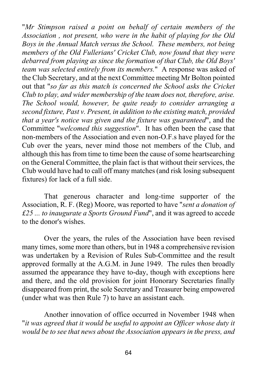"*Mr Stimpson raised a point on behalf of certain members of the Association , not present, who were in the habit of playing for the Old Boys in the Annual Match versus the School. These members, not being members of the Old Fullerians' Cricket Club, now found that they were debarred from playing as since the formation of that Club, the Old Boys' team was selected entirely from its members.*" A response was asked of the Club Secretary, and at the next Committee meeting Mr Bolton pointed out that "*so far as this match is concerned the School asks the Cricket Club to play, and wider membership of the team does not, therefore, arise. The School would, however, be quite ready to consider arranging a second fixture, Past v. Present, in addition to the existing match, provided that a year's notice was given and the fixture was guaranteed*", and the Committee "*welcomed this suggestion*". It has often been the case that non-members of the Association and even non-O.F.s have played for the Cub over the years, never mind those not members of the Club, and although this has from time to time been the cause of some heartsearching on the General Committee, the plain fact is that without their services, the Club would have had to call off many matches (and risk losing subsequent fixtures) for lack of a full side.

That generous character and long-time supporter of the Association, R. F. (Reg) Moore, was reported to have "*sent a donation of £25 ... to inaugurate a Sports Ground Fund*", and it was agreed to accede to the donor's wishes.

Over the years, the rules of the Association have been revised many times, some more than others, but in 1948 a comprehensive revision was undertaken by a Revision of Rules Sub-Committee and the result approved formally at the A.G.M. in June 1949. The rules then broadly assumed the appearance they have to-day, though with exceptions here and there, and the old provision for joint Honorary Secretaries finally disappeared from print, the sole Secretary and Treasurer being empowered (under what was then Rule 7) to have an assistant each.

Another innovation of office occurred in November 1948 when "*it was agreed that it would be useful to appoint an Officer whose duty it would be to see that news about the Association appears in the press, and*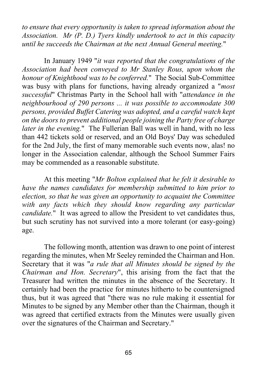*to ensure that every opportunity is taken to spread information about the Association. Mr (P. D.) Tyers kindly undertook to act in this capacity until he succeeds the Chairman at the next Annual General meeting.*"

In January 1949 "*it was reported that the congratulations of the Association had been conveyed to Mr Stanley Rous, upon whom the honour of Knighthood was to be conferred.*" The Social Sub-Committee was busy with plans for functions, having already organized a "*most successful*" Christmas Party in the School hall with "*attendance in the neighbourhood of 290 persons ... it was possible to accommodate 300 persons, provided Buffet Catering was adopted, and a careful watch kept on the doors to prevent additional people joining the Party free of charge later in the evening.*" The Fullerian Ball was well in hand, with no less than 442 tickets sold or reserved, and an Old Boys' Day was scheduled for the 2nd July, the first of many memorable such events now, alas! no longer in the Association calendar, although the School Summer Fairs may be commended as a reasonable substitute.

At this meeting "*Mr Bolton explained that he felt it desirable to have the names candidates for membership submitted to him prior to election, so that he was given an opportunity to acquaint the Committee with any facts which they should know regarding any particular candidate.*" It was agreed to allow the President to vet candidates thus, but such scrutiny has not survived into a more tolerant (or easy-going) age.

The following month, attention was drawn to one point of interest regarding the minutes, when Mr Seeley reminded the Chairman and Hon. Secretary that it was "*a rule that all Minutes should be signed by the Chairman and Hon. Secretary*", this arising from the fact that the Treasurer had written the minutes in the absence of the Secretary. It certainly had been the practice for minutes hitherto to be countersigned thus, but it was agreed that "there was no rule making it essential for Minutes to be signed by any Member other than the Chairman, though it was agreed that certified extracts from the Minutes were usually given over the signatures of the Chairman and Secretary."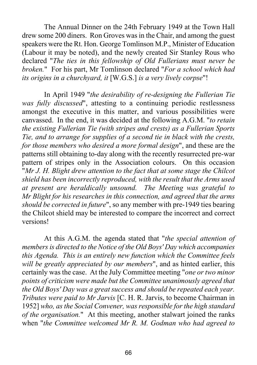The Annual Dinner on the 24th February 1949 at the Town Hall drew some 200 diners. Ron Groves was in the Chair, and among the guest speakers were the Rt. Hon. George Tomlinson M.P., Minister of Education (Labour it may be noted), and the newly created Sir Stanley Rous who declared "*The ties in this fellowship of Old Fullerians must never be broken.*" For his part, Mr Tomlinson declared "*For a school which had its origins in a churchyard, it* [W.G.S.] *is a very lively corpse*"!

In April 1949 "*the desirability of re-designing the Fullerian Tie was fully discussed*", attesting to a continuing periodic restlessness amongst the executive in this matter, and various possibilities were canvassed. In the end, it was decided at the following A.G.M. "*to retain the existing Fullerian Tie (with stripes and crests) as a Fullerian Sports Tie, and to arrange for supplies of a second tie in black with the crests, for those members who desired a more formal design*", and these are the patterns still obtaining to-day along with the recently resurrected pre-war pattern of stripes only in the Association colours. On this occasion "*Mr J. H. Blight drew attention to the fact that at some stage the Chilcot shield has been incorrectly reproduced, with the result that the Arms used at present are heraldically unsound. The Meeting was grateful to Mr Blight for his researches in this connection, and agreed that the arms should be corrected in future*", so any member with pre-1949 ties bearing the Chilcot shield may be interested to compare the incorrect and correct versions!

At this A.G.M. the agenda stated that "*the special attention of members is directed to the Notice of the Old Boys' Day which accompanies this Agenda. This is an entirely new function which the Committee feels will be greatly appreciated by our members*", and as hinted earlier, this certainly was the case. At the July Committee meeting "*one or two minor points of criticism were made but the Committee unanimously agreed that the Old Boys' Day was a great success and should be repeated each year. Tributes were paid to Mr Jarvis* [C. H. R. Jarvis, to become Chairman in 1952] *who, as the Social Convener, was responsible for the high standard of the organisation.*" At this meeting, another stalwart joined the ranks when "*the Committee welcomed Mr R. M. Godman who had agreed to*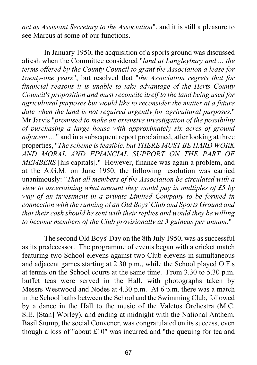*act as Assistant Secretary to the Association*", and it is still a pleasure to see Marcus at some of our functions.

In January 1950, the acquisition of a sports ground was discussed afresh when the Committee considered "*land at Langleybury and ... the terms offered by the County Council to grant the Association a lease for twenty-one years*", but resolved that "*the Association regrets that for financial reasons it is unable to take advantage of the Herts County Council's proposition and must reconcile itself to the land being used for agricultural purposes but would like to reconsider the matter at a future date when the land is not required urgently for agricultural purposes.*" Mr Jarvis "*promised to make an extensive investigation of the possibility of purchasing a large house with approximately six acres of ground adjacent ...* " and in a subsequent report proclaimed, after looking at three properties, "*The scheme is feasible, but THERE MUST BE HARD WORK AND MORAL AND FINANCIAL SUPPORT ON THE PART OF MEMBERS* [his capitals]." However, finance was again a problem, and at the A.G.M. on June 1950, the following resolution was carried unanimously: "*That all members of the Association be circulated with a view to ascertaining what amount they would pay in multiples of £5 by way of an investment in a private Limited Company to be formed in connection with the running of an Old Boys' Club and Sports Ground and that their cash should be sent with their replies and would they be willing to become members of the Club provisionally at 3 guineas per annum.*"

The second Old Boys' Day on the 8th July 1950, was as successful as its predecessor. The programme of events began with a cricket match featuring two School elevens against two Club elevens in simultaneous and adjacent games starting at 2.30 p.m., while the School played O.F.s at tennis on the School courts at the same time. From 3.30 to 5.30 p.m. buffet teas were served in the Hall, with photographs taken by Messrs Westwood and Nodes at 4.30 p.m. At 6 p.m. there was a match in the School baths between the School and the Swimming Club, followed by a dance in the Hall to the music of the Valetos Orchestra (M.C. S.E. [Stan] Worley), and ending at midnight with the National Anthem. Basil Stump, the social Convener, was congratulated on its success, even though a loss of "about £10" was incurred and "the queuing for tea and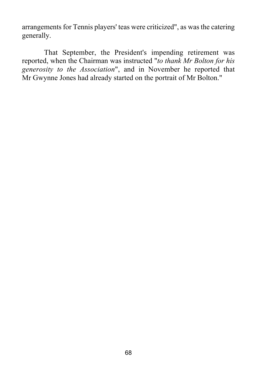arrangements for Tennis players' teas were criticized", as was the catering generally.

That September, the President's impending retirement was reported, when the Chairman was instructed "*to thank Mr Bolton for his generosity to the Association*", and in November he reported that Mr Gwynne Jones had already started on the portrait of Mr Bolton."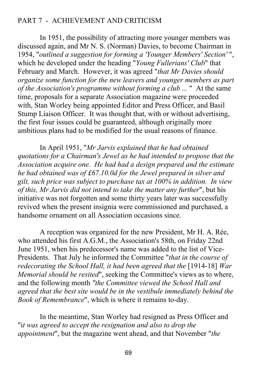## PART 7 - ACHIEVEMENT AND CRITICISM

In 1951, the possibility of attracting more younger members was discussed again, and Mr N. S. (Norman) Davies, to become Chairman in 1954, "*outlined a suggestion for forming a 'Younger Members' Section'* ", which he developed under the heading "*Young Fullerians' Club*" that February and March. However, it was agreed "*that Mr Davies should organize some function for the new leavers and younger members as part of the Association's programme without forming a club ...* " At the same time, proposals for a separate Association magazine were proceeded with, Stan Worley being appointed Editor and Press Officer, and Basil Stump Liaison Officer. It was thought that, with or without advertising, the first four issues could be guaranteed, although originally more ambitious plans had to be modified for the usual reasons of finance.

In April 1951, "*Mr Jarvis explained that he had obtained quotations for a Chairman's Jewel as he had intended to propose that the Association acquire one. He had had a design prepared and the estimate he had obtained was of £67.10.0d for the Jewel prepared in silver and gilt, such price was subject to purchase tax at 100% in addition. In view of this, Mr Jarvis did not intend to take the matter any further*", but his initiative was not forgotten and some thirty years later was successfully revived when the present insignia were commissioned and purchased, a handsome ornament on all Association occasions since.

A reception was organized for the new President, Mr H. A. Rée, who attended his first A.G.M., the Association's 58th, on Friday 22nd June 1951, when his predecessor's name was added to the list of Vice-Presidents. That July he informed the Committee "*that in the course of redecorating the School Hall, it had been agreed that the* [1914-18] *War Memorial should be resited*", seeking the Committee's views as to where, and the following month *"the Committee viewed the School Hall and agreed that the best site would be in the vestibule immediately behind the Book of Remembrance*", which is where it remains to-day.

In the meantime, Stan Worley had resigned as Press Officer and "i*t was agreed to accept the resignation and also to drop the appointment*", but the magazine went ahead, and that November "*the*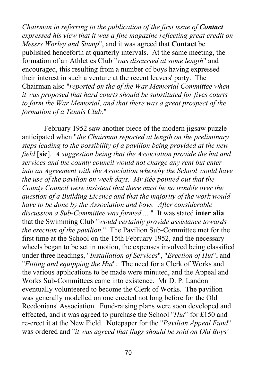*Chairman in referring to the publication of the first issue of Contact expressed his view that it was a fine magazine reflecting great credit on Messrs Worley and Stump*", and it was agreed that **Contact** be published henceforth at quarterly intervals. At the same meeting, the formation of an Athletics Club "*was discussed at some length*" and encouraged, this resulting from a number of boys having expressed their interest in such a venture at the recent leavers' party. The Chairman also "*reported on the of the War Memorial Committee when it was proposed that hard courts should be substituted for fives courts to form the War Memorial, and that there was a great prospect of the formation of a Tennis Club.*"

February 1952 saw another piece of the modern jigsaw puzzle anticipated when "*the Chairman reported at length on the preliminary steps leading to the possibility of a pavilion being provided at the new field* [**sic**]. *A suggestion being that the Association provide the hut and services and the county council would not charge any rent but enter into an Agreement with the Association whereby the School would have the use of the pavilion on week days. Mr Rée pointed out that the County Council were insistent that there must be no trouble over the question of a Building Licence and that the majority of the work would have to be done by the Association and boys. After considerable discussion a Sub-Committee was formed ...* " It was stated **inter alia** that the Swimming Club "*would certainly provide assistance towards the erection of the pavilion.*" The Pavilion Sub-Committee met for the first time at the School on the 15th February 1952, and the necessary wheels began to be set in motion, the expenses involved being classified under three headings, "*Installation of Services*", "*Erection of Hut*", and "*Fitting and equipping the Hut*". The need for a Clerk of Works and the various applications to be made were minuted, and the Appeal and Works Sub-Committees came into existence. Mr D. P. Landon eventually volunteered to become the Clerk of Works. The pavilion was generally modelled on one erected not long before for the Old Reedonians' Association. Fund-raising plans were soon developed and effected, and it was agreed to purchase the School "*Hut*" for £150 and re-erect it at the New Field. Notepaper for the "*Pavilion Appeal Fund*" was ordered and "*it was agreed that flags should be sold on Old Boys'*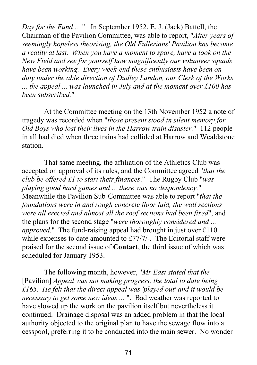*Day for the Fund ...* ". In September 1952, E. J. (Jack) Battell, the Chairman of the Pavilion Committee, was able to report, "*After years of seemingly hopeless theorising, the Old Fullerians' Pavilion has become a reality at last. When you have a moment to spare, have a look on the New Field and see for yourself how magnificently our volunteer squads have been working. Every week-end these enthusiasts have been on duty under the able direction of Dudley Landon, our Clerk of the Works ... the appeal ... was launched in July and at the moment over £100 has been subscribed.*"

At the Committee meeting on the 13th November 1952 a note of tragedy was recorded when "*those present stood in silent memory for Old Boys who lost their lives in the Harrow train disaster.*" 112 people in all had died when three trains had collided at Harrow and Wealdstone station.

That same meeting, the affiliation of the Athletics Club was accepted on approval of its rules, and the Committee agreed "*that the club be offered £1 to start their finances*." The Rugby Club "*was playing good hard games and ... there was no despondency.*" Meanwhile the Pavilion Sub-Committee was able to report "*that the foundations were in and rough concrete floor laid, the wall sections were all erected and almost all the roof sections had been fixed*", and the plans for the second stage "*were thoroughly considered and ... approved.*" The fund-raising appeal had brought in just over £110 while expenses to date amounted to £77/7/-. The Editorial staff were praised for the second issue of **Contact**, the third issue of which was scheduled for January 1953.

The following month, however, "*Mr East stated that the* [Pavilion] *Appeal was not making progress, the total to date being £165. He felt that the direct appeal was 'played out' and it would be necessary to get some new ideas ...* ". Bad weather was reported to have slowed up the work on the pavilion itself but nevertheless it continued. Drainage disposal was an added problem in that the local authority objected to the original plan to have the sewage flow into a cesspool, preferring it to be conducted into the main sewer. No wonder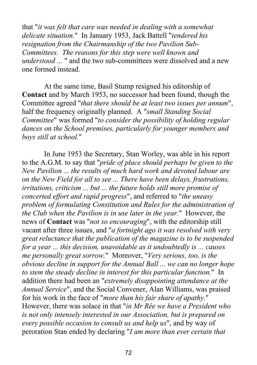that "*it was felt that care was needed in dealing with a somewhat delicate situation.*" In January 1953, Jack Battell "*tendered his resignation from the Chairmanship of the two Pavilion Sub-Committees. The reasons for this step were well known and understood ...* " and the two sub-committees were dissolved and a new one formed instead.

At the same time, Basil Stump resigned his editorship of **Contact** and by March 1953, no successor had been found, though the Committee agreed "*that there should be at least two issues per annum*", half the frequency originally planned. A "*small Standing Social Committee*" was formed "*to consider the possibility of holding regular dances on the School premises, particularly for younger members and boys still at school.*"

In June 1953 the Secretary, Stan Worley, was able in his report to the A.G.M. to say that "*pride of place should perhaps be given to the New Pavilion ... the results of much hard work and devoted labour are on the New Field for all to see ... There have been delays, frustrations, irritations, criticism ... but ... the future holds still more promise of concerted effort and rapid progress*", and referred to "*the uneasy problem of formulating Constitution and Rules for the administration of the Club when the Pavilion is in use later in the year.*" However, the news of **Contact** was "*not so encouraging*", with the editorship still vacant after three issues, and "*a fortnight ago it was resolved with very great reluctance that the publication of the magazine is to be suspended for a year ... this decision, unavoidable as it undoubtedly is ... causes me personally great sorrow.*" Moreover, "*Very serious, too, is the obvious decline in support for the Annual Ball ... we can no longer hope to stem the steady decline in interest for this particular function.*" In addition there had been an "*extremely disappointing attendance at the Annual Service*", and the Social Convener, Alan Williams, was praised for his work in the face of "*more than his fair share of apathy.*" However, there was solace in that "*in Mr Rée we have a President who is not only intensely interested in our Association, but is prepared on every possible occasion to consult us and help us*", and by way of peroration Stan ended by declaring "*I am more than ever certain that*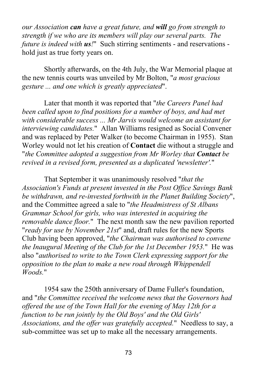*our Association can have a great future, and will go from strength to strength if we who are its members will play our several parts. The future is indeed with us!*" Such stirring sentiments - and reservations hold just as true forty years on.

Shortly afterwards, on the 4th July, the War Memorial plaque at the new tennis courts was unveiled by Mr Bolton, "*a most gracious gesture ... and one which is greatly appreciated*".

Later that month it was reported that "*the Careers Panel had been called upon to find positions for a number of boys, and had met with considerable success ... Mr Jarvis would welcome an assistant for interviewing candidates.*" Allan Williams resigned as Social Convener and was replaced by Peter Walker (to become Chairman in 1955). Stan Worley would not let his creation of **Contact** die without a struggle and "*the Committee adopted a suggestion from Mr Worley that Contact be revived in a revised form, presented as a duplicated 'newsletter'.*"

That September it was unanimously resolved "*that the Association's Funds at present invested in the Post Office Savings Bank be withdrawn, and re-invested forthwith in the Planet Building Society*", and the Committee agreed a sale to "*the Headmistress of St Albans Grammar School for girls, who was interested in acquiring the removable dance floor.*" The next month saw the new pavilion reported "*ready for use by November 21st*" and, draft rules for the new Sports Club having been approved, "*the Chairman was authorised to convene the Inaugural Meeting of the Club for the 1st December 1953.*" He was also "*authorised to write to the Town Clerk expressing support for the opposition to the plan to make a new road through Whippendell Woods.*"

1954 saw the 250th anniversary of Dame Fuller's foundation, and "*the Committee received the welcome news that the Governors had offered the use of the Town Hall for the evening of May 12th for a function to be run jointly by the Old Boys' and the Old Girls' Associations, and the offer was gratefully accepted.*" Needless to say, a sub-committee was set up to make all the necessary arrangements.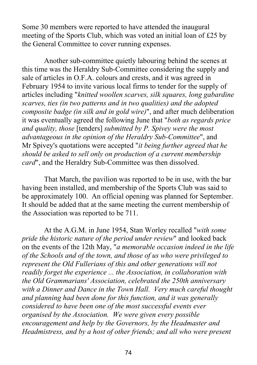Some 30 members were reported to have attended the inaugural meeting of the Sports Club, which was voted an initial loan of £25 by the General Committee to cover running expenses.

Another sub-committee quietly labouring behind the scenes at this time was the Heraldry Sub-Committee considering the supply and sale of articles in O.F.A. colours and crests, and it was agreed in February 1954 to invite various local firms to tender for the supply of articles including "*knitted woollen scarves, silk squares, long gabardine scarves, ties (in two patterns and in two qualities) and the adopted composite badge (in silk and in gold wire)*", and after much deliberation it was eventually agreed the following June that "*both as regards price and quality, those* [tenders] *submitted by P. Spivey were the most advantageous in the opinion of the Heraldry Sub-Committee*", and Mr Spivey's quotations were accepted "*it being further agreed that he should be asked to sell only on production of a current membership card*", and the Heraldry Sub-Committee was then dissolved.

That March, the pavilion was reported to be in use, with the bar having been installed, and membership of the Sports Club was said to be approximately 100. An official opening was planned for September. It should be added that at the same meeting the current membership of the Association was reported to be 711.

At the A.G.M. in June 1954, Stan Worley recalled "*with some pride the historic nature of the period under review*" and looked back on the events of the 12th May, "*a memorable occasion indeed in the life of the Schools and of the town, and those of us who were privileged to represent the Old Fullerians of this and other generations will not readily forget the experience ... the Association, in collaboration with the Old Grammarians' Association, celebrated the 250th anniversary with a Dinner and Dance in the Town Hall. Very much careful thought and planning had been done for this function, and it was generally considered to have been one of the most successful events ever organised by the Association. We were given every possible encouragement and help by the Governors, by the Headmaster and Headmistress, and by a host of other friends; and all who were present*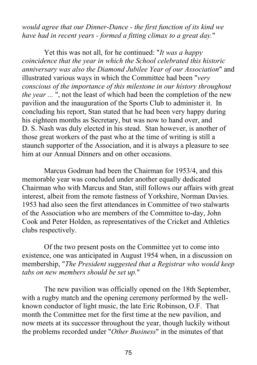*would agree that our Dinner-Dance - the first function of its kind we have had in recent years - formed a fitting climax to a great day.*"

Yet this was not all, for he continued: "*It was a happy coincidence that the year in which the School celebrated this historic anniversary was also the Diamond Jubilee Year of our Association*" and illustrated various ways in which the Committee had been "*very conscious of the importance of this milestone in our history throughout the year ...* ", not the least of which had been the completion of the new pavilion and the inauguration of the Sports Club to administer it. In concluding his report, Stan stated that he had been very happy during his eighteen months as Secretary, but was now to hand over, and D. S. Nash was duly elected in his stead. Stan however, is another of those great workers of the past who at the time of writing is still a staunch supporter of the Association, and it is always a pleasure to see him at our Annual Dinners and on other occasions.

Marcus Godman had been the Chairman for 1953/4, and this memorable year was concluded under another equally dedicated Chairman who with Marcus and Stan, still follows our affairs with great interest, albeit from the remote fastness of Yorkshire, Norman Davies. 1953 had also seen the first attendances in Committee of two stalwarts of the Association who are members of the Committee to-day, John Cook and Peter Holden, as representatives of the Cricket and Athletics clubs respectively.

Of the two present posts on the Committee yet to come into existence, one was anticipated in August 1954 when, in a discussion on membership, "*The President suggested that a Registrar who would keep tabs on new members should be set up.*"

The new pavilion was officially opened on the 18th September, with a rugby match and the opening ceremony performed by the wellknown conductor of light music, the late Eric Robinson, O.F. That month the Committee met for the first time at the new pavilion, and now meets at its successor throughout the year, though luckily without the problems recorded under "*Other Business*" in the minutes of that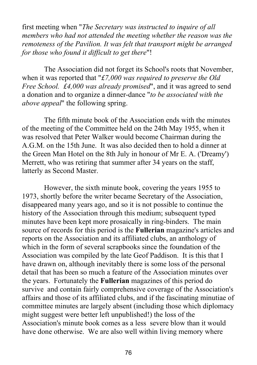first meeting when "*The Secretary was instructed to inquire of all members who had not attended the meeting whether the reason was the remoteness of the Pavilion. It was felt that transport might be arranged for those who found it difficult to get there*"!

The Association did not forget its School's roots that November, when it was reported that "*£7,000 was required to preserve the Old Free School. £4,000 was already promised*", and it was agreed to send a donation and to organize a dinner-dance "*to be associated with the above appeal*" the following spring.

The fifth minute book of the Association ends with the minutes of the meeting of the Committee held on the 24th May 1955, when it was resolved that Peter Walker would become Chairman during the A.G.M. on the 15th June. It was also decided then to hold a dinner at the Green Man Hotel on the 8th July in honour of Mr E. A. ('Dreamy') Merrett, who was retiring that summer after 34 years on the staff, latterly as Second Master.

However, the sixth minute book, covering the years 1955 to 1973, shortly before the writer became Secretary of the Association, disappeared many years ago, and so it is not possible to continue the history of the Association through this medium; subsequent typed minutes have been kept more prosaically in ring-binders. The main source of records for this period is the **Fullerian** magazine's articles and reports on the Association and its affiliated clubs, an anthology of which in the form of several scrapbooks since the foundation of the Association was compiled by the late Geof Paddison. It is this that I have drawn on, although inevitably there is some loss of the personal detail that has been so much a feature of the Association minutes over the years. Fortunately the **Fullerian** magazines of this period do survive and contain fairly comprehensive coverage of the Association's affairs and those of its affiliated clubs, and if the fascinating minutiae of committee minutes are largely absent (including those which diplomacy might suggest were better left unpublished!) the loss of the Association's minute book comes as a less severe blow than it would have done otherwise. We are also well within living memory where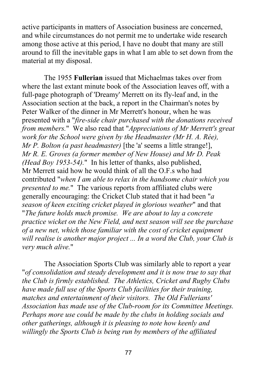active participants in matters of Association business are concerned, and while circumstances do not permit me to undertake wide research among those active at this period, I have no doubt that many are still around to fill the inevitable gaps in what I am able to set down from the material at my disposal.

The 1955 **Fullerian** issued that Michaelmas takes over from where the last extant minute book of the Association leaves off, with a full-page photograph of 'Dreamy' Merrett on its fly-leaf and, in the Association section at the back, a report in the Chairman's notes by Peter Walker of the dinner in Mr Merrett's honour, when he was presented with a "*fire-side chair purchased with the donations received from members.*" We also read that "*Appreciations of Mr Merrett's great work for the School were given by the Headmaster (Mr H. A. Rée), Mr P. Bolton (a past headmaster)* [the 'a' seems a little strange!], *Mr R. E. Groves (a former member of New House) and Mr D. Peak (Head Boy 1953-54).*" In his letter of thanks, also published, Mr Merrett said how he would think of all the O.F.s who had contributed "*when I am able to relax in the handsome chair which you presented to me.*" The various reports from affiliated clubs were generally encouraging: the Cricket Club stated that it had been "*a season of keen exciting cricket played in glorious weather*" and that "*The future holds much promise. We are about to lay a concrete practice wicket on the New Field, and next season will see the purchase of a new net, which those familiar with the cost of cricket equipment will realise is another major project ... In a word the Club, your Club is very much alive.*"

The Association Sports Club was similarly able to report a year "*of consolidation and steady development and it is now true to say that the Club is firmly established. The Athletics, Cricket and Rugby Clubs have made full use of the Sports Club facilities for their training, matches and entertainment of their visitors. The Old Fullerians' Association has made use of the Club‑room for its Committee Meetings. Perhaps more use could be made by the clubs in holding socials and other gatherings, although it is pleasing to note how keenly and willingly the Sports Club is being run by members of the affiliated*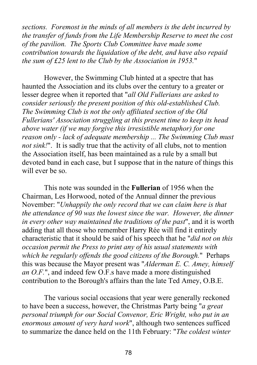*sections. Foremost in the minds of all members is the debt incurred by the transfer of funds from the Life Membership Reserve to meet the cost of the pavilion. The Sports Club Committee have made some contribution towards the liquidation of the debt, and have also repaid the sum of £25 lent to the Club by the Association in 1953.*"

However, the Swimming Club hinted at a spectre that has haunted the Association and its clubs over the century to a greater or lesser degree when it reported that "*all Old Fullerians are asked to consider seriously the present position of this old-established Club. The Swimming Club is not the only affiliated section of the Old Fullerians' Association struggling at this present time to keep its head above water (if we may forgive this irresistible metaphor) for one reason only - lack of adequate membership ... The Swimming Club must not sink!*". It is sadly true that the activity of all clubs, not to mention the Association itself, has been maintained as a rule by a small but devoted band in each case, but I suppose that in the nature of things this will ever be so.

This note was sounded in the **Fullerian** of 1956 when the Chairman, Les Horwood, noted of the Annual dinner the previous November: "*Unhappily the only record that we can claim here is that the attendance of 90 was the lowest since the war. However, the dinner in every other way maintained the traditions of the past*", and it is worth adding that all those who remember Harry Rée will find it entirely characteristic that it should be said of his speech that he "*did not on this occasion permit the Press to print any of his usual statements with which he regularly offends the good citizens of the Borough.*" Perhaps this was because the Mayor present was "*Alderman E. C. Amey, himself an O.F.*", and indeed few O.F.s have made a more distinguished contribution to the Borough's affairs than the late Ted Amey, O.B.E.

The various social occasions that year were generally reckoned to have been a success, however, the Christmas Party being "*a great personal triumph for our Social Convenor, Eric Wright, who put in an enormous amount of very hard work*", although two sentences sufficed to summarize the dance held on the 11th February: "*The coldest winter*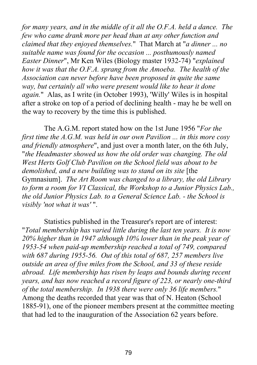*for many years, and in the middle of it all the O.F.A. held a dance. The few who came drank more per head than at any other function and claimed that they enjoyed themselves.*" That March at "*a dinner ... no suitable name was found for the occasion ... posthumously named Easter Dinner*", Mr Ken Wiles (Biology master 1932‑74) "*explained how it was that the O.F.A. sprang from the Amoeba. The health of the Association can never before have been proposed in quite the same way, but certainly all who were present would like to hear it done again.*" Alas, as I write (in October 1993), 'Willy' Wiles is in hospital after a stroke on top of a period of declining health - may he be well on the way to recovery by the time this is published.

The A.G.M. report stated how on the 1st June 1956 "*For the first time the A.G.M. was held in our own Pavilion ... in this more cosy and friendly atmosphere*", and just over a month later, on the 6th July, "*the Headmaster showed us how the old order was changing. The old West Herts Golf Club Pavilion on the School field was about to be demolished, and a new building was to stand on its site* [the Gymnasium]. *The Art Room was changed to a library, the old Library to form a room for VI Classical, the Workshop to a Junior Physics Lab., the old Junior Physics Lab. to a General Science Lab. - the School is visibly 'not what it was'* ".

Statistics published in the Treasurer's report are of interest: "*Total membership has varied little during the last ten years. It is now 20% higher than in 1947 although 10% lower than in the peak year of 1953-54 when paid-up membership reached a total of 749, compared with 687 during 1955-56. Out of this total of 687, 257 members live outside an area of five miles from the School, and 33 of these reside abroad. Life membership has risen by leaps and bounds during recent years, and has now reached a record figure of 223, or nearly one-third of the total membership. In 1938 there were only 36 life members.*" Among the deaths recorded that year was that of N. Heaton (School 1885-91), one of the pioneer members present at the committee meeting that had led to the inauguration of the Association 62 years before.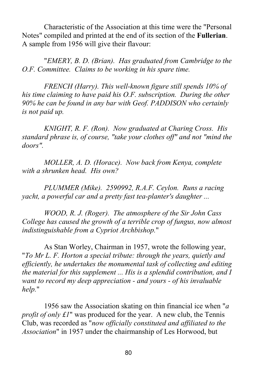Characteristic of the Association at this time were the "Personal Notes" compiled and printed at the end of its section of the **Fullerian**. A sample from 1956 will give their flavour:

"*EMERY, B. D. (Brian). Has graduated from Cambridge to the O.F. Committee. Claims to be working in his spare time.*

*FRENCH (Harry). This well-known figure still spends 10% of his time claiming to have paid his O.F. subscription. During the other 90% he can be found in any bar with Geof. PADDISON who certainly is not paid up.*

*KNIGHT, R. F. (Ron). Now graduated at Charing Cross. His standard phrase is, of course, "take your clothes off" and not "mind the doors".*

*MOLLER, A. D. (Horace). Now back from Kenya, complete with a shrunken head. His own?*

*PLUMMER (Mike). 2590992, R.A.F. Ceylon. Runs a racing yacht, a powerful car and a pretty fast tea-planter's daughter ...*

*WOOD, R. J. (Roger). The atmosphere of the Sir John Cass College has caused the growth of a terrible crop of fungus, now almost indistinguishable from a Cypriot Archbishop.*"

As Stan Worley, Chairman in 1957, wrote the following year, "*To Mr L. F. Horton a special tribute: through the years, quietly and efficiently, he undertakes the monumental task of collecting and editing the material for this supplement ... His is a splendid contribution, and I want to record my deep appreciation - and yours - of his invaluable help.*"

1956 saw the Association skating on thin financial ice when "*a profit of only £1*" was produced for the year. A new club, the Tennis Club, was recorded as "*now officially constituted and affiliated to the Association*" in 1957 under the chairmanship of Les Horwood, but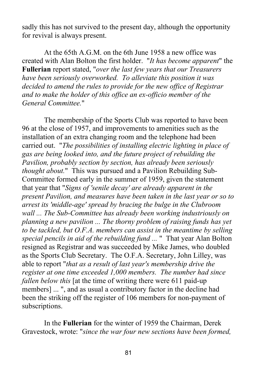sadly this has not survived to the present day, although the opportunity for revival is always present.

At the 65th A.G.M. on the 6th June 1958 a new office was created with Alan Bolton the first holder. "*It has become apparent*" the **Fullerian** report stated, "*over the last few years that our Treasurers have been seriously overworked. To alleviate this position it was decided to amend the rules to provide for the new office of Registrar and to make the holder of this office an ex-officio member of the General Committee.*"

The membership of the Sports Club was reported to have been 96 at the close of 1957, and improvements to amenities such as the installation of an extra changing room and the telephone had been carried out. "*The possibilities of installing electric lighting in place of gas are being looked into, and the future project of rebuilding the Pavilion, probably section by section, has already been seriously thought about.*" This was pursued and a Pavilion Rebuilding Sub-Committee formed early in the summer of 1959, given the statement that year that "*Signs of 'senile decay' are already apparent in the present Pavilion, and measures have been taken in the last year or so to arrest its 'middle-age' spread by bracing the bulge in the Clubroom wall ... The Sub-Committee has already been working industriously on planning a new pavilion ... The thorny problem of raising funds has yet to be tackled, but O.F.A. members can assist in the meantime by selling special pencils in aid of the rebuilding fund ...* " That year Alan Bolton resigned as Registrar and was succeeded by Mike James, who doubled as the Sports Club Secretary. The O.F.A. Secretary, John Lilley, was able to report "*that as a result of last year's membership drive the register at one time exceeded 1,000 members. The number had since fallen below this* [at the time of writing there were 611 paid-up members] ... ", and as usual a contributory factor in the decline had been the striking off the register of 106 members for non-payment of subscriptions.

In the **Fullerian** for the winter of 1959 the Chairman, Derek Gravestock, wrote: "*since the war four new sections have been formed,*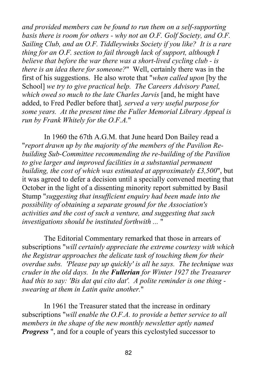*and provided members can be found to run them on a self-supporting basis there is room for others - why not an O.F. Golf Society, and O.F. Sailing Club, and an O.F. Tiddleywinks Society if you like? It is a rare thing for an O.F. section to fail through lack of support, although I believe that before the war there was a short-lived cycling club - is there is an idea there for someone?*" Well, certainly there was in the first of his suggestions. He also wrote that "*when called upon* [by the School] *we try to give practical help. The Careers Advisory Panel, which owed so much to the late Charles Jarvis* [and, he might have added, to Fred Pedler before that]*, served a very useful purpose for some years. At the present time the Fuller Memorial Library Appeal is run by Frank Whitely for the O.F.A.*"

In 1960 the 67th A.G.M. that June heard Don Bailey read a "*report drawn up by the majority of the members of the Pavilion Rebuilding Sub-Committee recommending the re-building of the Pavilion to give larger and improved facilities in a substantial permanent building, the cost of which was estimated at approximately £3,500*", but it was agreed to defer a decision until a specially convened meeting that October in the light of a dissenting minority report submitted by Basil Stump "*suggesting that insufficient enquiry had been made into the possibility of obtaining a separate ground for the Association's activities and the cost of such a venture, and suggesting that such investigations should be instituted forthwith ...* "

The Editorial Commentary remarked that those in arrears of subscriptions "*will certainly appreciate the extreme courtesy with which the Registrar approaches the delicate task of touching them for their overdue subs. 'Please pay up quickly' is all he says. The technique was cruder in the old days. In the Fullerian for Winter 1927 the Treasurer had this to say: 'Bis dat qui cito dat'. A polite reminder is one thing swearing at them in Latin quite another.*"

In 1961 the Treasurer stated that the increase in ordinary subscriptions "*will enable the O.F.A. to provide a better service to all members in the shape of the new monthly newsletter aptly named Progress* ", and for a couple of years this cyclostyled successor to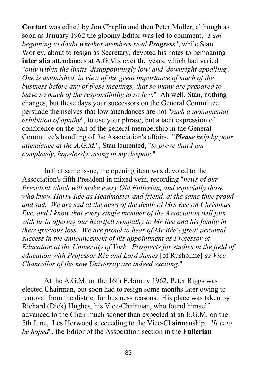**Contact** was edited by Jon Chaplin and then Peter Moller, although as soon as January 1962 the gloomy Editor was led to comment, "*I am beginning to doubt whether members read Progress*", while Stan Worley, about to resign as Secretary, devoted his notes to bemoaning **inter alia** attendances at A.G.M.s over the years, which had varied "*only within the limits 'disappointingly low' and 'downright appalling'. One is astonished, in view of the great importance of much of the business before any of these meetings, that so many are prepared to leave so much of the responsibility to so few.*" Ah well, Stan, nothing changes, but these days your successors on the General Committee persuade themselves that low attendances are not "*such a monumental exhibition of apathy*", to use your phrase, but a tacit expression of confidence on the part of the general membership in the General Committee's handling of the Association's affairs. "*Please help by your attendance at the A.G.M.*", Stan lamented, "*to prove that I am completely, hopelessly wrong in my despair.*"

In that same issue, the opening item was devoted to the Association's fifth President in mixed vein, recording "*news of our President which will make every Old Fullerian, and especially those who know Harry Rée as Headmaster and friend, at the same time proud and sad. We are sad at the news of the death of Mrs Rée on Christmas Eve, and I know that every single member of the Association will join with us in offering our heartfelt sympathy to Mr Rée and his family in their grievous loss. We are proud to hear of Mr Rée's great personal success in the announcement of his appointment as Professor of Education at the University of York. Prospects for studies in the field of education with Professor Rée and Lord James* [of Rusholme] *as Vice-Chancellor of the new University are indeed exciting.*"

At the A.G.M. on the 16th February 1962, Peter Riggs was elected Chairman, but soon had to resign some months later owing to removal from the district for business reasons. His place was taken by Richard (Dick) Hughes, his Vice-Chairman, who found himself advanced to the Chair much sooner than expected at an E.G.M. on the 5th June, Les Horwood succeeding to the Vice-Chairmanship. "*It is to be hoped*", the Editor of the Association section in the **Fullerian**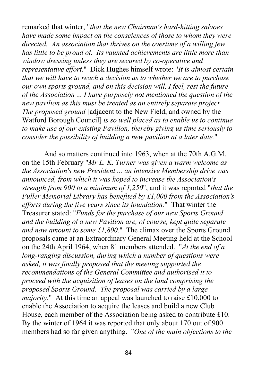remarked that winter, "*that the new Chairman's hard-hitting salvoes have made some impact on the consciences of those to whom they were directed. An association that thrives on the overtime of a willing few has little to be proud of. Its vaunted achievements are little more than window dressing unless they are secured by co-operative and representative effort.*" Dick Hughes himself wrote: "*It is almost certain that we will have to reach a decision as to whether we are to purchase our own sports ground, and on this decision will, I feel, rest the future of the Association ... I have purposely not mentioned the question of the new pavilion as this must be treated as an entirely separate project. The proposed ground* [adjacent to the New Field, and owned by the Watford Borough Council] *is so well placed as to enable us to continue to make use of our existing Pavilion, thereby giving us time seriously to consider the possibility of building a new pavilion at a later date.*"

And so matters continued into 1963, when at the 70th A.G.M. on the 15th February "*Mr L. K. Turner was given a warm welcome as the Association's new President ... an intensive Membership drive was announced, from which it was hoped to increase the Association's strength from 900 to a minimum of 1,250*", and it was reported "*that the Fuller Memorial Library has benefited by £1,000 from the Association's efforts during the five years since its foundation.*" That winter the Treasurer stated: "*Funds for the purchase of our new Sports Ground and the building of a new Pavilion are, of course, kept quite separate and now amount to some £1,800.*" The climax over the Sports Ground proposals came at an Extraordinary General Meeting held at the School on the 24th April 1964, when 81 members attended. "*At the end of a long-ranging discussion, during which a number of questions were asked, it was finally proposed that the meeting supported the recommendations of the General Committee and authorised it to proceed with the acquisition of leases on the land comprising the proposed Sports Ground. The proposal was carried by a large majority.*" At this time an appeal was launched to raise £10,000 to enable the Association to acquire the leases and build a new Club House, each member of the Association being asked to contribute £10. By the winter of 1964 it was reported that only about 170 out of 900 members had so far given anything. "*One of the main objections to the*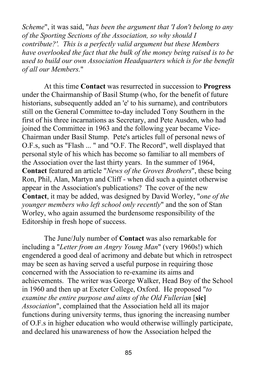*Scheme*", it was said, "*has been the argument that 'I don't belong to any of the Sporting Sections of the Association, so why should I contribute?'. This is a perfectly valid argument but these Members have overlooked the fact that the bulk of the money being raised is to be used to build our own Association Headquarters which is for the benefit of all our Members.*"

At this time **Contact** was resurrected in succession to **Progress** under the Chairmanship of Basil Stump (who, for the benefit of future historians, subsequently added an 'e' to his surname), and contributors still on the General Committee to-day included Tony Southern in the first of his three incarnations as Secretary, and Pete Ausden, who had joined the Committee in 1963 and the following year became Vice-Chairman under Basil Stump. Pete's articles full of personal news of O.F.s, such as "Flash ... " and "O.F. The Record", well displayed that personal style of his which has become so familiar to all members of the Association over the last thirty years. In the summer of 1964, **Contact** featured an article "*News of the Groves Brothers*", these being Ron, Phil, Alan, Martyn and Cliff - when did such a quintet otherwise appear in the Association's publications? The cover of the new **Contact**, it may be added, was designed by David Worley, "*one of the younger members who left school only recently*" and the son of Stan Worley, who again assumed the burdensome responsibility of the Editorship in fresh hope of success.

The June/July number of **Contact** was also remarkable for including a "*Letter from an Angry Young Man*" (very 1960s!) which engendered a good deal of acrimony and debate but which in retrospect may be seen as having served a useful purpose in requiring those concerned with the Association to re-examine its aims and achievements. The writer was George Walker, Head Boy of the School in 1960 and then up at Exeter College, Oxford. He proposed "*to examine the entire purpose and aims of the Old Fullerian* [**sic]** *Association*", complained that the Association held all its major functions during university terms, thus ignoring the increasing number of O.F.s in higher education who would otherwise willingly participate, and declared his unawareness of how the Association helped the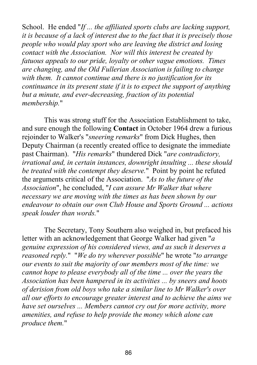School. He ended "*If ... the affiliated sports clubs are lacking support, it is because of a lack of interest due to the fact that it is precisely those people who would play sport who are leaving the district and losing contact with the Association. Nor will this interest be created by fatuous appeals to our pride, loyalty or other vague emotions. Times are changing, and the Old Fullerian Association is failing to change with them. It cannot continue and there is no justification for its continuance in its present state if it is to expect the support of anything but a minute, and ever-decreasing, fraction of its potential membership.*"

This was strong stuff for the Association Establishment to take, and sure enough the following **Contact** in October 1964 drew a furious rejoinder to Walker's "*sneering remarks*" from Dick Hughes, then Deputy Chairman (a recently created office to designate the immediate past Chairman). "*His remarks*" thundered Dick "*are contradictory, irrational and, in certain instances, downright insulting ... these should be treated with the contempt they deserve.*" Point by point he refuted the arguments critical of the Association. "*As to the future of the Association*", he concluded, "*I can assure Mr Walker that where necessary we are moving with the times as has been shown by our endeavour to obtain our own Club House and Sports Ground ... actions speak louder than words.*"

The Secretary, Tony Southern also weighed in, but prefaced his letter with an acknowledgement that George Walker had given "*a genuine expression of his considered views, and as such it deserves a reasoned reply.*" "*We do try wherever possible*" he wrote "*to arrange our events to suit the majority of our members most of the time: we cannot hope to please everybody all of the time ... over the years the Association has been hampered in its activities ... by sneers and hoots of derision from old boys who take a similar line to Mr Walker's over all our efforts to encourage greater interest and to achieve the aims we have set ourselves ... Members cannot cry out for more activity, more amenities, and refuse to help provide the money which alone can produce them.*"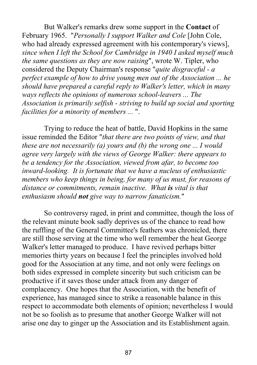But Walker's remarks drew some support in the **Contact** of February 1965. "*Personally I support Walker and Cole* [John Cole, who had already expressed agreement with his contemporary's views], *since when I left the School for Cambridge in 1940 I asked myself much the same questions as they are now raising*", wrote W. Tipler, who considered the Deputy Chairman's response "*quite disgraceful - a perfect example of how to drive young men out of the Association ... he should have prepared a careful reply to Walker's letter, which in many ways reflects the opinions of numerous school-leavers ... The Association is primarily selfish - striving to build up social and sporting facilities for a minority of members ...* ".

Trying to reduce the heat of battle, David Hopkins in the same issue reminded the Editor "*that there are two points of view, and that these are not necessarily (a) yours and (b) the wrong one ... I would agree very largely with the views of George Walker: there appears to be a tendency for the Association, viewed from afar, to become too inward-looking. It is fortunate that we have a nucleus of enthusiastic members who keep things in being, for many of us must, for reasons of distance or commitments, remain inactive. What is vital is that enthusiasm should not give way to narrow fanaticism.*"

So controversy raged, in print and committee, though the loss of the relevant minute book sadly deprives us of the chance to read how the ruffling of the General Committee's feathers was chronicled, there are still those serving at the time who well remember the heat George Walker's letter managed to produce. I have revived perhaps bitter memories thirty years on because I feel the principles involved hold good for the Association at any time, and not only were feelings on both sides expressed in complete sincerity but such criticism can be productive if it saves those under attack from any danger of complacency. One hopes that the Association, with the benefit of experience, has managed since to strike a reasonable balance in this respect to accommodate both elements of opinion; nevertheless I would not be so foolish as to presume that another George Walker will not arise one day to ginger up the Association and its Establishment again.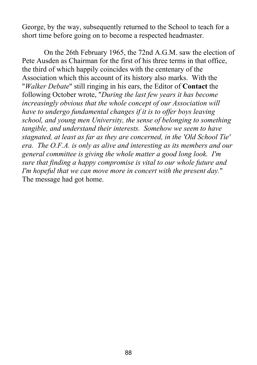George, by the way, subsequently returned to the School to teach for a short time before going on to become a respected headmaster.

On the 26th February 1965, the 72nd A.G.M. saw the election of Pete Ausden as Chairman for the first of his three terms in that office, the third of which happily coincides with the centenary of the Association which this account of its history also marks. With the "*Walker Debate*" still ringing in his ears, the Editor of **Contact** the following October wrote, "*During the last few years it has become increasingly obvious that the whole concept of our Association will have to undergo fundamental changes if it is to offer boys leaving school, and young men University, the sense of belonging to something tangible, and understand their interests. Somehow we seem to have stagnated, at least as far as they are concerned, in the 'Old School Tie' era. The O.F.A. is only as alive and interesting as its members and our general committee is giving the whole matter a good long look. I'm sure that finding a happy compromise is vital to our whole future and I'm hopeful that we can move more in concert with the present day.*" The message had got home.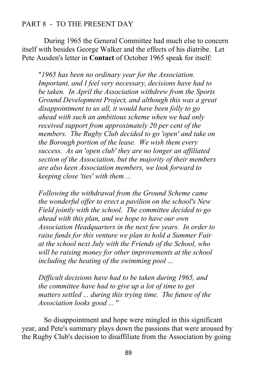## PART 8 - TO THE PRESENT DAY

During 1965 the General Committee had much else to concern itself with besides George Walker and the effects of his diatribe. Let Pete Ausden's letter in **Contact** of October 1965 speak for itself:

"*1965 has been no ordinary year for the Association. Important, and I feel very necessary, decisions have had to be taken. In April the Association withdrew from the Sports Ground Development Project, and although this was a great disappointment to us all, it would have been folly to go ahead with such an ambitious scheme when we had only received support from approximately 20 per cent of the members. The Rugby Club decided to go 'open' and take on the Borough portion of the lease. We wish them every success. As an 'open club' they are no longer an affiliated section of the Association, but the majority of their members are also keen Association members, we look forward to keeping close 'ties' with them ...*

*Following the withdrawal from the Ground Scheme came the wonderful offer to erect a pavilion on the school's New Field jointly with the school. The committee decided to go ahead with this plan, and we hope to have our own Association Headquarters in the next few years. In order to raise funds for this venture we plan to hold a Summer Fair at the school next July with the Friends of the School, who will be raising money for other improvements at the school including the heating of the swimming pool ...*

*Difficult decisions have had to be taken during 1965, and the committee have had to give up a lot of time to get matters settled ... during this trying time. The future of the Association looks good ...* "

So disappointment and hope were mingled in this significant year, and Pete's summary plays down the passions that were aroused by the Rugby Club's decision to disaffiliate from the Association by going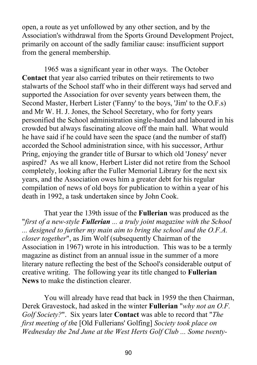open, a route as yet unfollowed by any other section, and by the Association's withdrawal from the Sports Ground Development Project, primarily on account of the sadly familiar cause: insufficient support from the general membership.

1965 was a significant year in other ways. The October **Contact** that year also carried tributes on their retirements to two stalwarts of the School staff who in their different ways had served and supported the Association for over seventy years between them, the Second Master, Herbert Lister ('Fanny' to the boys, 'Jim' to the O.F.s) and Mr W. H. J. Jones, the School Secretary, who for forty years personified the School administration single-handed and laboured in his crowded but always fascinating alcove off the main hall. What would he have said if he could have seen the space (and the number of staff) accorded the School administration since, with his successor, Arthur Pring, enjoying the grander title of Bursar to which old 'Jonesy' never aspired? As we all know, Herbert Lister did not retire from the School completely, looking after the Fuller Memorial Library for the next six years, and the Association owes him a greater debt for his regular compilation of news of old boys for publication to within a year of his death in 1992, a task undertaken since by John Cook.

That year the 139th issue of the **Fullerian** was produced as the "*first of a new-style Fullerian ... a truly joint magazine with the School ... designed to further my main aim to bring the school and the O.F.A. closer together*", as Jim Wolf (subsequently Chairman of the Association in 1967) wrote in his introduction. This was to be a termly magazine as distinct from an annual issue in the summer of a more literary nature reflecting the best of the School's considerable output of creative writing. The following year its title changed to **Fullerian News** to make the distinction clearer.

You will already have read that back in 1959 the then Chairman, Derek Gravestock, had asked in the winter **Fullerian** "*why not an O.F. Golf Society?*". Six years later **Contact** was able to record that "*The first meeting of th*e [Old Fullerians' Golfing] *Society took place on Wednesday the 2nd June at the West Herts Golf Club ... Some twenty-*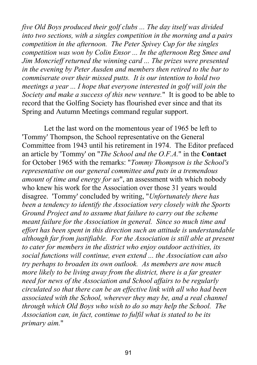*five Old Boys produced their golf clubs ... The day itself was divided into two sections, with a singles competition in the morning and a pairs competition in the afternoon. The Peter Spivey Cup for the singles competition was won by Colin Ensor ... In the afternoon Reg Smee and Jim Moncrieff returned the winning card ... The prizes were presented in the evening by Peter Ausden and members then retired to the bar to commiserate over their missed putts. It is our intention to hold two meetings a year ... I hope that everyone interested in golf will join the Society and make a success of this new venture.*" It is good to be able to record that the Golfing Society has flourished ever since and that its Spring and Autumn Meetings command regular support.

Let the last word on the momentous year of 1965 be left to 'Tommy' Thompson, the School representative on the General Committee from 1943 until his retirement in 1974. The Editor prefaced an article by 'Tommy' on "*The School and the O.F.A.*" in the **Contact** for October 1965 with the remarks: "*Tommy Thompson is the School's representative on our general committee and puts in a tremendous amount of time and energy for us*", an assessment with which nobody who knew his work for the Association over those 31 years would disagree. 'Tommy' concluded by writing, "*Unfortunately there has been a tendency to identify the Association very closely with the Sports Ground Project and to assume that failure to carry out the scheme meant failure for the Association in general. Since so much time and effort has been spent in this direction such an attitude is understandable although far from justifiable. For the Association is still able at present to cater for members in the district who enjoy outdoor activities, its social functions will continue, even extend ... the Association can also try perhaps to broaden its own outlook. As members are now much more likely to be living away from the district, there is a far greater need for news of the Association and School affairs to be regularly circulated so that there can be an effective link with all who had been associated with the School, wherever they may be, and a real channel through which Old Boys who wish to do so may help the School. The Association can, in fact, continue to fulfil what is stated to be its primary aim.*"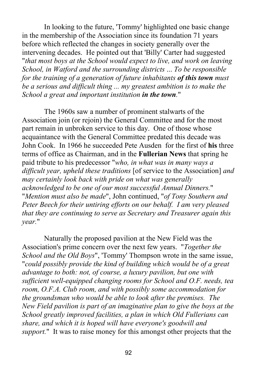In looking to the future, 'Tommy' highlighted one basic change in the membership of the Association since its foundation 71 years before which reflected the changes in society generally over the intervening decades. He pointed out that 'Billy' Carter had suggested "*that most boys at the School would expect to live, and work on leaving School, in Watford and the surrounding districts* ... *To be responsible for the training of a generation of future inhabitants of this town must be a serious and difficult thing ... my greatest ambition is to make the School a great and important institution in the town.*"

The 1960s saw a number of prominent stalwarts of the Association join (or rejoin) the General Committee and for the most part remain in unbroken service to this day. One of those whose acquaintance with the General Committee predated this decade was John Cook. In 1966 he succeeded Pete Ausden for the first of **his** three terms of office as Chairman, and in the **Fullerian News** that spring he paid tribute to his predecessor "*who, in what was in many ways a difficult year, upheld these traditions* [of service to the Association] *and may certainly look back with pride on what was generally acknowledged to be one of our most successful Annual Dinners.*" "*Mention must also be made*", John continued, "*of Tony Southern and Peter Beech for their untiring efforts on our behalf. I am very pleased that they are continuing to serve as Secretary and Treasurer again this year.*"

Naturally the proposed pavilion at the New Field was the Association's prime concern over the next few years. "*Together the School and the Old Boys*", 'Tommy' Thompson wrote in the same issue, "*could possibly provide the kind of building which would be of a great advantage to both: not, of course, a luxury pavilion, but one with sufficient well-equipped changing rooms for School and O.F. needs, tea room, O.F.A. Club room, and with possibly some accommodation for the groundsman who would be able to look after the premises. The New Field pavilion is part of an imaginative plan to give the boys at the School greatly improved facilities, a plan in which Old Fullerians can share, and which it is hoped will have everyone's goodwill and support.*" It was to raise money for this amongst other projects that the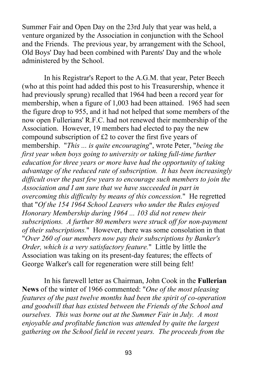Summer Fair and Open Day on the 23rd July that year was held, a venture organized by the Association in conjunction with the School and the Friends. The previous year, by arrangement with the School, Old Boys' Day had been combined with Parents' Day and the whole administered by the School.

In his Registrar's Report to the A.G.M. that year, Peter Beech (who at this point had added this post to his Treasurership, whence it had previously sprung) recalled that 1964 had been a record year for membership, when a figure of 1,003 had been attained. 1965 had seen the figure drop to 955, and it had not helped that some members of the now open Fullerians' R.F.C. had not renewed their membership of the Association. However, 19 members had elected to pay the new compound subscription of £2 to cover the first five years of membership. "*This ... is quite encouraging*", wrote Peter, "*being the first year when boys going to university or taking full-time further education for three years or more have had the opportunity of taking advantage of the reduced rate of subscription. It has been increasingly difficult over the past few years to encourage such members to join the Association and I am sure that we have succeeded in part in overcoming this difficulty by means of this concession.*" He regretted that "*Of the 154 1964 School Leavers who under the Rules enjoyed Honorary Membership during 1964 ... 103 did not renew their subscriptions. A further 80 members were struck off for non-payment of their subscriptions.*" However, there was some consolation in that "*Over 260 of our members now pay their subscriptions by Banker's Order, which is a very satisfactory feature.*" Little by little the Association was taking on its present-day features; the effects of George Walker's call for regeneration were still being felt!

In his farewell letter as Chairman, John Cook in the **Fullerian News** of the winter of 1966 commented: "*One of the most pleasing features of the past twelve months had been the spirit of co-operation and goodwill that has existed between the Friends of the School and ourselves. This was borne out at the Summer Fair in July. A most enjoyable and profitable function was attended by quite the largest gathering on the School field in recent years. The proceeds from the*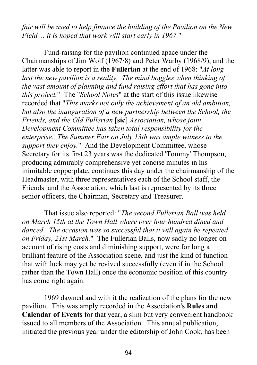*fair will be used to help finance the building of the Pavilion on the New Field ... it is hoped that work will start early in 1967.*"

Fund-raising for the pavilion continued apace under the Chairmanships of Jim Wolf (1967/8) and Peter Warby (1968/9), and the latter was able to report in the **Fullerian** at the end of 1968: "*At long last the new pavilion is a reality. The mind boggles when thinking of the vast amount of planning and fund raising effort that has gone into this project.*" The "*School Notes*" at the start of this issue likewise recorded that "*This marks not only the achievement of an old ambition, but also the inauguration of a new partnership between the School, the Friends, and the Old Fullerian* [**sic**] *Association, whose joint Development Committee has taken total responsibility for the enterprise. The Summer Fair on July 13th was ample witness to the support they enjoy.*" And the Development Committee, whose Secretary for its first 23 years was the dedicated 'Tommy' Thompson, producing admirably comprehensive yet concise minutes in his inimitable copperplate, continues this day under the chairmanship of the Headmaster, with three representatives each of the School staff, the Friends and the Association, which last is represented by its three senior officers, the Chairman, Secretary and Treasurer.

That issue also reported: "*The second Fullerian Ball was held on March 15th at the Town Hall where over four hundred dined and danced. The occasion was so successful that it will again be repeated on Friday, 21st March.*" The Fullerian Balls, now sadly no longer on account of rising costs and diminishing support, were for long a brilliant feature of the Association scene, and just the kind of function that with luck may yet be revived successfully (even if in the School rather than the Town Hall) once the economic position of this country has come right again.

1969 dawned and with it the realization of the plans for the new pavilion. This was amply recorded in the Association's **Rules and Calendar of Events** for that year, a slim but very convenient handbook issued to all members of the Association. This annual publication, initiated the previous year under the editorship of John Cook, has been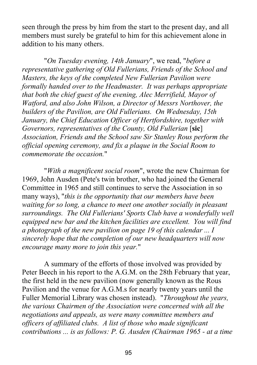seen through the press by him from the start to the present day, and all members must surely be grateful to him for this achievement alone in addition to his many others.

"*On Tuesday evening, 14th January*", we read, "*before a representative gathering of Old Fullerians, Friends of the School and Masters, the keys of the completed New Fullerian Pavilion were formally handed over to the Headmaster. It was perhaps appropriate that both the chief guest of the evening, Alec Merrifield, Mayor of Watford, and also John Wilson, a Director of Messrs Northover, the builders of the Pavilion, are Old Fullerians. On Wednesday, 15th January, the Chief Education Officer of Hertfordshire, together with Governors, representatives of the County, Old Fullerian* [**sic**] *Association, Friends and the School saw Sir Stanley Rous perform the official opening ceremony, and fix a plaque in the Social Room to commemorate the occasion.*"

"*With a magnificent social room*", wrote the new Chairman for 1969, John Ausden (Pete's twin brother, who had joined the General Committee in 1965 and still continues to serve the Association in so many ways), "*this is the opportunity that our members have been waiting for so long, a chance to meet one another socially in pleasant surroundings. The Old Fullerians' Sports Club have a wonderfully well equipped new bar and the kitchen facilities are excellent. You will find a photograph of the new pavilion on page 19 of this calendar ... I sincerely hope that the completion of our new headquarters will now encourage many more to join this year.*"

A summary of the efforts of those involved was provided by Peter Beech in his report to the A.G.M. on the 28th February that year, the first held in the new pavilion (now generally known as the Rous Pavilion and the venue for A.G.M.s for nearly twenty years until the Fuller Memorial Library was chosen instead). "*Throughout the years, the various Chairmen of the Association were concerned with all the negotiations and appeals, as were many committee members and officers of affiliated clubs. A list of those who made significant contributions ... is as follows: P. G. Ausden (Chairman 1965 - at a time*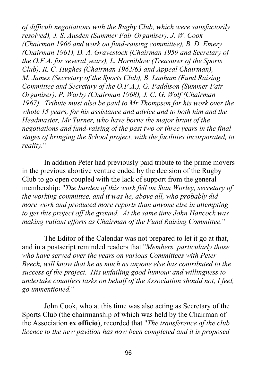*of difficult negotiations with the Rugby Club, which were satisfactorily resolved), J. S. Ausden (Summer Fair Organiser), J. W. Cook (Chairman 1966 and work on fund-raising committee), B. D. Emery (Chairman 1961), D. A. Gravestock (Chairman 1959 and Secretary of the O.F.A. for several years), L. Horniblow (Treasurer of the Sports Club), R. C. Hughes (Chairman 1962/63 and Appeal Chairman), M. James (Secretary of the Sports Club), B. Lanham (Fund Raising Committee and Secretary of the O.F.A.), G. Paddison (Summer Fair Organiser), P. Warby (Chairman 1968), J. C. G. Wolf (Chairman 1967). Tribute must also be paid to Mr Thompson for his work over the whole 15 years, for his assistance and advice and to both him and the Headmaster, Mr Turner, who have borne the major brunt of the negotiations and fund-raising of the past two or three years in the final stages of bringing the School project, with the facilities incorporated, to reality.*"

In addition Peter had previously paid tribute to the prime movers in the previous abortive venture ended by the decision of the Rugby Club to go open coupled with the lack of support from the general membership: "*The burden of this work fell on Stan Worley, secretary of the working committee, and it was he, above all, who probably did more work and produced more reports than anyone else in attempting to get this project off the ground. At the same time John Hancock was making valiant efforts as Chairman of the Fund Raising Committee.*"

The Editor of the Calendar was not prepared to let it go at that, and in a postscript reminded readers that "*Members, particularly those who have served over the years on various Committees with Peter Beech, will know that he as much as anyone else has contributed to the success of the project. His unfailing good humour and willingness to undertake countless tasks on behalf of the Association should not, I feel, go unmentioned.*"

John Cook, who at this time was also acting as Secretary of the Sports Club (the chairmanship of which was held by the Chairman of the Association **ex officio**), recorded that "*The transference of the club licence to the new pavilion has now been completed and it is proposed*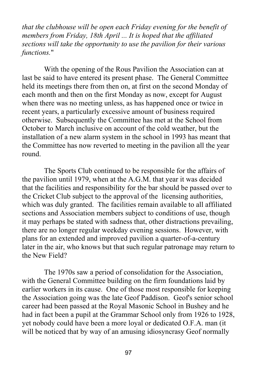*that the clubhouse will be open each Friday evening for the benefit of members from Friday, 18th April ... It is hoped that the affiliated sections will take the opportunity to use the pavilion for their various functions.*"

With the opening of the Rous Pavilion the Association can at last be said to have entered its present phase. The General Committee held its meetings there from then on, at first on the second Monday of each month and then on the first Monday as now, except for August when there was no meeting unless, as has happened once or twice in recent years, a particularly excessive amount of business required otherwise. Subsequently the Committee has met at the School from October to March inclusive on account of the cold weather, but the installation of a new alarm system in the school in 1993 has meant that the Committee has now reverted to meeting in the pavilion all the year round.

The Sports Club continued to be responsible for the affairs of the pavilion until 1979, when at the A.G.M. that year it was decided that the facilities and responsibility for the bar should be passed over to the Cricket Club subject to the approval of the licensing authorities, which was duly granted. The facilities remain available to all affiliated sections and Association members subject to conditions of use, though it may perhaps be stated with sadness that, other distractions prevailing, there are no longer regular weekday evening sessions. However, with plans for an extended and improved pavilion a quarter-of-a-century later in the air, who knows but that such regular patronage may return to the New Field?

The 1970s saw a period of consolidation for the Association, with the General Committee building on the firm foundations laid by earlier workers in its cause. One of those most responsible for keeping the Association going was the late Geof Paddison. Geof's senior school career had been passed at the Royal Masonic School in Bushey and he had in fact been a pupil at the Grammar School only from 1926 to 1928, yet nobody could have been a more loyal or dedicated O.F.A. man (it will be noticed that by way of an amusing idiosyncrasy Geof normally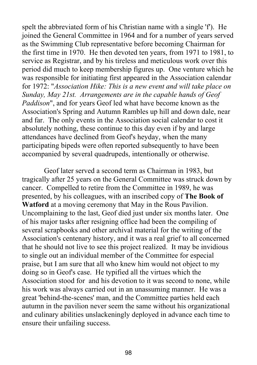spelt the abbreviated form of his Christian name with a single 'f'). He joined the General Committee in 1964 and for a number of years served as the Swimming Club representative before becoming Chairman for the first time in 1970. He then devoted ten years, from 1971 to 1981, to service as Registrar, and by his tireless and meticulous work over this period did much to keep membership figures up. One venture which he was responsible for initiating first appeared in the Association calendar for 1972: "*Association Hike: This is a new event and will take place on Sunday, May 21st. Arrangements are in the capable hands of Geof Paddison*", and for years Geof led what have become known as the Association's Spring and Autumn Rambles up hill and down dale, near and far. The only events in the Association social calendar to cost it absolutely nothing, these continue to this day even if by and large attendances have declined from Geof's heyday, when the many participating bipeds were often reported subsequently to have been accompanied by several quadrupeds, intentionally or otherwise.

Geof later served a second term as Chairman in 1983, but tragically after 25 years on the General Committee was struck down by cancer. Compelled to retire from the Committee in 1989, he was presented, by his colleagues, with an inscribed copy of **The Book of Watford** at a moving ceremony that May in the Rous Pavilion. Uncomplaining to the last, Geof died just under six months later. One of his major tasks after resigning office had been the compiling of several scrapbooks and other archival material for the writing of the Association's centenary history, and it was a real grief to all concerned that he should not live to see this project realized. It may be invidious to single out an individual member of the Committee for especial praise, but I am sure that all who knew him would not object to my doing so in Geof's case. He typified all the virtues which the Association stood for and his devotion to it was second to none, while his work was always carried out in an unassuming manner. He was a great 'behind-the-scenes' man, and the Committee parties held each autumn in the pavilion never seem the same without his organizational and culinary abilities unslackeningly deployed in advance each time to ensure their unfailing success.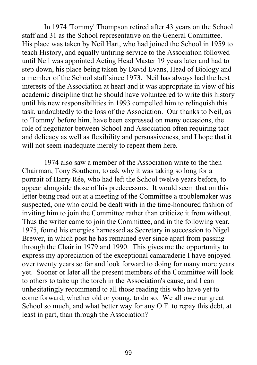In 1974 'Tommy' Thompson retired after 43 years on the School staff and 31 as the School representative on the General Committee. His place was taken by Neil Hart, who had joined the School in 1959 to teach History, and equally untiring service to the Association followed until Neil was appointed Acting Head Master 19 years later and had to step down, his place being taken by David Evans, Head of Biology and a member of the School staff since 1973. Neil has always had the best interests of the Association at heart and it was appropriate in view of his academic discipline that he should have volunteered to write this history until his new responsibilities in 1993 compelled him to relinquish this task, undoubtedly to the loss of the Association. Our thanks to Neil, as to 'Tommy' before him, have been expressed on many occasions, the role of negotiator between School and Association often requiring tact and delicacy as well as flexibility and persuasiveness, and I hope that it will not seem inadequate merely to repeat them here.

1974 also saw a member of the Association write to the then Chairman, Tony Southern, to ask why it was taking so long for a portrait of Harry Rée, who had left the School twelve years before, to appear alongside those of his predecessors. It would seem that on this letter being read out at a meeting of the Committee a troublemaker was suspected, one who could be dealt with in the time-honoured fashion of inviting him to join the Committee rather than criticize it from without. Thus the writer came to join the Committee, and in the following year, 1975, found his energies harnessed as Secretary in succession to Nigel Brewer, in which post he has remained ever since apart from passing through the Chair in 1979 and 1990. This gives me the opportunity to express my appreciation of the exceptional camaraderie I have enjoyed over twenty years so far and look forward to doing for many more years yet. Sooner or later all the present members of the Committee will look to others to take up the torch in the Association's cause, and I can unhesitatingly recommend to all those reading this who have yet to come forward, whether old or young, to do so. We all owe our great School so much, and what better way for any O.F. to repay this debt, at least in part, than through the Association?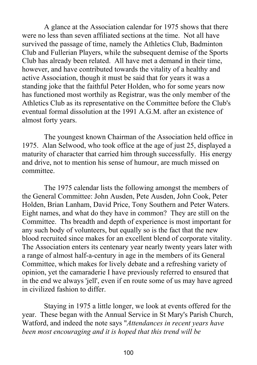A glance at the Association calendar for 1975 shows that there were no less than seven affiliated sections at the time. Not all have survived the passage of time, namely the Athletics Club, Badminton Club and Fullerian Players, while the subsequent demise of the Sports Club has already been related. All have met a demand in their time, however, and have contributed towards the vitality of a healthy and active Association, though it must be said that for years it was a standing joke that the faithful Peter Holden, who for some years now has functioned most worthily as Registrar, was the only member of the Athletics Club as its representative on the Committee before the Club's eventual formal dissolution at the 1991 A.G.M. after an existence of almost forty years.

The youngest known Chairman of the Association held office in 1975. Alan Selwood, who took office at the age of just 25, displayed a maturity of character that carried him through successfully. His energy and drive, not to mention his sense of humour, are much missed on committee.

The 1975 calendar lists the following amongst the members of the General Committee: John Ausden, Pete Ausden, John Cook, Peter Holden, Brian Lanham, David Price, Tony Southern and Peter Waters. Eight names, and what do they have in common? They are still on the Committee. Ths breadth and depth of experience is most important for any such body of volunteers, but equally so is the fact that the new blood recruited since makes for an excellent blend of corporate vitality. The Association enters its centenary year nearly twenty years later with a range of almost half-a-century in age in the members of its General Committee, which makes for lively debate and a refreshing variety of opinion, yet the camaraderie I have previously referred to ensured that in the end we always 'jell', even if en route some of us may have agreed in civilized fashion to differ.

Staying in 1975 a little longer, we look at events offered for the year. These began with the Annual Service in St Mary's Parish Church, Watford, and indeed the note says "*Attendances in recent years have been most encouraging and it is hoped that this trend will be*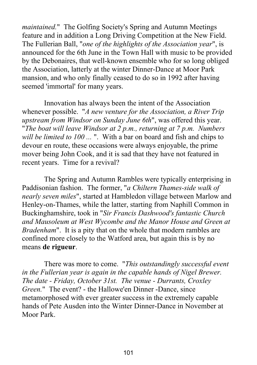*maintained.*" The Golfing Society's Spring and Autumn Meetings feature and in addition a Long Driving Competition at the New Field. The Fullerian Ball, "*one of the highlights of the Association year*", is announced for the 6th June in the Town Hall with music to be provided by the Debonaires, that well-known ensemble who for so long obliged the Association, latterly at the winter Dinner-Dance at Moor Park mansion, and who only finally ceased to do so in 1992 after having seemed 'immortal' for many years.

Innovation has always been the intent of the Association whenever possible. "*A new venture for the Association, a River Trip upstream from Windsor on Sunday June 6th*", was offered this year. "*The boat will leave Windsor at 2 p.m., returning at 7 p.m. Numbers will be limited to 100 ...* ". With a bar on board and fish and chips to devour en route, these occasions were always enjoyable, the prime mover being John Cook, and it is sad that they have not featured in recent years. Time for a revival?

The Spring and Autumn Rambles were typically enterprising in Paddisonian fashion. The former, "*a Chiltern Thames-side walk of nearly seven miles*", started at Hambledon village between Marlow and Henley-on-Thames, while the latter, starting from Naphill Common in Buckinghamshire, took in "*Sir Francis Dashwood's fantastic Church and Mausoleum at West Wycombe and the Manor House and Green at Bradenham*". It is a pity that on the whole that modern rambles are confined more closely to the Watford area, but again this is by no means **de rigueur**.

There was more to come. "*This outstandingly successful event in the Fullerian year is again in the capable hands of Nigel Brewer. The date - Friday, October 31st. The venue - Durrants, Croxley Green.*" The event? - the Hallowe'en Dinner -Dance, since metamorphosed with ever greater success in the extremely capable hands of Pete Ausden into the Winter Dinner-Dance in November at Moor Park.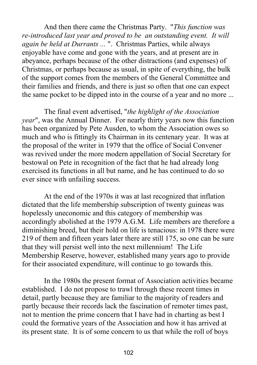And then there came the Christmas Party. "*This function was re‑introduced last year and proved to be an outstanding event. It will again be held at Durrants ...* ". Christmas Parties, while always enjoyable have come and gone with the years, and at present are in abeyance, perhaps because of the other distractions (and expenses) of Christmas, or perhaps because as usual, in spite of everything, the bulk of the support comes from the members of the General Committee and their families and friends, and there is just so often that one can expect the same pocket to be dipped into in the course of a year and no more ...

The final event advertised, "*the highlight of the Association year*", was the Annual Dinner. For nearly thirty years now this function has been organized by Pete Ausden, to whom the Association owes so much and who is fittingly its Chairman in its centenary year. It was at the proposal of the writer in 1979 that the office of Social Convener was revived under the more modern appellation of Social Secretary for bestowal on Pete in recognition of the fact that he had already long exercised its functions in all but name, and he has continued to do so ever since with unfailing success.

At the end of the 1970s it was at last recognized that inflation dictated that the life membership subscription of twenty guineas was hopelessly uneconomic and this category of membership was accordingly abolished at the 1979 A.G.M. Life members are therefore a diminishing breed, but their hold on life is tenacious: in 1978 there were 219 of them and fifteen years later there are still 175, so one can be sure that they will persist well into the next millennium! The Life Membership Reserve, however, established many years ago to provide for their associated expenditure, will continue to go towards this.

In the 1980s the present format of Association activities became established. I do not propose to trawl through these recent times in detail, partly because they are familiar to the majority of readers and partly because their records lack the fascination of remoter times past, not to mention the prime concern that I have had in charting as best I could the formative years of the Association and how it has arrived at its present state. It is of some concern to us that while the roll of boys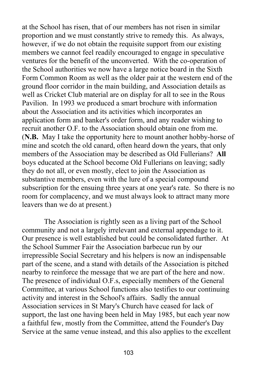at the School has risen, that of our members has not risen in similar proportion and we must constantly strive to remedy this. As always, however, if we do not obtain the requisite support from our existing members we cannot feel readily encouraged to engage in speculative ventures for the benefit of the unconverted. With the co-operation of the School authorities we now have a large notice board in the Sixth Form Common Room as well as the older pair at the western end of the ground floor corridor in the main building, and Association details as well as Cricket Club material are on display for all to see in the Rous Pavilion. In 1993 we produced a smart brochure with information about the Association and its activities which incorporates an application form and banker's order form, and any reader wishing to recruit another O.F. to the Association should obtain one from me. (**N.B.** May I take the opportunity here to mount another hobby-horse of mine and scotch the old canard, often heard down the years, that only members of the Association may be described as Old Fullerians? **All** boys educated at the School become Old Fullerians on leaving; sadly they do not all, or even mostly, elect to join the Association as substantive members, even with the lure of a special compound subscription for the ensuing three years at one year's rate. So there is no room for complacency, and we must always look to attract many more leavers than we do at present.)

The Association is rightly seen as a living part of the School community and not a largely irrelevant and external appendage to it. Our presence is well established but could be consolidated further. At the School Summer Fair the Association barbecue run by our irrepressible Social Secretary and his helpers is now an indispensable part of the scene, and a stand with details of the Association is pitched nearby to reinforce the message that we are part of the here and now. The presence of individual O.F.s, especially members of the General Committee, at various School functions also testifies to our continuing activity and interest in the School's affairs. Sadly the annual Association services in St Mary's Church have ceased for lack of support, the last one having been held in May 1985, but each year now a faithful few, mostly from the Committee, attend the Founder's Day Service at the same venue instead, and this also applies to the excellent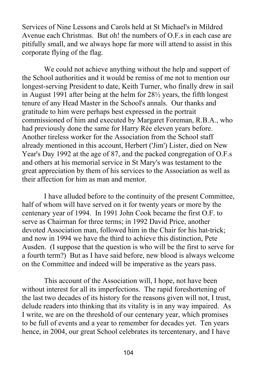Services of Nine Lessons and Carols held at St Michael's in Mildred Avenue each Christmas. But oh! the numbers of O.F.s in each case are pitifully small, and we always hope far more will attend to assist in this corporate flying of the flag.

We could not achieve anything without the help and support of the School authorities and it would be remiss of me not to mention our longest-serving President to date, Keith Turner, who finally drew in sail in August 1991 after being at the helm for 28½ years, the fifth longest tenure of any Head Master in the School's annals. Our thanks and gratitude to him were perhaps best expressed in the portrait commissioned of him and executed by Margaret Foreman, R.B.A., who had previously done the same for Harry Rée eleven years before. Another tireless worker for the Association from the School staff already mentioned in this account, Herbert ('Jim') Lister, died on New Year's Day 1992 at the age of 87, and the packed congregation of O.F.s and others at his memorial service in St Mary's was testament to the great appreciation by them of his services to the Association as well as their affection for him as man and mentor.

I have alluded before to the continuity of the present Committee, half of whom will have served on it for twenty years or more by the centenary year of 1994. In 1991 John Cook became the first O.F. to serve as Chairman for three terms; in 1992 David Price, another devoted Association man, followed him in the Chair for his hat-trick; and now in 1994 we have the third to achieve this distinction, Pete Ausden. (I suppose that the question is who will be the first to serve for a fourth term?) But as I have said before, new blood is always welcome on the Committee and indeed will be imperative as the years pass.

This account of the Association will, I hope, not have been without interest for all its imperfections. The rapid foreshortening of the last two decades of its history for the reasons given will not, I trust, delude readers into thinking that its vitality is in any way impaired. As I write, we are on the threshold of our centenary year, which promises to be full of events and a year to remember for decades yet. Ten years hence, in 2004, our great School celebrates its tercentenary, and I have